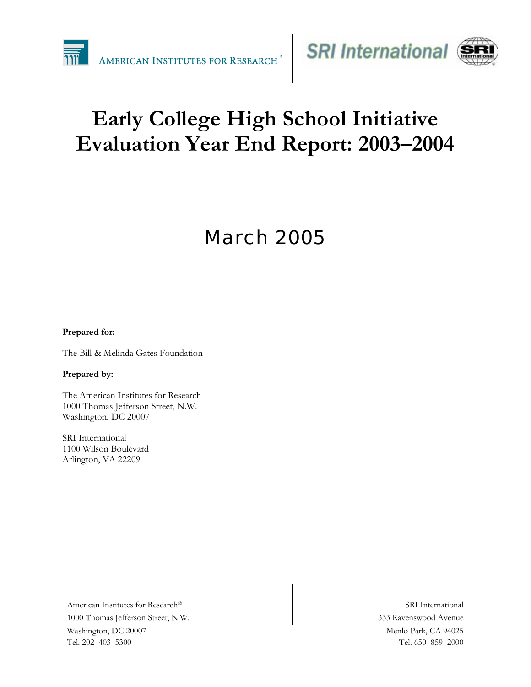



# **Early College High School Initiative Evaluation Year End Report: 2003–2004**

# March 2005

#### **Prepared for:**

The Bill & Melinda Gates Foundation

#### **Prepared by:**

The American Institutes for Research 1000 Thomas Jefferson Street, N.W. Washington, DC 20007

SRI International 1100 Wilson Boulevard Arlington, VA 22209

Menlo Park, CA 94025 Tel. 650–859–2000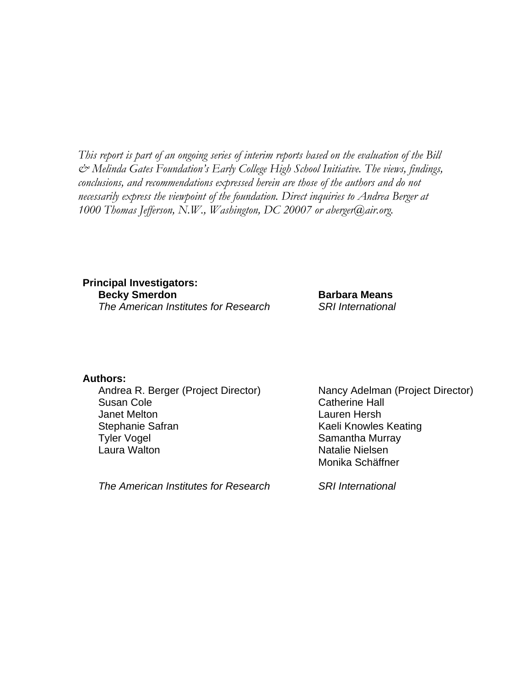*This report is part of an ongoing series of interim reports based on the evaluation of the Bill & Melinda Gates Foundation's Early College High School Initiative. The views, findings, conclusions, and recommendations expressed herein are those of the authors and do not necessarily express the viewpoint of the foundation. Direct inquiries to Andrea Berger at 1000 Thomas Jefferson, N.W., Washington, DC 20007 or aberger@air.org.* 

**Principal Investigators: Becky Smerdon Barbara Means** *The American Institutes for Research SRI International* 

**Authors:** 

Andrea R. Berger (Project Director) Nancy Adelman (Project Director) Susan Cole **Catherine Hall** Janet Melton Lauren Hersh Stephanie Safran Kaeli Knowles Keating Tyler Vogel **Samantha Murray** Laura Walton Natalie Nielsen

*The American Institutes for Research SRI International* 

Monika Schäffner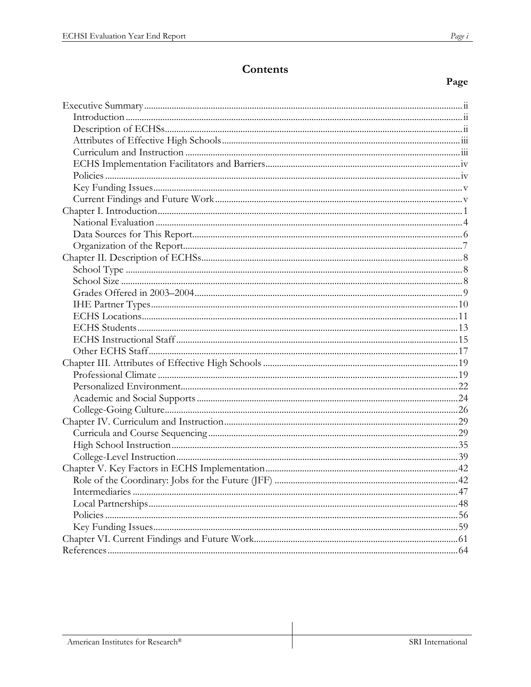# Contents

### Page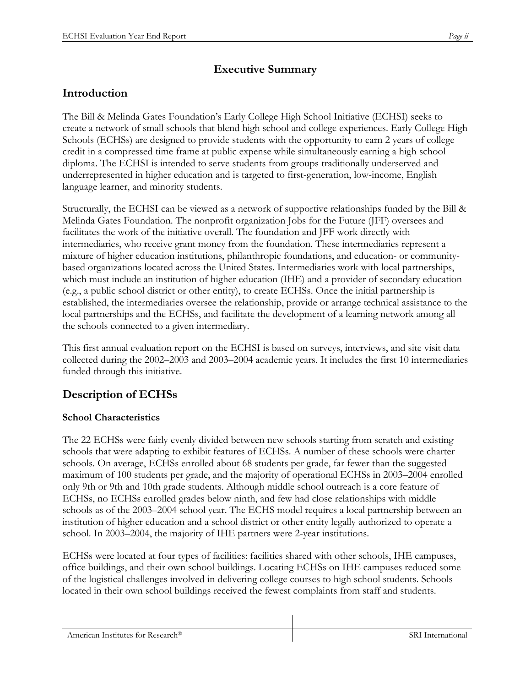# **Executive Summary**

# **Introduction**

The Bill & Melinda Gates Foundation's Early College High School Initiative (ECHSI) seeks to create a network of small schools that blend high school and college experiences. Early College High Schools (ECHSs) are designed to provide students with the opportunity to earn 2 years of college credit in a compressed time frame at public expense while simultaneously earning a high school diploma. The ECHSI is intended to serve students from groups traditionally underserved and underrepresented in higher education and is targeted to first-generation, low-income, English language learner, and minority students.

Structurally, the ECHSI can be viewed as a network of supportive relationships funded by the Bill & Melinda Gates Foundation. The nonprofit organization Jobs for the Future (JFF) oversees and facilitates the work of the initiative overall. The foundation and JFF work directly with intermediaries, who receive grant money from the foundation. These intermediaries represent a mixture of higher education institutions, philanthropic foundations, and education- or communitybased organizations located across the United States. Intermediaries work with local partnerships, which must include an institution of higher education (IHE) and a provider of secondary education (e.g., a public school district or other entity), to create ECHSs. Once the initial partnership is established, the intermediaries oversee the relationship, provide or arrange technical assistance to the local partnerships and the ECHSs, and facilitate the development of a learning network among all the schools connected to a given intermediary.

This first annual evaluation report on the ECHSI is based on surveys, interviews, and site visit data collected during the 2002–2003 and 2003–2004 academic years. It includes the first 10 intermediaries funded through this initiative.

# **Description of ECHSs**

### **School Characteristics**

The 22 ECHSs were fairly evenly divided between new schools starting from scratch and existing schools that were adapting to exhibit features of ECHSs. A number of these schools were charter schools. On average, ECHSs enrolled about 68 students per grade, far fewer than the suggested maximum of 100 students per grade, and the majority of operational ECHSs in 2003–2004 enrolled only 9th or 9th and 10th grade students. Although middle school outreach is a core feature of ECHSs, no ECHSs enrolled grades below ninth, and few had close relationships with middle schools as of the 2003–2004 school year. The ECHS model requires a local partnership between an institution of higher education and a school district or other entity legally authorized to operate a school. In 2003–2004, the majority of IHE partners were 2-year institutions.

ECHSs were located at four types of facilities: facilities shared with other schools, IHE campuses, office buildings, and their own school buildings. Locating ECHSs on IHE campuses reduced some of the logistical challenges involved in delivering college courses to high school students. Schools located in their own school buildings received the fewest complaints from staff and students.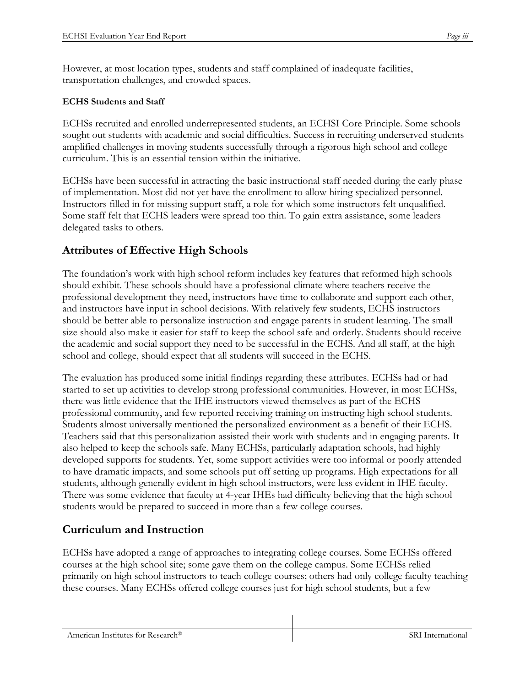However, at most location types, students and staff complained of inadequate facilities, transportation challenges, and crowded spaces.

#### **ECHS Students and Staff**

ECHSs recruited and enrolled underrepresented students, an ECHSI Core Principle. Some schools sought out students with academic and social difficulties. Success in recruiting underserved students amplified challenges in moving students successfully through a rigorous high school and college curriculum. This is an essential tension within the initiative.

ECHSs have been successful in attracting the basic instructional staff needed during the early phase of implementation. Most did not yet have the enrollment to allow hiring specialized personnel. Instructors filled in for missing support staff, a role for which some instructors felt unqualified. Some staff felt that ECHS leaders were spread too thin. To gain extra assistance, some leaders delegated tasks to others.

### **Attributes of Effective High Schools**

The foundation's work with high school reform includes key features that reformed high schools should exhibit. These schools should have a professional climate where teachers receive the professional development they need, instructors have time to collaborate and support each other, and instructors have input in school decisions. With relatively few students, ECHS instructors should be better able to personalize instruction and engage parents in student learning. The small size should also make it easier for staff to keep the school safe and orderly. Students should receive the academic and social support they need to be successful in the ECHS. And all staff, at the high school and college, should expect that all students will succeed in the ECHS.

The evaluation has produced some initial findings regarding these attributes. ECHSs had or had started to set up activities to develop strong professional communities. However, in most ECHSs, there was little evidence that the IHE instructors viewed themselves as part of the ECHS professional community, and few reported receiving training on instructing high school students. Students almost universally mentioned the personalized environment as a benefit of their ECHS. Teachers said that this personalization assisted their work with students and in engaging parents. It also helped to keep the schools safe. Many ECHSs, particularly adaptation schools, had highly developed supports for students. Yet, some support activities were too informal or poorly attended to have dramatic impacts, and some schools put off setting up programs. High expectations for all students, although generally evident in high school instructors, were less evident in IHE faculty. There was some evidence that faculty at 4-year IHEs had difficulty believing that the high school students would be prepared to succeed in more than a few college courses.

# **Curriculum and Instruction**

ECHSs have adopted a range of approaches to integrating college courses. Some ECHSs offered courses at the high school site; some gave them on the college campus. Some ECHSs relied primarily on high school instructors to teach college courses; others had only college faculty teaching these courses. Many ECHSs offered college courses just for high school students, but a few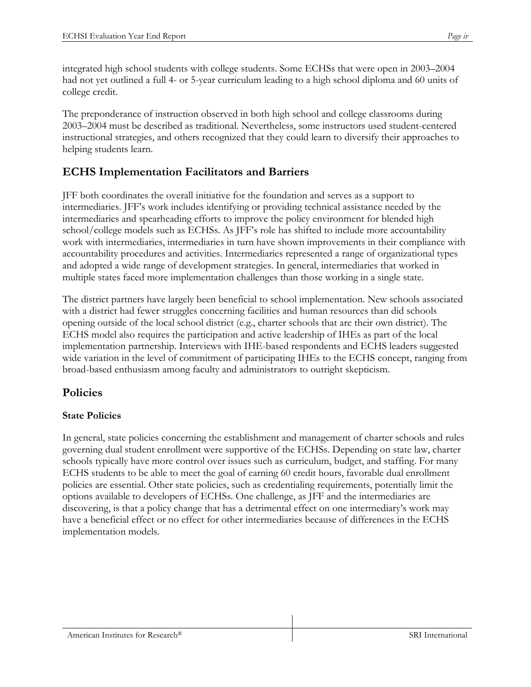integrated high school students with college students. Some ECHSs that were open in 2003–2004 had not yet outlined a full 4- or 5-year curriculum leading to a high school diploma and 60 units of college credit.

The preponderance of instruction observed in both high school and college classrooms during 2003–2004 must be described as traditional. Nevertheless, some instructors used student-centered instructional strategies, and others recognized that they could learn to diversify their approaches to helping students learn.

# **ECHS Implementation Facilitators and Barriers**

JFF both coordinates the overall initiative for the foundation and serves as a support to intermediaries. JFF's work includes identifying or providing technical assistance needed by the intermediaries and spearheading efforts to improve the policy environment for blended high school/college models such as ECHSs. As JFF's role has shifted to include more accountability work with intermediaries, intermediaries in turn have shown improvements in their compliance with accountability procedures and activities. Intermediaries represented a range of organizational types and adopted a wide range of development strategies. In general, intermediaries that worked in multiple states faced more implementation challenges than those working in a single state.

The district partners have largely been beneficial to school implementation. New schools associated with a district had fewer struggles concerning facilities and human resources than did schools opening outside of the local school district (e.g., charter schools that are their own district). The ECHS model also requires the participation and active leadership of IHEs as part of the local implementation partnership. Interviews with IHE-based respondents and ECHS leaders suggested wide variation in the level of commitment of participating IHEs to the ECHS concept, ranging from broad-based enthusiasm among faculty and administrators to outright skepticism.

# **Policies**

### **State Policies**

In general, state policies concerning the establishment and management of charter schools and rules governing dual student enrollment were supportive of the ECHSs. Depending on state law, charter schools typically have more control over issues such as curriculum, budget, and staffing. For many ECHS students to be able to meet the goal of earning 60 credit hours, favorable dual enrollment policies are essential. Other state policies, such as credentialing requirements, potentially limit the options available to developers of ECHSs. One challenge, as JFF and the intermediaries are discovering, is that a policy change that has a detrimental effect on one intermediary's work may have a beneficial effect or no effect for other intermediaries because of differences in the ECHS implementation models.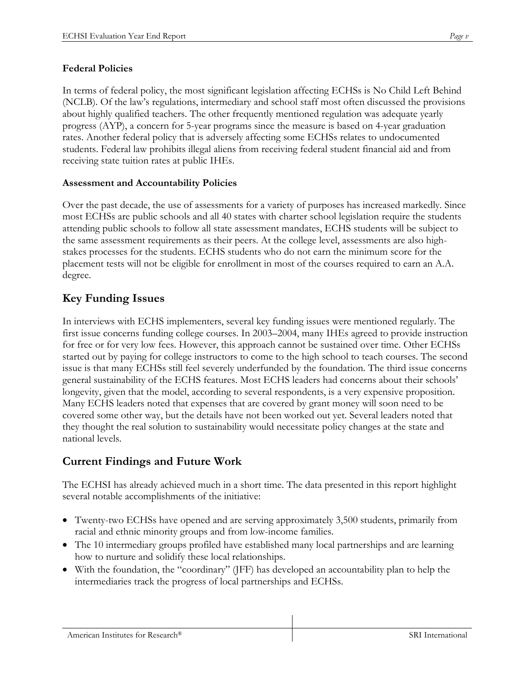In terms of federal policy, the most significant legislation affecting ECHSs is No Child Left Behind (NCLB). Of the law's regulations, intermediary and school staff most often discussed the provisions about highly qualified teachers. The other frequently mentioned regulation was adequate yearly progress (AYP), a concern for 5-year programs since the measure is based on 4-year graduation rates. Another federal policy that is adversely affecting some ECHSs relates to undocumented students. Federal law prohibits illegal aliens from receiving federal student financial aid and from receiving state tuition rates at public IHEs.

### **Assessment and Accountability Policies**

Over the past decade, the use of assessments for a variety of purposes has increased markedly. Since most ECHSs are public schools and all 40 states with charter school legislation require the students attending public schools to follow all state assessment mandates, ECHS students will be subject to the same assessment requirements as their peers. At the college level, assessments are also highstakes processes for the students. ECHS students who do not earn the minimum score for the placement tests will not be eligible for enrollment in most of the courses required to earn an A.A. degree.

# **Key Funding Issues**

In interviews with ECHS implementers, several key funding issues were mentioned regularly. The first issue concerns funding college courses. In 2003–2004, many IHEs agreed to provide instruction for free or for very low fees. However, this approach cannot be sustained over time. Other ECHSs started out by paying for college instructors to come to the high school to teach courses. The second issue is that many ECHSs still feel severely underfunded by the foundation. The third issue concerns general sustainability of the ECHS features. Most ECHS leaders had concerns about their schools' longevity, given that the model, according to several respondents, is a very expensive proposition. Many ECHS leaders noted that expenses that are covered by grant money will soon need to be covered some other way, but the details have not been worked out yet. Several leaders noted that they thought the real solution to sustainability would necessitate policy changes at the state and national levels.

# **Current Findings and Future Work**

The ECHSI has already achieved much in a short time. The data presented in this report highlight several notable accomplishments of the initiative:

- Twenty-two ECHSs have opened and are serving approximately 3,500 students, primarily from racial and ethnic minority groups and from low-income families.
- The 10 intermediary groups profiled have established many local partnerships and are learning how to nurture and solidify these local relationships.
- With the foundation, the "coordinary" (JFF) has developed an accountability plan to help the intermediaries track the progress of local partnerships and ECHSs.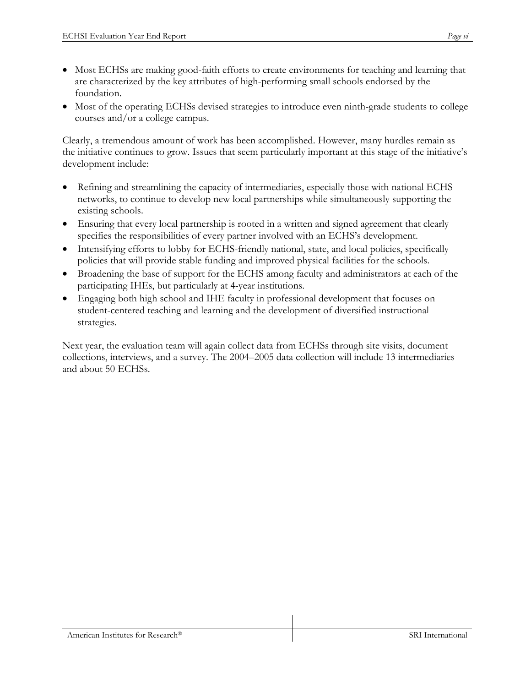- Most ECHSs are making good-faith efforts to create environments for teaching and learning that are characterized by the key attributes of high-performing small schools endorsed by the foundation.
- Most of the operating ECHSs devised strategies to introduce even ninth-grade students to college courses and/or a college campus.

Clearly, a tremendous amount of work has been accomplished. However, many hurdles remain as the initiative continues to grow. Issues that seem particularly important at this stage of the initiative's development include:

- Refining and streamlining the capacity of intermediaries, especially those with national ECHS networks, to continue to develop new local partnerships while simultaneously supporting the existing schools.
- Ensuring that every local partnership is rooted in a written and signed agreement that clearly specifies the responsibilities of every partner involved with an ECHS's development.
- Intensifying efforts to lobby for ECHS-friendly national, state, and local policies, specifically policies that will provide stable funding and improved physical facilities for the schools.
- Broadening the base of support for the ECHS among faculty and administrators at each of the participating IHEs, but particularly at 4-year institutions.
- Engaging both high school and IHE faculty in professional development that focuses on student-centered teaching and learning and the development of diversified instructional strategies.

Next year, the evaluation team will again collect data from ECHSs through site visits, document collections, interviews, and a survey. The 2004–2005 data collection will include 13 intermediaries and about 50 ECHSs.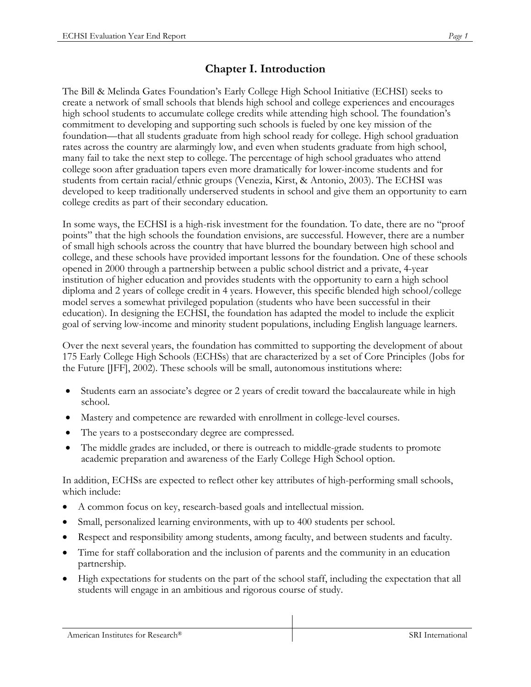# **Chapter I. Introduction**

The Bill & Melinda Gates Foundation's Early College High School Initiative (ECHSI) seeks to create a network of small schools that blends high school and college experiences and encourages high school students to accumulate college credits while attending high school. The foundation's commitment to developing and supporting such schools is fueled by one key mission of the foundation—that all students graduate from high school ready for college. High school graduation rates across the country are alarmingly low, and even when students graduate from high school, many fail to take the next step to college. The percentage of high school graduates who attend college soon after graduation tapers even more dramatically for lower-income students and for students from certain racial/ethnic groups (Venezia, Kirst, & Antonio, 2003). The ECHSI was developed to keep traditionally underserved students in school and give them an opportunity to earn college credits as part of their secondary education.

In some ways, the ECHSI is a high-risk investment for the foundation. To date, there are no "proof points" that the high schools the foundation envisions, are successful. However, there are a number of small high schools across the country that have blurred the boundary between high school and college, and these schools have provided important lessons for the foundation. One of these schools opened in 2000 through a partnership between a public school district and a private, 4-year institution of higher education and provides students with the opportunity to earn a high school diploma and 2 years of college credit in 4 years. However, this specific blended high school/college model serves a somewhat privileged population (students who have been successful in their education). In designing the ECHSI, the foundation has adapted the model to include the explicit goal of serving low-income and minority student populations, including English language learners.

Over the next several years, the foundation has committed to supporting the development of about 175 Early College High Schools (ECHSs) that are characterized by a set of Core Principles (Jobs for the Future [JFF], 2002). These schools will be small, autonomous institutions where:

- Students earn an associate's degree or 2 years of credit toward the baccalaureate while in high school.
- Mastery and competence are rewarded with enrollment in college-level courses.
- The years to a postsecondary degree are compressed.
- The middle grades are included, or there is outreach to middle-grade students to promote academic preparation and awareness of the Early College High School option.

In addition, ECHSs are expected to reflect other key attributes of high-performing small schools, which include:

- A common focus on key, research-based goals and intellectual mission.
- Small, personalized learning environments, with up to 400 students per school.
- Respect and responsibility among students, among faculty, and between students and faculty.
- Time for staff collaboration and the inclusion of parents and the community in an education partnership.
- High expectations for students on the part of the school staff, including the expectation that all students will engage in an ambitious and rigorous course of study.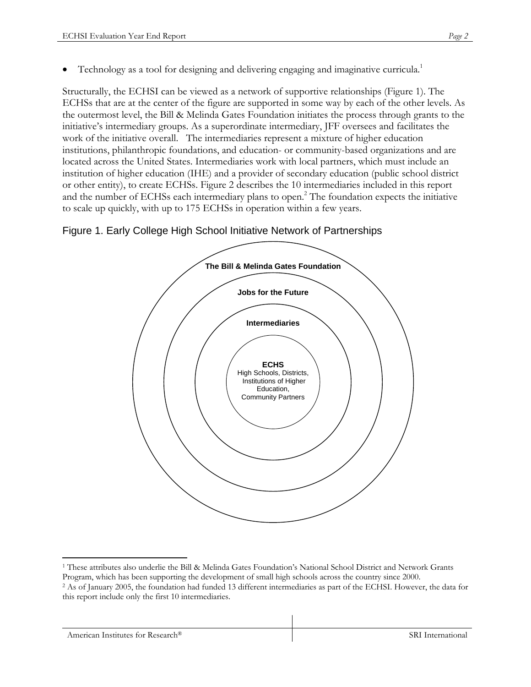Structurally, the ECHSI can be viewed as a network of supportive relationships (Figure 1). The ECHSs that are at the center of the figure are supported in some way by each of the other levels. As the outermost level, the Bill & Melinda Gates Foundation initiates the process through grants to the initiative's intermediary groups. As a superordinate intermediary, JFF oversees and facilitates the work of the initiative overall. The intermediaries represent a mixture of higher education institutions, philanthropic foundations, and education- or community-based organizations and are located across the United States. Intermediaries work with local partners, which must include an institution of higher education (IHE) and a provider of secondary education (public school district or other entity), to create ECHSs. Figure 2 describes the 10 intermediaries included in this report and the number of ECHSs each intermediary plans to open.<sup>2</sup> The foundation expects the initiative to scale up quickly, with up to 175 ECHSs in operation within a few years.





 $\overline{a}$ 1 These attributes also underlie the Bill & Melinda Gates Foundation's National School District and Network Grants

Program, which has been supporting the development of small high schools across the country since 2000. 2 As of January 2005, the foundation had funded 13 different intermediaries as part of the ECHSI. However, the data for this report include only the first 10 intermediaries.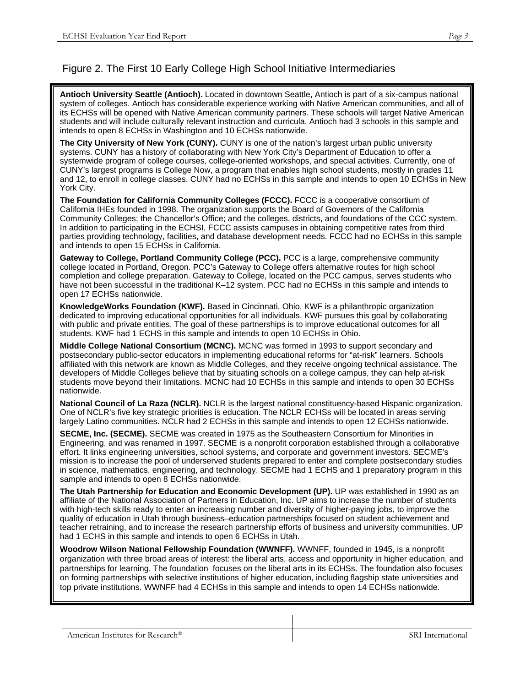### Figure 2. The First 10 Early College High School Initiative Intermediaries

**Antioch University Seattle (Antioch).** Located in downtown Seattle, Antioch is part of a six-campus national system of colleges. Antioch has considerable experience working with Native American communities, and all of its ECHSs will be opened with Native American community partners. These schools will target Native American students and will include culturally relevant instruction and curricula. Antioch had 3 schools in this sample and intends to open 8 ECHSs in Washington and 10 ECHSs nationwide.

**The City University of New York (CUNY).** CUNY is one of the nation's largest urban public university systems. CUNY has a history of collaborating with New York City's Department of Education to offer a systemwide program of college courses, college-oriented workshops, and special activities. Currently, one of CUNY's largest programs is College Now, a program that enables high school students, mostly in grades 11 and 12, to enroll in college classes. CUNY had no ECHSs in this sample and intends to open 10 ECHSs in New York City.

**The Foundation for California Community Colleges (FCCC).** FCCC is a cooperative consortium of California IHEs founded in 1998. The organization supports the Board of Governors of the California Community Colleges; the Chancellor's Office; and the colleges, districts, and foundations of the CCC system. In addition to participating in the ECHSI, FCCC assists campuses in obtaining competitive rates from third parties providing technology, facilities, and database development needs. FCCC had no ECHSs in this sample and intends to open 15 ECHSs in California.

**Gateway to College, Portland Community College (PCC).** PCC is a large, comprehensive community college located in Portland, Oregon. PCC's Gateway to College offers alternative routes for high school completion and college preparation. Gateway to College, located on the PCC campus, serves students who have not been successful in the traditional K-12 system. PCC had no ECHSs in this sample and intends to open 17 ECHSs nationwide.

**KnowledgeWorks Foundation (KWF).** Based in Cincinnati, Ohio, KWF is a philanthropic organization dedicated to improving educational opportunities for all individuals. KWF pursues this goal by collaborating with public and private entities. The goal of these partnerships is to improve educational outcomes for all students. KWF had 1 ECHS in this sample and intends to open 10 ECHSs in Ohio.

**Middle College National Consortium (MCNC).** MCNC was formed in 1993 to support secondary and postsecondary public-sector educators in implementing educational reforms for "at-risk" learners. Schools affiliated with this network are known as Middle Colleges, and they receive ongoing technical assistance. The developers of Middle Colleges believe that by situating schools on a college campus, they can help at-risk students move beyond their limitations. MCNC had 10 ECHSs in this sample and intends to open 30 ECHSs nationwide.

**National Council of La Raza (NCLR).** NCLR is the largest national constituency-based Hispanic organization. One of NCLR's five key strategic priorities is education. The NCLR ECHSs will be located in areas serving largely Latino communities. NCLR had 2 ECHSs in this sample and intends to open 12 ECHSs nationwide.

**SECME, Inc. (SECME).** SECME was created in 1975 as the Southeastern Consortium for Minorities in Engineering, and was renamed in 1997. SECME is a nonprofit corporation established through a collaborative effort. It links engineering universities, school systems, and corporate and government investors. SECME's mission is to increase the pool of underserved students prepared to enter and complete postsecondary studies in science, mathematics, engineering, and technology. SECME had 1 ECHS and 1 preparatory program in this sample and intends to open 8 ECHSs nationwide.

**The Utah Partnership for Education and Economic Development (UP).** UP was established in 1990 as an affiliate of the National Association of Partners in Education, Inc. UP aims to increase the number of students with high-tech skills ready to enter an increasing number and diversity of higher-paying jobs, to improve the quality of education in Utah through business–education partnerships focused on student achievement and teacher retraining, and to increase the research partnership efforts of business and university communities. UP had 1 ECHS in this sample and intends to open 6 ECHSs in Utah.

**Woodrow Wilson National Fellowship Foundation (WWNFF).** WWNFF, founded in 1945, is a nonprofit organization with three broad areas of interest: the liberal arts, access and opportunity in higher education, and partnerships for learning. The foundation focuses on the liberal arts in its ECHSs. The foundation also focuses on forming partnerships with selective institutions of higher education, including flagship state universities and top private institutions. WWNFF had 4 ECHSs in this sample and intends to open 14 ECHSs nationwide.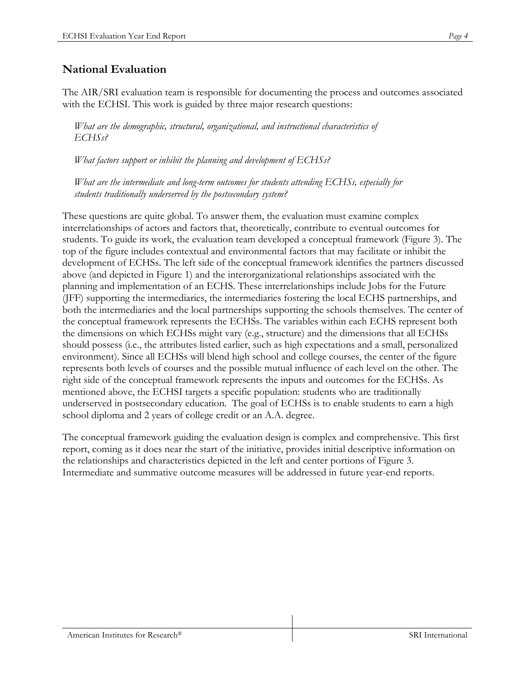The AIR/SRI evaluation team is responsible for documenting the process and outcomes associated with the ECHSI. This work is guided by three major research questions:

*What are the demographic, structural, organizational, and instructional characteristics of ECHSs?* 

*What factors support or inhibit the planning and development of ECHSs?* 

*What are the intermediate and long-term outcomes for students attending ECHSs, especially for students traditionally underserved by the postsecondary system?* 

These questions are quite global. To answer them, the evaluation must examine complex interrelationships of actors and factors that, theoretically, contribute to eventual outcomes for students. To guide its work, the evaluation team developed a conceptual framework (Figure 3). The top of the figure includes contextual and environmental factors that may facilitate or inhibit the development of ECHSs. The left side of the conceptual framework identifies the partners discussed above (and depicted in Figure 1) and the interorganizational relationships associated with the planning and implementation of an ECHS. These interrelationships include Jobs for the Future (JFF) supporting the intermediaries, the intermediaries fostering the local ECHS partnerships, and both the intermediaries and the local partnerships supporting the schools themselves. The center of the conceptual framework represents the ECHSs. The variables within each ECHS represent both the dimensions on which ECHSs might vary (e.g., structure) and the dimensions that all ECHSs should possess (i.e., the attributes listed earlier, such as high expectations and a small, personalized environment). Since all ECHSs will blend high school and college courses, the center of the figure represents both levels of courses and the possible mutual influence of each level on the other. The right side of the conceptual framework represents the inputs and outcomes for the ECHSs. As mentioned above, the ECHSI targets a specific population: students who are traditionally underserved in postsecondary education. The goal of ECHSs is to enable students to earn a high school diploma and 2 years of college credit or an A.A. degree.

The conceptual framework guiding the evaluation design is complex and comprehensive. This first report, coming as it does near the start of the initiative, provides initial descriptive information on the relationships and characteristics depicted in the left and center portions of Figure 3. Intermediate and summative outcome measures will be addressed in future year-end reports.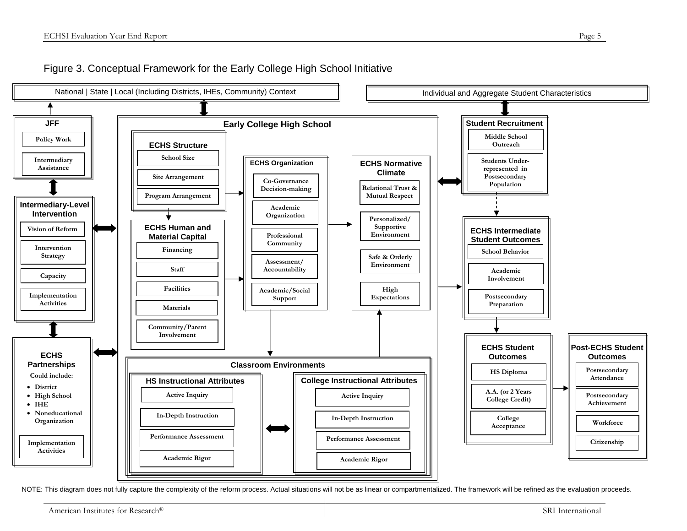### Figure 3. Conceptual Framework for the Early College High School Initiative



NOTE: This diagram does not fully capture the complexity of the reform process. Actual situations will not be as linear or compartmentalized. The framework will be refined as the evaluation proceeds.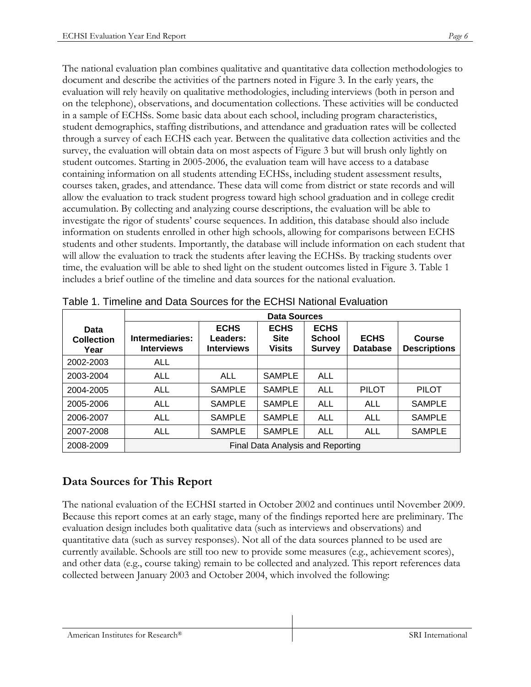The national evaluation plan combines qualitative and quantitative data collection methodologies to document and describe the activities of the partners noted in Figure 3. In the early years, the evaluation will rely heavily on qualitative methodologies, including interviews (both in person and on the telephone), observations, and documentation collections. These activities will be conducted in a sample of ECHSs. Some basic data about each school, including program characteristics, student demographics, staffing distributions, and attendance and graduation rates will be collected through a survey of each ECHS each year. Between the qualitative data collection activities and the survey, the evaluation will obtain data on most aspects of Figure 3 but will brush only lightly on student outcomes. Starting in 2005-2006, the evaluation team will have access to a database containing information on all students attending ECHSs, including student assessment results, courses taken, grades, and attendance. These data will come from district or state records and will allow the evaluation to track student progress toward high school graduation and in college credit accumulation. By collecting and analyzing course descriptions, the evaluation will be able to investigate the rigor of students' course sequences. In addition, this database should also include information on students enrolled in other high schools, allowing for comparisons between ECHS students and other students. Importantly, the database will include information on each student that will allow the evaluation to track the students after leaving the ECHSs. By tracking students over time, the evaluation will be able to shed light on the student outcomes listed in Figure 3. Table 1 includes a brief outline of the timeline and data sources for the national evaluation.

|                                   | <b>Data Sources</b>                  |                                              |                                             |                                               |                                |                               |  |  |
|-----------------------------------|--------------------------------------|----------------------------------------------|---------------------------------------------|-----------------------------------------------|--------------------------------|-------------------------------|--|--|
| Data<br><b>Collection</b><br>Year | Intermediaries:<br><b>Interviews</b> | <b>ECHS</b><br>Leaders:<br><b>Interviews</b> | <b>ECHS</b><br><b>Site</b><br><b>Visits</b> | <b>ECHS</b><br><b>School</b><br><b>Survey</b> | <b>ECHS</b><br><b>Database</b> | Course<br><b>Descriptions</b> |  |  |
| 2002-2003                         | <b>ALL</b>                           |                                              |                                             |                                               |                                |                               |  |  |
| 2003-2004                         | <b>ALL</b>                           | <b>ALL</b>                                   | <b>SAMPLE</b>                               | <b>ALL</b>                                    |                                |                               |  |  |
| 2004-2005                         | <b>ALL</b>                           | <b>SAMPLE</b>                                | <b>SAMPLE</b>                               | <b>ALL</b>                                    | <b>PILOT</b>                   | <b>PILOT</b>                  |  |  |
| 2005-2006                         | <b>ALL</b>                           | <b>SAMPLE</b>                                | <b>SAMPLE</b>                               | <b>ALL</b>                                    | <b>ALL</b>                     | <b>SAMPLE</b>                 |  |  |
| 2006-2007                         | <b>ALL</b>                           | <b>SAMPLE</b>                                | <b>SAMPLE</b>                               | <b>ALL</b>                                    | <b>ALL</b>                     | <b>SAMPLE</b>                 |  |  |
| 2007-2008                         | <b>ALL</b>                           | <b>SAMPLE</b>                                | <b>SAMPLE</b>                               | <b>ALL</b>                                    | <b>ALL</b>                     | <b>SAMPLE</b>                 |  |  |
| 2008-2009                         | Final Data Analysis and Reporting    |                                              |                                             |                                               |                                |                               |  |  |

Table 1. Timeline and Data Sources for the ECHSI National Evaluation

# **Data Sources for This Report**

The national evaluation of the ECHSI started in October 2002 and continues until November 2009. Because this report comes at an early stage, many of the findings reported here are preliminary. The evaluation design includes both qualitative data (such as interviews and observations) and quantitative data (such as survey responses). Not all of the data sources planned to be used are currently available. Schools are still too new to provide some measures (e.g., achievement scores), and other data (e.g., course taking) remain to be collected and analyzed. This report references data collected between January 2003 and October 2004, which involved the following: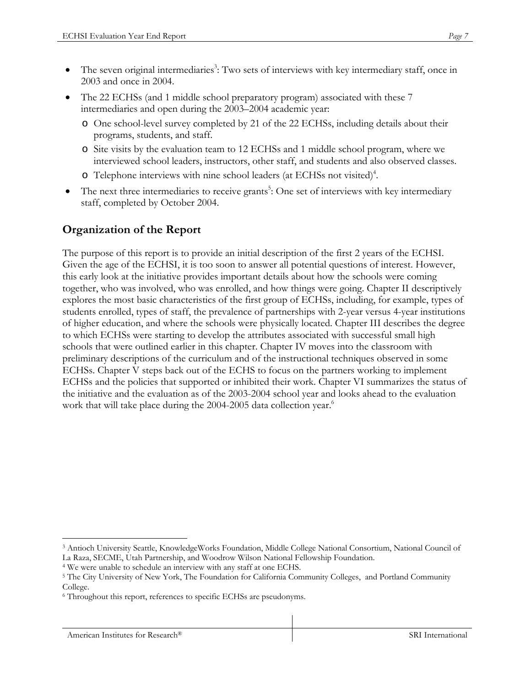- The 22 ECHSs (and 1 middle school preparatory program) associated with these 7 intermediaries and open during the 2003–2004 academic year:
	- o One school-level survey completed by 21 of the 22 ECHSs, including details about their programs, students, and staff.
	- o Site visits by the evaluation team to 12 ECHSs and 1 middle school program, where we interviewed school leaders, instructors, other staff, and students and also observed classes.
	- o Telephone interviews with nine school leaders (at ECHSs not visited)<sup>4</sup>.
- The next three intermediaries to receive grants<sup>5</sup>: One set of interviews with key intermediary staff, completed by October 2004.

# **Organization of the Report**

The purpose of this report is to provide an initial description of the first 2 years of the ECHSI. Given the age of the ECHSI, it is too soon to answer all potential questions of interest. However, this early look at the initiative provides important details about how the schools were coming together, who was involved, who was enrolled, and how things were going. Chapter II descriptively explores the most basic characteristics of the first group of ECHSs, including, for example, types of students enrolled, types of staff, the prevalence of partnerships with 2-year versus 4-year institutions of higher education, and where the schools were physically located. Chapter III describes the degree to which ECHSs were starting to develop the attributes associated with successful small high schools that were outlined earlier in this chapter. Chapter IV moves into the classroom with preliminary descriptions of the curriculum and of the instructional techniques observed in some ECHSs. Chapter V steps back out of the ECHS to focus on the partners working to implement ECHSs and the policies that supported or inhibited their work. Chapter VI summarizes the status of the initiative and the evaluation as of the 2003-2004 school year and looks ahead to the evaluation work that will take place during the 2004-2005 data collection year.<sup>6</sup>

<sup>1</sup> 3 Antioch University Seattle, KnowledgeWorks Foundation, Middle College National Consortium, National Council of

La Raza, SECME, Utah Partnership, and Woodrow Wilson National Fellowship Foundation.<br><sup>4</sup> We were unable to schedule an interview with any staff at one ECHS.<br><sup>5</sup> The City University of New York, The Foundation for Californi College.

<sup>6</sup> Throughout this report, references to specific ECHSs are pseudonyms.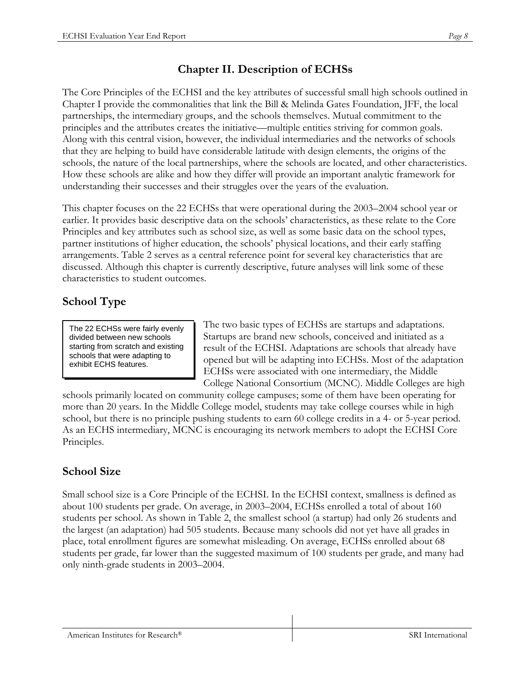# **Chapter II. Description of ECHSs**

The Core Principles of the ECHSI and the key attributes of successful small high schools outlined in Chapter I provide the commonalities that link the Bill & Melinda Gates Foundation, JFF, the local partnerships, the intermediary groups, and the schools themselves. Mutual commitment to the principles and the attributes creates the initiative—multiple entities striving for common goals. Along with this central vision, however, the individual intermediaries and the networks of schools that they are helping to build have considerable latitude with design elements, the origins of the schools, the nature of the local partnerships, where the schools are located, and other characteristics. How these schools are alike and how they differ will provide an important analytic framework for understanding their successes and their struggles over the years of the evaluation.

This chapter focuses on the 22 ECHSs that were operational during the 2003–2004 school year or earlier. It provides basic descriptive data on the schools' characteristics, as these relate to the Core Principles and key attributes such as school size, as well as some basic data on the school types, partner institutions of higher education, the schools' physical locations, and their early staffing arrangements. Table 2 serves as a central reference point for several key characteristics that are discussed. Although this chapter is currently descriptive, future analyses will link some of these characteristics to student outcomes.

# **School Type**

The 22 ECHSs were fairly evenly divided between new schools starting from scratch and existing schools that were adapting to exhibit ECHS features.

The two basic types of ECHSs are startups and adaptations. Startups are brand new schools, conceived and initiated as a result of the ECHSI. Adaptations are schools that already have opened but will be adapting into ECHSs. Most of the adaptation ECHSs were associated with one intermediary, the Middle College National Consortium (MCNC). Middle Colleges are high

schools primarily located on community college campuses; some of them have been operating for more than 20 years. In the Middle College model, students may take college courses while in high school, but there is no principle pushing students to earn 60 college credits in a 4- or 5-year period. As an ECHS intermediary, MCNC is encouraging its network members to adopt the ECHSI Core Principles.

# **School Size**

Small school size is a Core Principle of the ECHSI. In the ECHSI context, smallness is defined as about 100 students per grade. On average, in 2003–2004, ECHSs enrolled a total of about 160 students per school. As shown in Table 2, the smallest school (a startup) had only 26 students and the largest (an adaptation) had 505 students. Because many schools did not yet have all grades in place, total enrollment figures are somewhat misleading. On average, ECHSs enrolled about 68 students per grade, far lower than the suggested maximum of 100 students per grade, and many had only ninth-grade students in 2003–2004.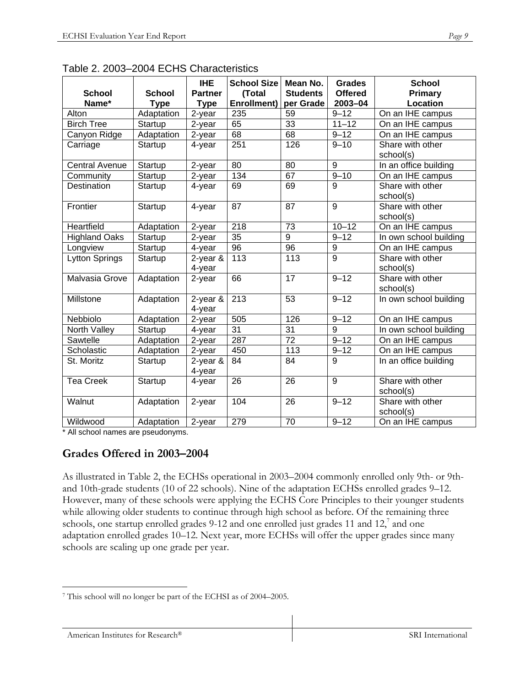| <b>School</b><br>Name* | <b>School</b><br><b>Type</b> | <b>IHE</b><br><b>Partner</b><br><b>Type</b> | <b>School Size</b><br>(Total<br>Enrollment) | Mean No.<br><b>Students</b><br>per Grade | <b>Grades</b><br><b>Offered</b><br>2003-04 | <b>School</b><br><b>Primary</b><br>Location |
|------------------------|------------------------------|---------------------------------------------|---------------------------------------------|------------------------------------------|--------------------------------------------|---------------------------------------------|
| Alton                  | Adaptation                   | 2-year                                      | 235                                         | 59                                       | $9 - 12$                                   | On an IHE campus                            |
| <b>Birch Tree</b>      | Startup                      | 2-year                                      | 65                                          | 33                                       | $11 - 12$                                  | On an IHE campus                            |
| Canyon Ridge           | Adaptation                   | 2-year                                      | 68                                          | 68                                       | $9 - 12$                                   | On an IHE campus                            |
| Carriage               | Startup                      | 4-year                                      | 251                                         | 126                                      | $9 - 10$                                   | Share with other<br>school(s)               |
| <b>Central Avenue</b>  | Startup                      | 2-year                                      | 80                                          | 80                                       | 9                                          | In an office building                       |
| Community              | Startup                      | 2-year                                      | $\frac{134}{x}$                             | 67                                       | $9 - 10$                                   | On an IHE campus                            |
| Destination            | Startup                      | 4-year                                      | 69                                          | 69                                       | 9                                          | Share with other<br>school(s)               |
| Frontier               | Startup                      | 4-year                                      | 87                                          | 87                                       | 9                                          | Share with other<br>school(s)               |
| Heartfield             | Adaptation                   | 2-year                                      | 218                                         | 73                                       | $\overline{10} - 12$                       | On an IHE campus                            |
| <b>Highland Oaks</b>   | Startup                      | 2-year                                      | 35                                          | 9                                        | $9 - 12$                                   | In own school building                      |
| Longview               | Startup                      | 4-year                                      | 96                                          | 96                                       | 9                                          | On an IHE campus                            |
| <b>Lytton Springs</b>  | Startup                      | $2$ -year $\&$<br>4-year                    | 113                                         | 113                                      | 9                                          | Share with other<br>school(s)               |
| Malvasia Grove         | Adaptation                   | 2-year                                      | 66                                          | $\overline{17}$                          | $9 - 12$                                   | Share with other<br>school(s)               |
| Millstone              | Adaptation                   | $2$ -year $\&$<br>4-year                    | $\overline{213}$                            | 53                                       | $9 - 12$                                   | In own school building                      |
| Nebbiolo               | Adaptation                   | $2$ -year                                   | 505                                         | 126                                      | $9 - 12$                                   | On an IHE campus                            |
| North Valley           | Startup                      | 4-year                                      | 31                                          | 31                                       | 9                                          | In own school building                      |
| Sawtelle               | Adaptation                   | 2-year                                      | 287                                         | 72                                       | $9 - 12$                                   | On an IHE campus                            |
| Scholastic             | Adaptation                   | 2-year                                      | 450                                         | 113                                      | $9 - 12$                                   | On an IHE campus                            |
| St. Moritz             | Startup                      | $2$ -year $\&$<br>4-year                    | 84                                          | 84                                       | 9                                          | In an office building                       |
| <b>Tea Creek</b>       | Startup                      | 4-year                                      | 26                                          | 26                                       | 9                                          | Share with other<br>school(s)               |
| Walnut                 | Adaptation                   | 2-year                                      | 104                                         | 26                                       | $9 - 12$                                   | Share with other<br>school(s)               |
| Wildwood               | Adaptation                   | 2-year                                      | 279                                         | 70                                       | $9 - 12$                                   | On an IHE campus                            |

Table 2. 2003–2004 ECHS Characteristics

\* All school names are pseudonyms.

### **Grades Offered in 2003–2004**

As illustrated in Table 2, the ECHSs operational in 2003–2004 commonly enrolled only 9th- or 9thand 10th-grade students (10 of 22 schools). Nine of the adaptation ECHSs enrolled grades 9–12. However, many of these schools were applying the ECHS Core Principles to their younger students while allowing older students to continue through high school as before. Of the remaining three schools, one startup enrolled grades 9-12 and one enrolled just grades 11 and  $12<sup>7</sup>$  and one adaptation enrolled grades 10–12. Next year, more ECHSs will offer the upper grades since many schools are scaling up one grade per year.

 $\overline{a}$ 7 This school will no longer be part of the ECHSI as of 2004–2005.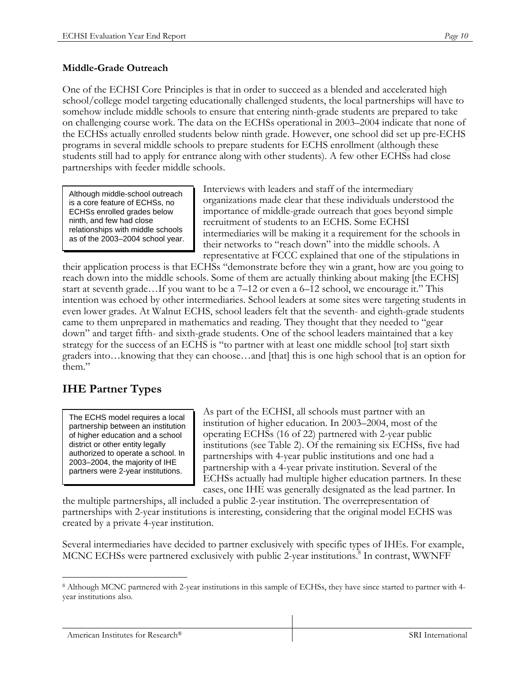### **Middle-Grade Outreach**

One of the ECHSI Core Principles is that in order to succeed as a blended and accelerated high school/college model targeting educationally challenged students, the local partnerships will have to somehow include middle schools to ensure that entering ninth-grade students are prepared to take on challenging course work. The data on the ECHSs operational in 2003–2004 indicate that none of the ECHSs actually enrolled students below ninth grade. However, one school did set up pre-ECHS programs in several middle schools to prepare students for ECHS enrollment (although these students still had to apply for entrance along with other students). A few other ECHSs had close partnerships with feeder middle schools.

Although middle-school outreach is a core feature of ECHSs, no ECHSs enrolled grades below ninth, and few had close relationships with middle schools as of the 2003–2004 school year. Interviews with leaders and staff of the intermediary organizations made clear that these individuals understood the importance of middle-grade outreach that goes beyond simple recruitment of students to an ECHS. Some ECHSI intermediaries will be making it a requirement for the schools in their networks to "reach down" into the middle schools. A representative at FCCC explained that one of the stipulations in

their application process is that ECHSs "demonstrate before they win a grant, how are you going to reach down into the middle schools. Some of them are actually thinking about making [the ECHS] start at seventh grade…If you want to be a 7–12 or even a 6–12 school, we encourage it." This intention was echoed by other intermediaries. School leaders at some sites were targeting students in even lower grades. At Walnut ECHS, school leaders felt that the seventh- and eighth-grade students came to them unprepared in mathematics and reading. They thought that they needed to "gear down" and target fifth- and sixth-grade students. One of the school leaders maintained that a key strategy for the success of an ECHS is "to partner with at least one middle school [to] start sixth graders into…knowing that they can choose…and [that] this is one high school that is an option for them."

# **IHE Partner Types**

The ECHS model requires a local partnership between an institution of higher education and a school district or other entity legally authorized to operate a school. In 2003–2004, the majority of IHE partners were 2-year institutions.

As part of the ECHSI, all schools must partner with an institution of higher education. In 2003–2004, most of the operating ECHSs (16 of 22) partnered with 2-year public institutions (see Table 2). Of the remaining six ECHSs, five had partnerships with 4-year public institutions and one had a partnership with a 4-year private institution. Several of the ECHSs actually had multiple higher education partners. In these cases, one IHE was generally designated as the lead partner. In

the multiple partnerships, all included a public 2-year institution. The overrepresentation of partnerships with 2-year institutions is interesting, considering that the original model ECHS was created by a private 4-year institution.

Several intermediaries have decided to partner exclusively with specific types of IHEs. For example, MCNC ECHSs were partnered exclusively with public 2-year institutions.<sup>8</sup> In contrast, WWNFF

 $\overline{a}$ 8 Although MCNC partnered with 2-year institutions in this sample of ECHSs, they have since started to partner with 4 year institutions also.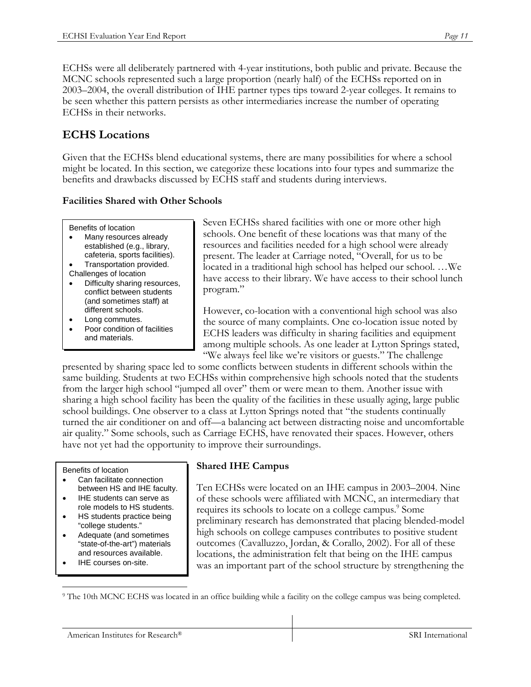ECHSs were all deliberately partnered with 4-year institutions, both public and private. Because the MCNC schools represented such a large proportion (nearly half) of the ECHSs reported on in 2003–2004, the overall distribution of IHE partner types tips toward 2-year colleges. It remains to be seen whether this pattern persists as other intermediaries increase the number of operating ECHSs in their networks.

# **ECHS Locations**

Given that the ECHSs blend educational systems, there are many possibilities for where a school might be located. In this section, we categorize these locations into four types and summarize the benefits and drawbacks discussed by ECHS staff and students during interviews.

### **Facilities Shared with Other Schools**

Benefits of location

- Many resources already established (e.g., library, cafeteria, sports facilities).
- Transportation provided.
- Challenges of location
- Difficulty sharing resources, conflict between students (and sometimes staff) at different schools.
- Long commutes.
- Poor condition of facilities and materials.

Seven ECHSs shared facilities with one or more other high schools. One benefit of these locations was that many of the resources and facilities needed for a high school were already present. The leader at Carriage noted, "Overall, for us to be located in a traditional high school has helped our school. …We have access to their library. We have access to their school lunch program."

However, co-location with a conventional high school was also the source of many complaints. One co-location issue noted by ECHS leaders was difficulty in sharing facilities and equipment among multiple schools. As one leader at Lytton Springs stated, "We always feel like we're visitors or guests." The challenge

presented by sharing space led to some conflicts between students in different schools within the same building. Students at two ECHSs within comprehensive high schools noted that the students from the larger high school "jumped all over" them or were mean to them. Another issue with sharing a high school facility has been the quality of the facilities in these usually aging, large public school buildings. One observer to a class at Lytton Springs noted that "the students continually turned the air conditioner on and off––a balancing act between distracting noise and uncomfortable air quality." Some schools, such as Carriage ECHS, have renovated their spaces. However, others have not yet had the opportunity to improve their surroundings.

#### Benefits of location

- Can facilitate connection between HS and IHE faculty.
- IHE students can serve as role models to HS students.
- HS students practice being "college students."
- Adequate (and sometimes "state-of-the-art") materials and resources available.
- IHE courses on-site.

### **Shared IHE Campus**

Ten ECHSs were located on an IHE campus in 2003–2004. Nine of these schools were affiliated with MCNC, an intermediary that requires its schools to locate on a college campus.<sup>9</sup> Some preliminary research has demonstrated that placing blended-model high schools on college campuses contributes to positive student outcomes (Cavalluzzo, Jordan, & Corallo, 2002). For all of these locations, the administration felt that being on the IHE campus was an important part of the school structure by strengthening the

 $\overline{a}$ 9 The 10th MCNC ECHS was located in an office building while a facility on the college campus was being completed.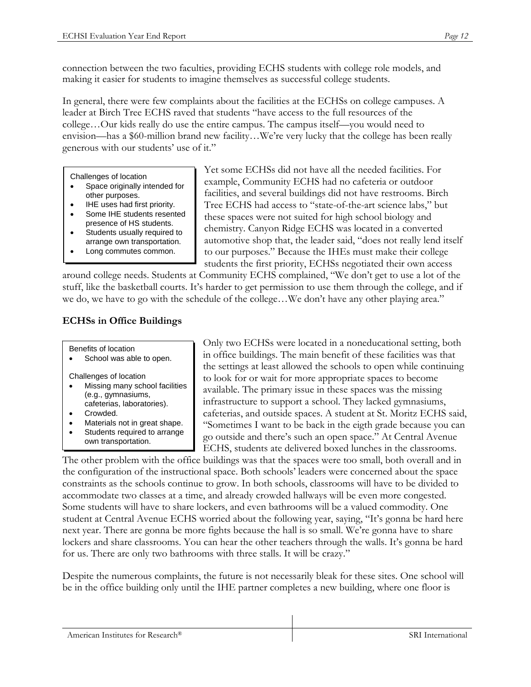connection between the two faculties, providing ECHS students with college role models, and making it easier for students to imagine themselves as successful college students.

In general, there were few complaints about the facilities at the ECHSs on college campuses. A leader at Birch Tree ECHS raved that students "have access to the full resources of the college…Our kids really do use the entire campus. The campus itself—you would need to envision—has a \$60-million brand new facility…We're very lucky that the college has been really generous with our students' use of it."

Challenges of location

- Space originally intended for other purposes.
- IHE uses had first priority.
- Some IHE students resented presence of HS students.
- Students usually required to
- arrange own transportation.
- Long commutes common.

Yet some ECHSs did not have all the needed facilities. For example, Community ECHS had no cafeteria or outdoor facilities, and several buildings did not have restrooms. Birch Tree ECHS had access to "state-of-the-art science labs," but these spaces were not suited for high school biology and chemistry. Canyon Ridge ECHS was located in a converted automotive shop that, the leader said, "does not really lend itself to our purposes." Because the IHEs must make their college students the first priority, ECHSs negotiated their own access

around college needs. Students at Community ECHS complained, "We don't get to use a lot of the stuff, like the basketball courts. It's harder to get permission to use them through the college, and if we do, we have to go with the schedule of the college…We don't have any other playing area."

### **ECHSs in Office Buildings**

Benefits of location

• School was able to open.

Challenges of location

- Missing many school facilities (e.g., gymnasiums, cafeterias, laboratories).
- Crowded.
- Materials not in great shape.
- Students required to arrange own transportation.

Only two ECHSs were located in a noneducational setting, both in office buildings. The main benefit of these facilities was that the settings at least allowed the schools to open while continuing to look for or wait for more appropriate spaces to become available. The primary issue in these spaces was the missing infrastructure to support a school. They lacked gymnasiums, cafeterias, and outside spaces. A student at St. Moritz ECHS said, "Sometimes I want to be back in the eigth grade because you can go outside and there's such an open space." At Central Avenue ECHS, students ate delivered boxed lunches in the classrooms.

The other problem with the office buildings was that the spaces were too small, both overall and in the configuration of the instructional space. Both schools' leaders were concerned about the space constraints as the schools continue to grow. In both schools, classrooms will have to be divided to accommodate two classes at a time, and already crowded hallways will be even more congested. Some students will have to share lockers, and even bathrooms will be a valued commodity. One student at Central Avenue ECHS worried about the following year, saying, "It's gonna be hard here next year. There are gonna be more fights because the hall is so small. We're gonna have to share lockers and share classrooms. You can hear the other teachers through the walls. It's gonna be hard for us. There are only two bathrooms with three stalls. It will be crazy."

Despite the numerous complaints, the future is not necessarily bleak for these sites. One school will be in the office building only until the IHE partner completes a new building, where one floor is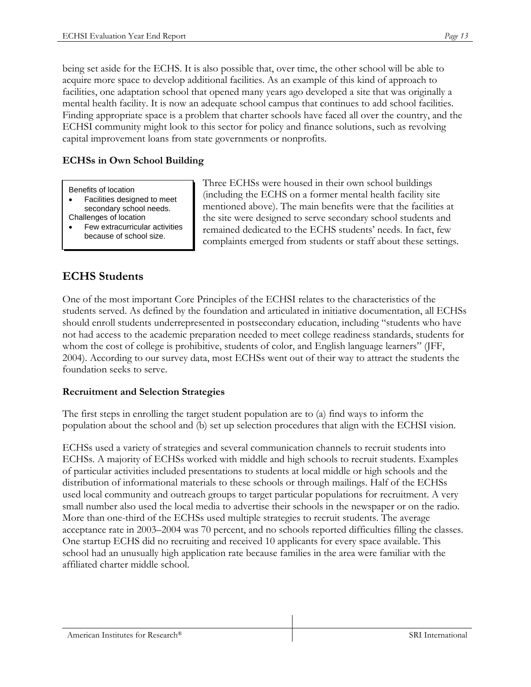being set aside for the ECHS. It is also possible that, over time, the other school will be able to acquire more space to develop additional facilities. As an example of this kind of approach to facilities, one adaptation school that opened many years ago developed a site that was originally a mental health facility. It is now an adequate school campus that continues to add school facilities. Finding appropriate space is a problem that charter schools have faced all over the country, and the ECHSI community might look to this sector for policy and finance solutions, such as revolving capital improvement loans from state governments or nonprofits.

### **ECHSs in Own School Building**

#### Benefits of location

- Facilities designed to meet secondary school needs. Challenges of location
- Few extracurricular activities because of school size.

Three ECHSs were housed in their own school buildings (including the ECHS on a former mental health facility site mentioned above). The main benefits were that the facilities at the site were designed to serve secondary school students and remained dedicated to the ECHS students' needs. In fact, few complaints emerged from students or staff about these settings.

# **ECHS Students**

One of the most important Core Principles of the ECHSI relates to the characteristics of the students served. As defined by the foundation and articulated in initiative documentation, all ECHSs should enroll students underrepresented in postsecondary education, including "students who have not had access to the academic preparation needed to meet college readiness standards, students for whom the cost of college is prohibitive, students of color, and English language learners" (JFF, 2004). According to our survey data, most ECHSs went out of their way to attract the students the foundation seeks to serve.

### **Recruitment and Selection Strategies**

The first steps in enrolling the target student population are to (a) find ways to inform the population about the school and (b) set up selection procedures that align with the ECHSI vision.

ECHSs used a variety of strategies and several communication channels to recruit students into ECHSs. A majority of ECHSs worked with middle and high schools to recruit students. Examples of particular activities included presentations to students at local middle or high schools and the distribution of informational materials to these schools or through mailings. Half of the ECHSs used local community and outreach groups to target particular populations for recruitment. A very small number also used the local media to advertise their schools in the newspaper or on the radio. More than one-third of the ECHSs used multiple strategies to recruit students. The average acceptance rate in 2003–2004 was 70 percent, and no schools reported difficulties filling the classes. One startup ECHS did no recruiting and received 10 applicants for every space available. This school had an unusually high application rate because families in the area were familiar with the affiliated charter middle school.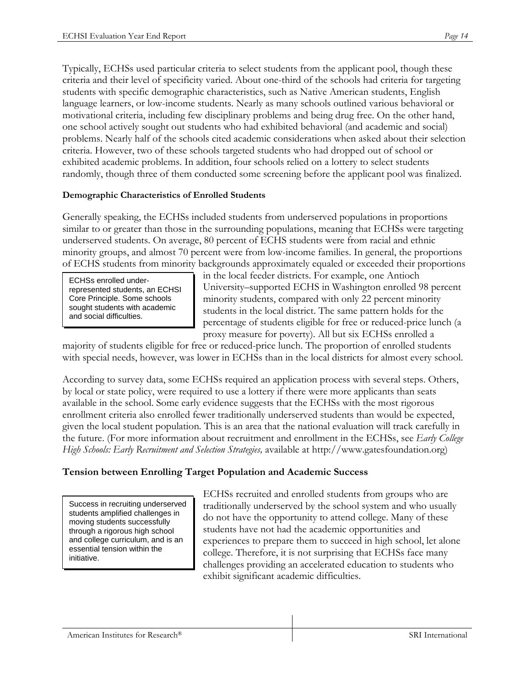Typically, ECHSs used particular criteria to select students from the applicant pool, though these criteria and their level of specificity varied. About one-third of the schools had criteria for targeting students with specific demographic characteristics, such as Native American students, English language learners, or low-income students. Nearly as many schools outlined various behavioral or motivational criteria, including few disciplinary problems and being drug free. On the other hand, one school actively sought out students who had exhibited behavioral (and academic and social) problems. Nearly half of the schools cited academic considerations when asked about their selection criteria. However, two of these schools targeted students who had dropped out of school or exhibited academic problems. In addition, four schools relied on a lottery to select students randomly, though three of them conducted some screening before the applicant pool was finalized.

#### **Demographic Characteristics of Enrolled Students**

Generally speaking, the ECHSs included students from underserved populations in proportions similar to or greater than those in the surrounding populations, meaning that ECHSs were targeting underserved students. On average, 80 percent of ECHS students were from racial and ethnic minority groups, and almost 70 percent were from low-income families. In general, the proportions of ECHS students from minority backgrounds approximately equaled or exceeded their proportions

ECHSs enrolled underrepresented students, an ECHSI Core Principle. Some schools sought students with academic and social difficulties.

in the local feeder districts. For example, one Antioch University–supported ECHS in Washington enrolled 98 percent minority students, compared with only 22 percent minority students in the local district. The same pattern holds for the percentage of students eligible for free or reduced-price lunch (a proxy measure for poverty). All but six ECHSs enrolled a

majority of students eligible for free or reduced-price lunch. The proportion of enrolled students with special needs, however, was lower in ECHSs than in the local districts for almost every school.

According to survey data, some ECHSs required an application process with several steps. Others, by local or state policy, were required to use a lottery if there were more applicants than seats available in the school. Some early evidence suggests that the ECHSs with the most rigorous enrollment criteria also enrolled fewer traditionally underserved students than would be expected, given the local student population. This is an area that the national evaluation will track carefully in the future. (For more information about recruitment and enrollment in the ECHSs, see *Early College High Schools: Early Recruitment and Selection Strategies,* available at http://www.gatesfoundation.org)

### **Tension between Enrolling Target Population and Academic Success**

Success in recruiting underserved students amplified challenges in moving students successfully through a rigorous high school and college curriculum, and is an essential tension within the initiative.

ECHSs recruited and enrolled students from groups who are traditionally underserved by the school system and who usually do not have the opportunity to attend college. Many of these students have not had the academic opportunities and experiences to prepare them to succeed in high school, let alone college. Therefore, it is not surprising that ECHSs face many challenges providing an accelerated education to students who exhibit significant academic difficulties.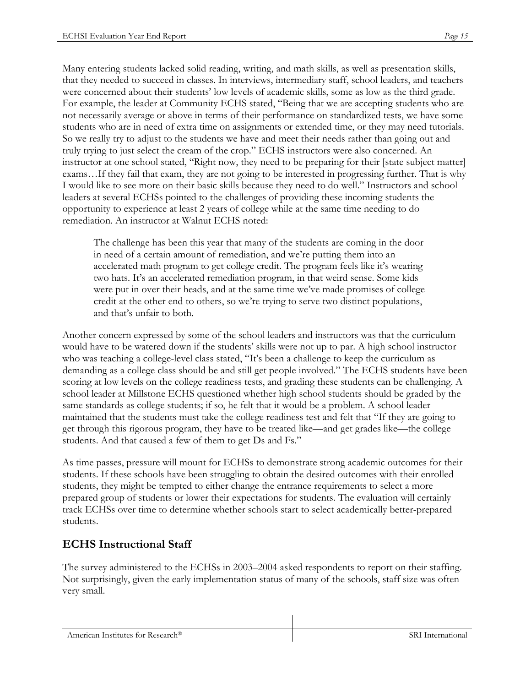Many entering students lacked solid reading, writing, and math skills, as well as presentation skills, that they needed to succeed in classes. In interviews, intermediary staff, school leaders, and teachers were concerned about their students' low levels of academic skills, some as low as the third grade. For example, the leader at Community ECHS stated, "Being that we are accepting students who are not necessarily average or above in terms of their performance on standardized tests, we have some students who are in need of extra time on assignments or extended time, or they may need tutorials. So we really try to adjust to the students we have and meet their needs rather than going out and truly trying to just select the cream of the crop." ECHS instructors were also concerned. An instructor at one school stated, "Right now, they need to be preparing for their [state subject matter] exams…If they fail that exam, they are not going to be interested in progressing further. That is why I would like to see more on their basic skills because they need to do well." Instructors and school leaders at several ECHSs pointed to the challenges of providing these incoming students the opportunity to experience at least 2 years of college while at the same time needing to do remediation. An instructor at Walnut ECHS noted:

The challenge has been this year that many of the students are coming in the door in need of a certain amount of remediation, and we're putting them into an accelerated math program to get college credit. The program feels like it's wearing two hats. It's an accelerated remediation program, in that weird sense. Some kids were put in over their heads, and at the same time we've made promises of college credit at the other end to others, so we're trying to serve two distinct populations, and that's unfair to both.

Another concern expressed by some of the school leaders and instructors was that the curriculum would have to be watered down if the students' skills were not up to par. A high school instructor who was teaching a college-level class stated, "It's been a challenge to keep the curriculum as demanding as a college class should be and still get people involved." The ECHS students have been scoring at low levels on the college readiness tests, and grading these students can be challenging. A school leader at Millstone ECHS questioned whether high school students should be graded by the same standards as college students; if so, he felt that it would be a problem. A school leader maintained that the students must take the college readiness test and felt that "If they are going to get through this rigorous program, they have to be treated like—and get grades like—the college students. And that caused a few of them to get Ds and Fs."

As time passes, pressure will mount for ECHSs to demonstrate strong academic outcomes for their students. If these schools have been struggling to obtain the desired outcomes with their enrolled students, they might be tempted to either change the entrance requirements to select a more prepared group of students or lower their expectations for students. The evaluation will certainly track ECHSs over time to determine whether schools start to select academically better-prepared students.

# **ECHS Instructional Staff**

The survey administered to the ECHSs in 2003–2004 asked respondents to report on their staffing. Not surprisingly, given the early implementation status of many of the schools, staff size was often very small.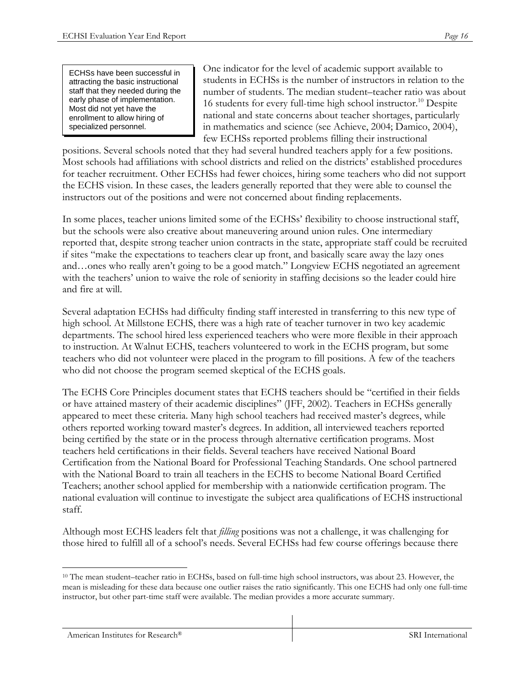ECHSs have been successful in attracting the basic instructional staff that they needed during the early phase of implementation. Most did not yet have the enrollment to allow hiring of specialized personnel.

One indicator for the level of academic support available to students in ECHSs is the number of instructors in relation to the number of students. The median student–teacher ratio was about 16 students for every full-time high school instructor.<sup>10</sup> Despite national and state concerns about teacher shortages, particularly in mathematics and science (see Achieve, 2004; Damico, 2004), few ECHSs reported problems filling their instructional

positions. Several schools noted that they had several hundred teachers apply for a few positions. Most schools had affiliations with school districts and relied on the districts' established procedures for teacher recruitment. Other ECHSs had fewer choices, hiring some teachers who did not support the ECHS vision. In these cases, the leaders generally reported that they were able to counsel the instructors out of the positions and were not concerned about finding replacements.

In some places, teacher unions limited some of the ECHSs' flexibility to choose instructional staff, but the schools were also creative about maneuvering around union rules. One intermediary reported that, despite strong teacher union contracts in the state, appropriate staff could be recruited if sites "make the expectations to teachers clear up front, and basically scare away the lazy ones and…ones who really aren't going to be a good match." Longview ECHS negotiated an agreement with the teachers' union to waive the role of seniority in staffing decisions so the leader could hire and fire at will.

Several adaptation ECHSs had difficulty finding staff interested in transferring to this new type of high school. At Millstone ECHS, there was a high rate of teacher turnover in two key academic departments. The school hired less experienced teachers who were more flexible in their approach to instruction. At Walnut ECHS, teachers volunteered to work in the ECHS program, but some teachers who did not volunteer were placed in the program to fill positions. A few of the teachers who did not choose the program seemed skeptical of the ECHS goals.

The ECHS Core Principles document states that ECHS teachers should be "certified in their fields or have attained mastery of their academic disciplines" (JFF, 2002). Teachers in ECHSs generally appeared to meet these criteria. Many high school teachers had received master's degrees, while others reported working toward master's degrees. In addition, all interviewed teachers reported being certified by the state or in the process through alternative certification programs. Most teachers held certifications in their fields. Several teachers have received National Board Certification from the National Board for Professional Teaching Standards. One school partnered with the National Board to train all teachers in the ECHS to become National Board Certified Teachers; another school applied for membership with a nationwide certification program. The national evaluation will continue to investigate the subject area qualifications of ECHS instructional staff.

Although most ECHS leaders felt that *filling* positions was not a challenge, it was challenging for those hired to fulfill all of a school's needs. Several ECHSs had few course offerings because there

<sup>1</sup> 10 The mean student–teacher ratio in ECHSs, based on full-time high school instructors, was about 23. However, the mean is misleading for these data because one outlier raises the ratio significantly. This one ECHS had only one full-time instructor, but other part-time staff were available. The median provides a more accurate summary.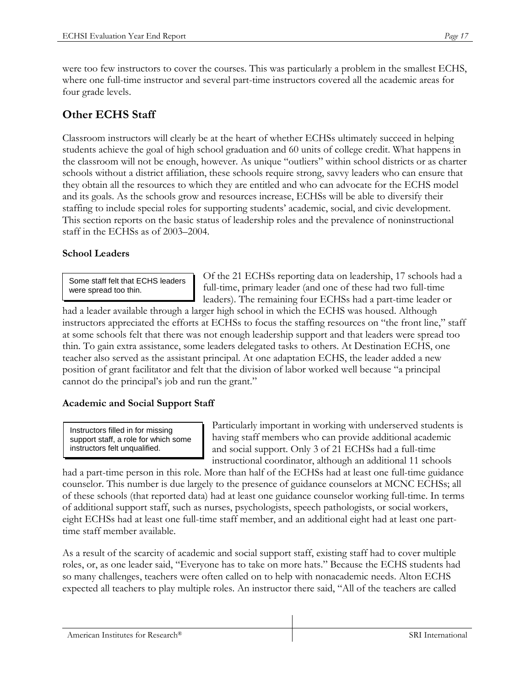were too few instructors to cover the courses. This was particularly a problem in the smallest ECHS, where one full-time instructor and several part-time instructors covered all the academic areas for four grade levels.

# **Other ECHS Staff**

Classroom instructors will clearly be at the heart of whether ECHSs ultimately succeed in helping students achieve the goal of high school graduation and 60 units of college credit. What happens in the classroom will not be enough, however. As unique "outliers" within school districts or as charter schools without a district affiliation, these schools require strong, savvy leaders who can ensure that they obtain all the resources to which they are entitled and who can advocate for the ECHS model and its goals. As the schools grow and resources increase, ECHSs will be able to diversify their staffing to include special roles for supporting students' academic, social, and civic development. This section reports on the basic status of leadership roles and the prevalence of noninstructional staff in the ECHSs as of 2003–2004.

### **School Leaders**

Some staff felt that ECHS leaders were spread too thin.

Of the 21 ECHSs reporting data on leadership, 17 schools had a full-time, primary leader (and one of these had two full-time leaders). The remaining four ECHSs had a part-time leader or

had a leader available through a larger high school in which the ECHS was housed. Although instructors appreciated the efforts at ECHSs to focus the staffing resources on "the front line," staff at some schools felt that there was not enough leadership support and that leaders were spread too thin. To gain extra assistance, some leaders delegated tasks to others. At Destination ECHS, one teacher also served as the assistant principal. At one adaptation ECHS, the leader added a new position of grant facilitator and felt that the division of labor worked well because "a principal cannot do the principal's job and run the grant."

### **Academic and Social Support Staff**

Instructors filled in for missing support staff, a role for which some instructors felt unqualified.

Particularly important in working with underserved students is having staff members who can provide additional academic and social support. Only 3 of 21 ECHSs had a full-time instructional coordinator, although an additional 11 schools

had a part-time person in this role. More than half of the ECHSs had at least one full-time guidance counselor. This number is due largely to the presence of guidance counselors at MCNC ECHSs; all of these schools (that reported data) had at least one guidance counselor working full-time. In terms of additional support staff, such as nurses, psychologists, speech pathologists, or social workers, eight ECHSs had at least one full-time staff member, and an additional eight had at least one parttime staff member available.

As a result of the scarcity of academic and social support staff, existing staff had to cover multiple roles, or, as one leader said, "Everyone has to take on more hats." Because the ECHS students had so many challenges, teachers were often called on to help with nonacademic needs. Alton ECHS expected all teachers to play multiple roles. An instructor there said, "All of the teachers are called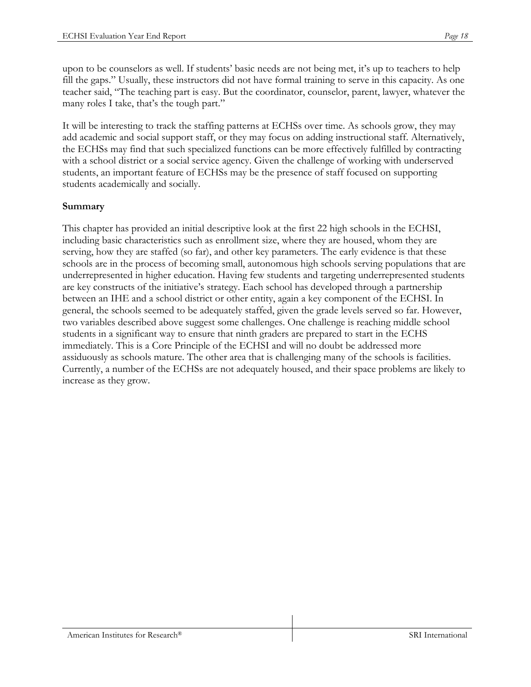upon to be counselors as well. If students' basic needs are not being met, it's up to teachers to help fill the gaps." Usually, these instructors did not have formal training to serve in this capacity. As one teacher said, "The teaching part is easy. But the coordinator, counselor, parent, lawyer, whatever the many roles I take, that's the tough part."

It will be interesting to track the staffing patterns at ECHSs over time. As schools grow, they may add academic and social support staff, or they may focus on adding instructional staff. Alternatively, the ECHSs may find that such specialized functions can be more effectively fulfilled by contracting with a school district or a social service agency. Given the challenge of working with underserved students, an important feature of ECHSs may be the presence of staff focused on supporting students academically and socially.

### **Summary**

This chapter has provided an initial descriptive look at the first 22 high schools in the ECHSI, including basic characteristics such as enrollment size, where they are housed, whom they are serving, how they are staffed (so far), and other key parameters. The early evidence is that these schools are in the process of becoming small, autonomous high schools serving populations that are underrepresented in higher education. Having few students and targeting underrepresented students are key constructs of the initiative's strategy. Each school has developed through a partnership between an IHE and a school district or other entity, again a key component of the ECHSI. In general, the schools seemed to be adequately staffed, given the grade levels served so far. However, two variables described above suggest some challenges. One challenge is reaching middle school students in a significant way to ensure that ninth graders are prepared to start in the ECHS immediately. This is a Core Principle of the ECHSI and will no doubt be addressed more assiduously as schools mature. The other area that is challenging many of the schools is facilities. Currently, a number of the ECHSs are not adequately housed, and their space problems are likely to increase as they grow.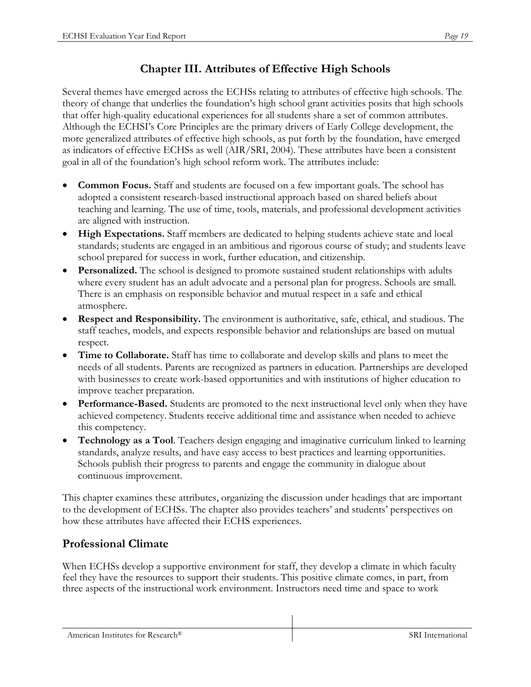# **Chapter III. Attributes of Effective High Schools**

Several themes have emerged across the ECHSs relating to attributes of effective high schools. The theory of change that underlies the foundation's high school grant activities posits that high schools that offer high-quality educational experiences for all students share a set of common attributes. Although the ECHSI's Core Principles are the primary drivers of Early College development, the more generalized attributes of effective high schools, as put forth by the foundation, have emerged as indicators of effective ECHSs as well (AIR/SRI, 2004). These attributes have been a consistent goal in all of the foundation's high school reform work. The attributes include:

- **Common Focus.** Staff and students are focused on a few important goals. The school has adopted a consistent research-based instructional approach based on shared beliefs about teaching and learning. The use of time, tools, materials, and professional development activities are aligned with instruction.
- **High Expectations.** Staff members are dedicated to helping students achieve state and local standards; students are engaged in an ambitious and rigorous course of study; and students leave school prepared for success in work, further education, and citizenship.
- **Personalized.** The school is designed to promote sustained student relationships with adults where every student has an adult advocate and a personal plan for progress. Schools are small. There is an emphasis on responsible behavior and mutual respect in a safe and ethical atmosphere.
- **Respect and Responsibility.** The environment is authoritative, safe, ethical, and studious. The staff teaches, models, and expects responsible behavior and relationships are based on mutual respect.
- **Time to Collaborate.** Staff has time to collaborate and develop skills and plans to meet the needs of all students. Parents are recognized as partners in education. Partnerships are developed with businesses to create work-based opportunities and with institutions of higher education to improve teacher preparation.
- **Performance-Based.** Students are promoted to the next instructional level only when they have achieved competency. Students receive additional time and assistance when needed to achieve this competency.
- **Technology as a Tool**. Teachers design engaging and imaginative curriculum linked to learning standards, analyze results, and have easy access to best practices and learning opportunities. Schools publish their progress to parents and engage the community in dialogue about continuous improvement.

This chapter examines these attributes, organizing the discussion under headings that are important to the development of ECHSs. The chapter also provides teachers' and students' perspectives on how these attributes have affected their ECHS experiences.

# **Professional Climate**

When ECHSs develop a supportive environment for staff, they develop a climate in which faculty feel they have the resources to support their students. This positive climate comes, in part, from three aspects of the instructional work environment. Instructors need time and space to work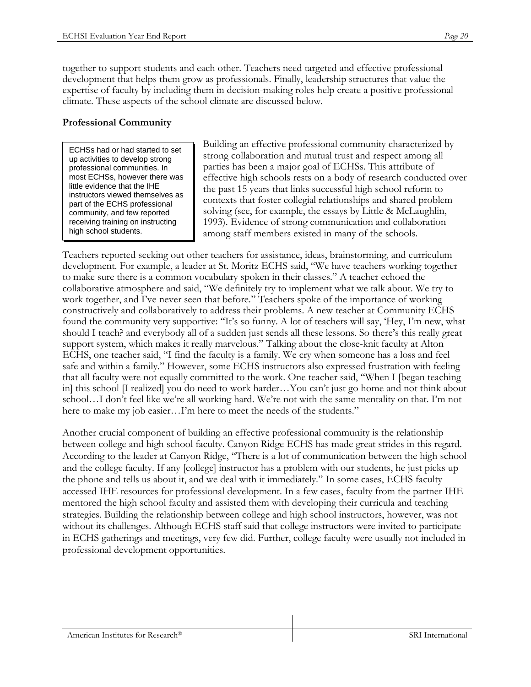together to support students and each other. Teachers need targeted and effective professional development that helps them grow as professionals. Finally, leadership structures that value the expertise of faculty by including them in decision-making roles help create a positive professional climate. These aspects of the school climate are discussed below.

### **Professional Community**

ECHSs had or had started to set up activities to develop strong professional communities. In most ECHSs, however there was little evidence that the IHE instructors viewed themselves as part of the ECHS professional community, and few reported receiving training on instructing high school students.

Building an effective professional community characterized by strong collaboration and mutual trust and respect among all parties has been a major goal of ECHSs. This attribute of effective high schools rests on a body of research conducted over the past 15 years that links successful high school reform to contexts that foster collegial relationships and shared problem solving (see, for example, the essays by Little & McLaughlin, 1993). Evidence of strong communication and collaboration among staff members existed in many of the schools.

Teachers reported seeking out other teachers for assistance, ideas, brainstorming, and curriculum development. For example, a leader at St. Moritz ECHS said, "We have teachers working together to make sure there is a common vocabulary spoken in their classes." A teacher echoed the collaborative atmosphere and said, "We definitely try to implement what we talk about. We try to work together, and I've never seen that before." Teachers spoke of the importance of working constructively and collaboratively to address their problems. A new teacher at Community ECHS found the community very supportive: "It's so funny. A lot of teachers will say, 'Hey, I'm new, what should I teach? and everybody all of a sudden just sends all these lessons. So there's this really great support system, which makes it really marvelous." Talking about the close-knit faculty at Alton ECHS, one teacher said, "I find the faculty is a family. We cry when someone has a loss and feel safe and within a family." However, some ECHS instructors also expressed frustration with feeling that all faculty were not equally committed to the work. One teacher said, "When I [began teaching in] this school [I realized] you do need to work harder…You can't just go home and not think about school…I don't feel like we're all working hard. We're not with the same mentality on that. I'm not here to make my job easier...I'm here to meet the needs of the students."

Another crucial component of building an effective professional community is the relationship between college and high school faculty. Canyon Ridge ECHS has made great strides in this regard. According to the leader at Canyon Ridge, "There is a lot of communication between the high school and the college faculty. If any [college] instructor has a problem with our students, he just picks up the phone and tells us about it, and we deal with it immediately." In some cases, ECHS faculty accessed IHE resources for professional development. In a few cases, faculty from the partner IHE mentored the high school faculty and assisted them with developing their curricula and teaching strategies. Building the relationship between college and high school instructors, however, was not without its challenges. Although ECHS staff said that college instructors were invited to participate in ECHS gatherings and meetings, very few did. Further, college faculty were usually not included in professional development opportunities.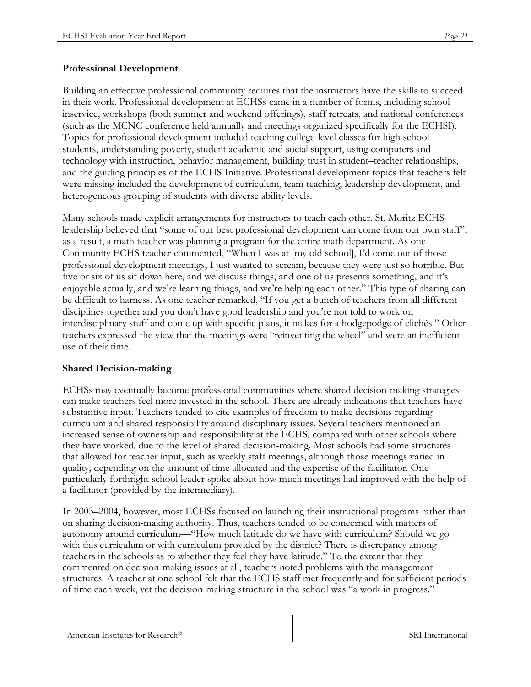#### **Professional Development**

Building an effective professional community requires that the instructors have the skills to succeed in their work. Professional development at ECHSs came in a number of forms, including school inservice, workshops (both summer and weekend offerings), staff retreats, and national conferences (such as the MCNC conference held annually and meetings organized specifically for the ECHSI). Topics for professional development included teaching college-level classes for high school students, understanding poverty, student academic and social support, using computers and technology with instruction, behavior management, building trust in student–teacher relationships, and the guiding principles of the ECHS Initiative. Professional development topics that teachers felt were missing included the development of curriculum, team teaching, leadership development, and heterogeneous grouping of students with diverse ability levels.

Many schools made explicit arrangements for instructors to teach each other. St. Moritz ECHS leadership believed that "some of our best professional development can come from our own staff"; as a result, a math teacher was planning a program for the entire math department. As one Community ECHS teacher commented, "When I was at [my old school], I'd come out of those professional development meetings, I just wanted to scream, because they were just so horrible. But five or six of us sit down here, and we discuss things, and one of us presents something, and it's enjoyable actually, and we're learning things, and we're helping each other." This type of sharing can be difficult to harness. As one teacher remarked, "If you get a bunch of teachers from all different disciplines together and you don't have good leadership and you're not told to work on interdisciplinary stuff and come up with specific plans, it makes for a hodgepodge of clichés." Other teachers expressed the view that the meetings were "reinventing the wheel" and were an inefficient use of their time.

#### **Shared Decision-making**

ECHSs may eventually become professional communities where shared decision-making strategies can make teachers feel more invested in the school. There are already indications that teachers have substantive input. Teachers tended to cite examples of freedom to make decisions regarding curriculum and shared responsibility around disciplinary issues. Several teachers mentioned an increased sense of ownership and responsibility at the ECHS, compared with other schools where they have worked, due to the level of shared decision-making. Most schools had some structures that allowed for teacher input, such as weekly staff meetings, although those meetings varied in quality, depending on the amount of time allocated and the expertise of the facilitator. One particularly forthright school leader spoke about how much meetings had improved with the help of a facilitator (provided by the intermediary).

In 2003–2004, however, most ECHSs focused on launching their instructional programs rather than on sharing decision-making authority. Thus, teachers tended to be concerned with matters of autonomy around curriculum—"How much latitude do we have with curriculum? Should we go with this curriculum or with curriculum provided by the district? There is discrepancy among teachers in the schools as to whether they feel they have latitude." To the extent that they commented on decision-making issues at all, teachers noted problems with the management structures. A teacher at one school felt that the ECHS staff met frequently and for sufficient periods of time each week, yet the decision-making structure in the school was "a work in progress."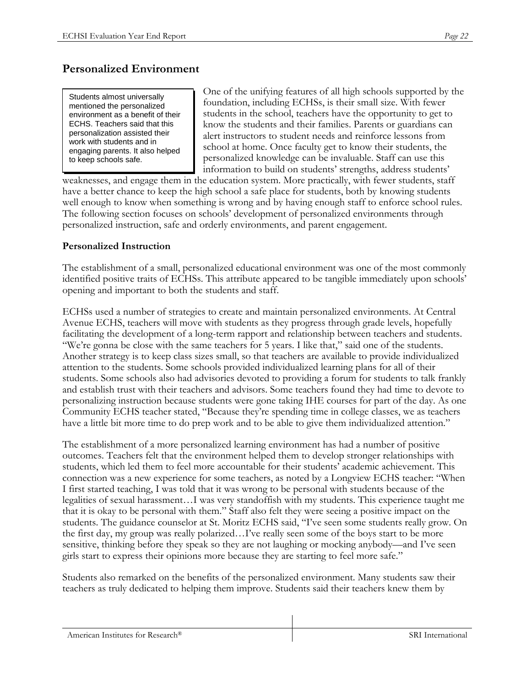# **Personalized Environment**

Students almost universally mentioned the personalized environment as a benefit of their ECHS. Teachers said that this personalization assisted their work with students and in engaging parents. It also helped to keep schools safe.

One of the unifying features of all high schools supported by the foundation, including ECHSs, is their small size. With fewer students in the school, teachers have the opportunity to get to know the students and their families. Parents or guardians can alert instructors to student needs and reinforce lessons from school at home. Once faculty get to know their students, the personalized knowledge can be invaluable. Staff can use this information to build on students' strengths, address students'

weaknesses, and engage them in the education system. More practically, with fewer students, staff have a better chance to keep the high school a safe place for students, both by knowing students well enough to know when something is wrong and by having enough staff to enforce school rules. The following section focuses on schools' development of personalized environments through personalized instruction, safe and orderly environments, and parent engagement.

#### **Personalized Instruction**

The establishment of a small, personalized educational environment was one of the most commonly identified positive traits of ECHSs. This attribute appeared to be tangible immediately upon schools' opening and important to both the students and staff.

ECHSs used a number of strategies to create and maintain personalized environments. At Central Avenue ECHS, teachers will move with students as they progress through grade levels, hopefully facilitating the development of a long-term rapport and relationship between teachers and students. "We're gonna be close with the same teachers for 5 years. I like that," said one of the students. Another strategy is to keep class sizes small, so that teachers are available to provide individualized attention to the students. Some schools provided individualized learning plans for all of their students. Some schools also had advisories devoted to providing a forum for students to talk frankly and establish trust with their teachers and advisors. Some teachers found they had time to devote to personalizing instruction because students were gone taking IHE courses for part of the day. As one Community ECHS teacher stated, "Because they're spending time in college classes, we as teachers have a little bit more time to do prep work and to be able to give them individualized attention."

The establishment of a more personalized learning environment has had a number of positive outcomes. Teachers felt that the environment helped them to develop stronger relationships with students, which led them to feel more accountable for their students' academic achievement. This connection was a new experience for some teachers, as noted by a Longview ECHS teacher: "When I first started teaching, I was told that it was wrong to be personal with students because of the legalities of sexual harassment…I was very standoffish with my students. This experience taught me that it is okay to be personal with them." Staff also felt they were seeing a positive impact on the students. The guidance counselor at St. Moritz ECHS said, "I've seen some students really grow. On the first day, my group was really polarized…I've really seen some of the boys start to be more sensitive, thinking before they speak so they are not laughing or mocking anybody––and I've seen girls start to express their opinions more because they are starting to feel more safe."

Students also remarked on the benefits of the personalized environment. Many students saw their teachers as truly dedicated to helping them improve. Students said their teachers knew them by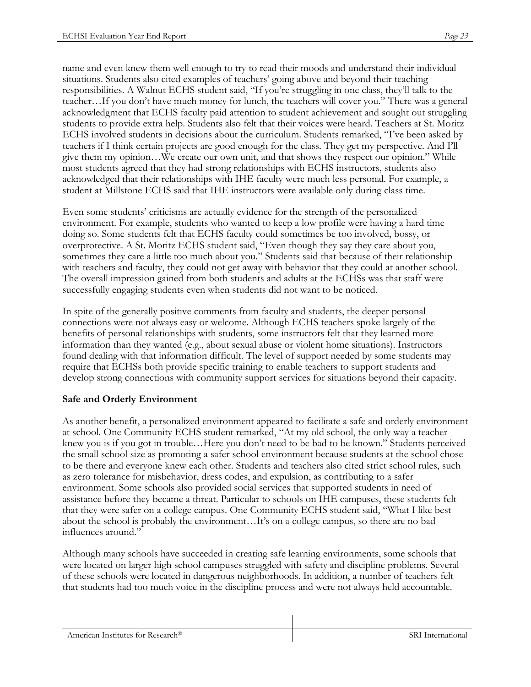name and even knew them well enough to try to read their moods and understand their individual situations. Students also cited examples of teachers' going above and beyond their teaching responsibilities. A Walnut ECHS student said, "If you're struggling in one class, they'll talk to the teacher…If you don't have much money for lunch, the teachers will cover you." There was a general acknowledgment that ECHS faculty paid attention to student achievement and sought out struggling students to provide extra help. Students also felt that their voices were heard. Teachers at St. Moritz ECHS involved students in decisions about the curriculum. Students remarked, "I've been asked by teachers if I think certain projects are good enough for the class. They get my perspective. And I'll give them my opinion…We create our own unit, and that shows they respect our opinion." While most students agreed that they had strong relationships with ECHS instructors, students also acknowledged that their relationships with IHE faculty were much less personal. For example, a student at Millstone ECHS said that IHE instructors were available only during class time.

Even some students' criticisms are actually evidence for the strength of the personalized environment. For example, students who wanted to keep a low profile were having a hard time doing so. Some students felt that ECHS faculty could sometimes be too involved, bossy, or overprotective. A St. Moritz ECHS student said, "Even though they say they care about you, sometimes they care a little too much about you." Students said that because of their relationship with teachers and faculty, they could not get away with behavior that they could at another school. The overall impression gained from both students and adults at the ECHSs was that staff were successfully engaging students even when students did not want to be noticed.

In spite of the generally positive comments from faculty and students, the deeper personal connections were not always easy or welcome. Although ECHS teachers spoke largely of the benefits of personal relationships with students, some instructors felt that they learned more information than they wanted (e.g., about sexual abuse or violent home situations). Instructors found dealing with that information difficult. The level of support needed by some students may require that ECHSs both provide specific training to enable teachers to support students and develop strong connections with community support services for situations beyond their capacity.

### **Safe and Orderly Environment**

As another benefit, a personalized environment appeared to facilitate a safe and orderly environment at school. One Community ECHS student remarked, "At my old school, the only way a teacher knew you is if you got in trouble…Here you don't need to be bad to be known." Students perceived the small school size as promoting a safer school environment because students at the school chose to be there and everyone knew each other. Students and teachers also cited strict school rules, such as zero tolerance for misbehavior, dress codes, and expulsion, as contributing to a safer environment. Some schools also provided social services that supported students in need of assistance before they became a threat. Particular to schools on IHE campuses, these students felt that they were safer on a college campus. One Community ECHS student said, "What I like best about the school is probably the environment…It's on a college campus, so there are no bad influences around."

Although many schools have succeeded in creating safe learning environments, some schools that were located on larger high school campuses struggled with safety and discipline problems. Several of these schools were located in dangerous neighborhoods. In addition, a number of teachers felt that students had too much voice in the discipline process and were not always held accountable.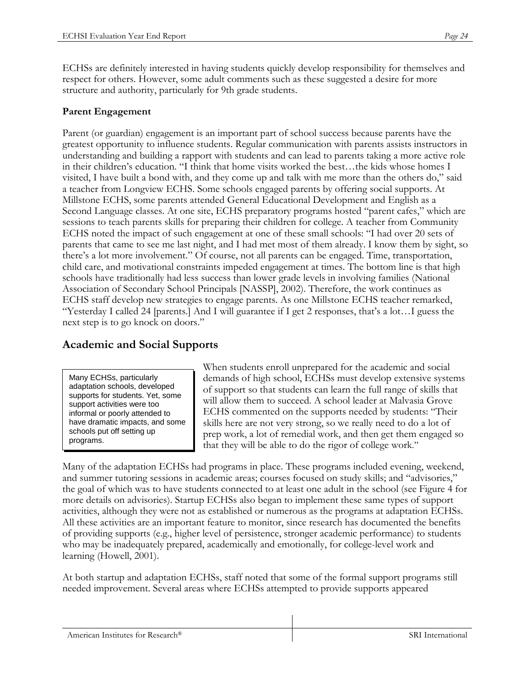ECHSs are definitely interested in having students quickly develop responsibility for themselves and respect for others. However, some adult comments such as these suggested a desire for more structure and authority, particularly for 9th grade students.

### **Parent Engagement**

Parent (or guardian) engagement is an important part of school success because parents have the greatest opportunity to influence students. Regular communication with parents assists instructors in understanding and building a rapport with students and can lead to parents taking a more active role in their children's education. "I think that home visits worked the best…the kids whose homes I visited, I have built a bond with, and they come up and talk with me more than the others do," said a teacher from Longview ECHS. Some schools engaged parents by offering social supports. At Millstone ECHS, some parents attended General Educational Development and English as a Second Language classes. At one site, ECHS preparatory programs hosted "parent cafes," which are sessions to teach parents skills for preparing their children for college. A teacher from Community ECHS noted the impact of such engagement at one of these small schools: "I had over 20 sets of parents that came to see me last night, and I had met most of them already. I know them by sight, so there's a lot more involvement." Of course, not all parents can be engaged. Time, transportation, child care, and motivational constraints impeded engagement at times. The bottom line is that high schools have traditionally had less success than lower grade levels in involving families (National Association of Secondary School Principals [NASSP], 2002). Therefore, the work continues as ECHS staff develop new strategies to engage parents. As one Millstone ECHS teacher remarked, "Yesterday I called 24 [parents.] And I will guarantee if I get 2 responses, that's a lot…I guess the next step is to go knock on doors."

### **Academic and Social Supports**

Many ECHSs, particularly adaptation schools, developed supports for students. Yet, some support activities were too informal or poorly attended to have dramatic impacts, and some schools put off setting up programs.

When students enroll unprepared for the academic and social demands of high school, ECHSs must develop extensive systems of support so that students can learn the full range of skills that will allow them to succeed. A school leader at Malvasia Grove ECHS commented on the supports needed by students: "Their skills here are not very strong, so we really need to do a lot of prep work, a lot of remedial work, and then get them engaged so that they will be able to do the rigor of college work."

Many of the adaptation ECHSs had programs in place. These programs included evening, weekend, and summer tutoring sessions in academic areas; courses focused on study skills; and "advisories," the goal of which was to have students connected to at least one adult in the school (see Figure 4 for more details on advisories). Startup ECHSs also began to implement these same types of support activities, although they were not as established or numerous as the programs at adaptation ECHSs. All these activities are an important feature to monitor, since research has documented the benefits of providing supports (e.g., higher level of persistence, stronger academic performance) to students who may be inadequately prepared, academically and emotionally, for college-level work and learning (Howell, 2001).

At both startup and adaptation ECHSs, staff noted that some of the formal support programs still needed improvement. Several areas where ECHSs attempted to provide supports appeared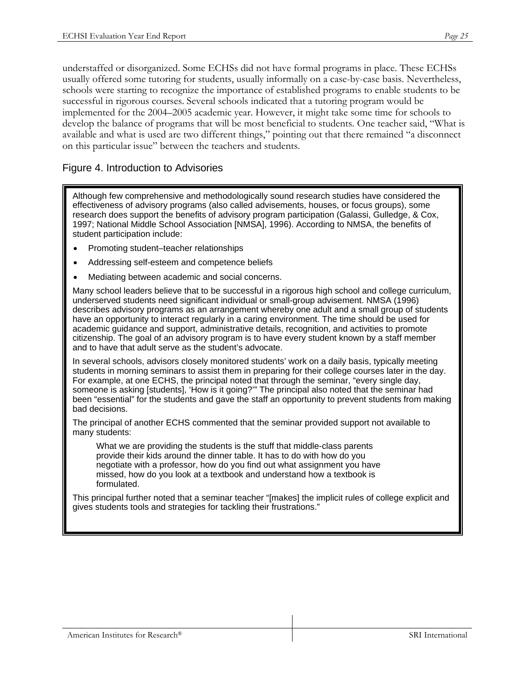understaffed or disorganized. Some ECHSs did not have formal programs in place. These ECHSs usually offered some tutoring for students, usually informally on a case-by-case basis. Nevertheless, schools were starting to recognize the importance of established programs to enable students to be successful in rigorous courses. Several schools indicated that a tutoring program would be implemented for the 2004–2005 academic year. However, it might take some time for schools to develop the balance of programs that will be most beneficial to students. One teacher said, "What is available and what is used are two different things," pointing out that there remained "a disconnect on this particular issue" between the teachers and students.

### Figure 4. Introduction to Advisories

Although few comprehensive and methodologically sound research studies have considered the effectiveness of advisory programs (also called advisements, houses, or focus groups), some research does support the benefits of advisory program participation (Galassi, Gulledge, & Cox, 1997; National Middle School Association [NMSA], 1996). According to NMSA, the benefits of student participation include:

- Promoting student–teacher relationships
- Addressing self-esteem and competence beliefs
- Mediating between academic and social concerns.

Many school leaders believe that to be successful in a rigorous high school and college curriculum, underserved students need significant individual or small-group advisement. NMSA (1996) describes advisory programs as an arrangement whereby one adult and a small group of students have an opportunity to interact regularly in a caring environment. The time should be used for academic guidance and support, administrative details, recognition, and activities to promote citizenship. The goal of an advisory program is to have every student known by a staff member and to have that adult serve as the student's advocate.

In several schools, advisors closely monitored students' work on a daily basis, typically meeting students in morning seminars to assist them in preparing for their college courses later in the day. For example, at one ECHS, the principal noted that through the seminar, "every single day, someone is asking [students], 'How is it going?'" The principal also noted that the seminar had been "essential" for the students and gave the staff an opportunity to prevent students from making bad decisions.

The principal of another ECHS commented that the seminar provided support not available to many students:

What we are providing the students is the stuff that middle-class parents provide their kids around the dinner table. It has to do with how do you negotiate with a professor, how do you find out what assignment you have missed, how do you look at a textbook and understand how a textbook is formulated.

This principal further noted that a seminar teacher "[makes] the implicit rules of college explicit and gives students tools and strategies for tackling their frustrations."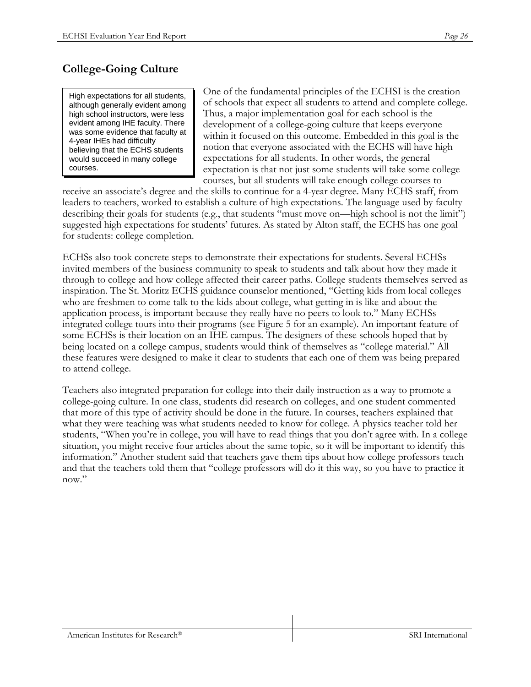# **College-Going Culture**

High expectations for all students, although generally evident among high school instructors, were less evident among IHE faculty. There was some evidence that faculty at 4-year IHEs had difficulty believing that the ECHS students would succeed in many college courses.

One of the fundamental principles of the ECHSI is the creation of schools that expect all students to attend and complete college. Thus, a major implementation goal for each school is the development of a college-going culture that keeps everyone within it focused on this outcome. Embedded in this goal is the notion that everyone associated with the ECHS will have high expectations for all students. In other words, the general expectation is that not just some students will take some college courses, but all students will take enough college courses to

receive an associate's degree and the skills to continue for a 4-year degree. Many ECHS staff, from leaders to teachers, worked to establish a culture of high expectations. The language used by faculty describing their goals for students (e.g., that students "must move on—high school is not the limit") suggested high expectations for students' futures. As stated by Alton staff, the ECHS has one goal for students: college completion.

ECHSs also took concrete steps to demonstrate their expectations for students. Several ECHSs invited members of the business community to speak to students and talk about how they made it through to college and how college affected their career paths. College students themselves served as inspiration. The St. Moritz ECHS guidance counselor mentioned, "Getting kids from local colleges who are freshmen to come talk to the kids about college, what getting in is like and about the application process, is important because they really have no peers to look to." Many ECHSs integrated college tours into their programs (see Figure 5 for an example). An important feature of some ECHSs is their location on an IHE campus. The designers of these schools hoped that by being located on a college campus, students would think of themselves as "college material." All these features were designed to make it clear to students that each one of them was being prepared to attend college.

Teachers also integrated preparation for college into their daily instruction as a way to promote a college-going culture. In one class, students did research on colleges, and one student commented that more of this type of activity should be done in the future. In courses, teachers explained that what they were teaching was what students needed to know for college. A physics teacher told her students, "When you're in college, you will have to read things that you don't agree with. In a college situation, you might receive four articles about the same topic, so it will be important to identify this information." Another student said that teachers gave them tips about how college professors teach and that the teachers told them that "college professors will do it this way, so you have to practice it now."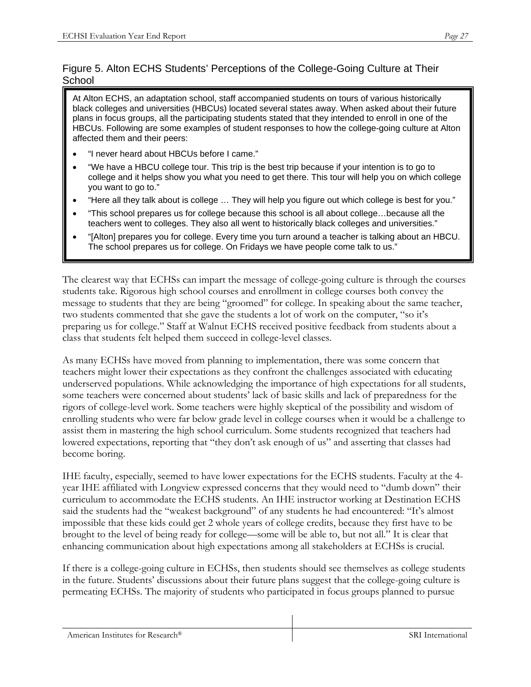### Figure 5. Alton ECHS Students' Perceptions of the College-Going Culture at Their **School**

At Alton ECHS, an adaptation school, staff accompanied students on tours of various historically black colleges and universities (HBCUs) located several states away. When asked about their future plans in focus groups, all the participating students stated that they intended to enroll in one of the HBCUs. Following are some examples of student responses to how the college-going culture at Alton affected them and their peers:

- "I never heard about HBCUs before I came."
- "We have a HBCU college tour. This trip is the best trip because if your intention is to go to college and it helps show you what you need to get there. This tour will help you on which college you want to go to."
- "Here all they talk about is college … They will help you figure out which college is best for you."
- "This school prepares us for college because this school is all about college…because all the teachers went to colleges. They also all went to historically black colleges and universities."
- "[Alton] prepares you for college. Every time you turn around a teacher is talking about an HBCU. The school prepares us for college. On Fridays we have people come talk to us."

The clearest way that ECHSs can impart the message of college-going culture is through the courses students take. Rigorous high school courses and enrollment in college courses both convey the message to students that they are being "groomed" for college. In speaking about the same teacher, two students commented that she gave the students a lot of work on the computer, "so it's preparing us for college." Staff at Walnut ECHS received positive feedback from students about a class that students felt helped them succeed in college-level classes.

As many ECHSs have moved from planning to implementation, there was some concern that teachers might lower their expectations as they confront the challenges associated with educating underserved populations. While acknowledging the importance of high expectations for all students, some teachers were concerned about students' lack of basic skills and lack of preparedness for the rigors of college-level work. Some teachers were highly skeptical of the possibility and wisdom of enrolling students who were far below grade level in college courses when it would be a challenge to assist them in mastering the high school curriculum. Some students recognized that teachers had lowered expectations, reporting that "they don't ask enough of us" and asserting that classes had become boring.

IHE faculty, especially, seemed to have lower expectations for the ECHS students. Faculty at the 4 year IHE affiliated with Longview expressed concerns that they would need to "dumb down" their curriculum to accommodate the ECHS students. An IHE instructor working at Destination ECHS said the students had the "weakest background" of any students he had encountered: "It's almost impossible that these kids could get 2 whole years of college credits, because they first have to be brought to the level of being ready for college––some will be able to, but not all." It is clear that enhancing communication about high expectations among all stakeholders at ECHSs is crucial.

If there is a college-going culture in ECHSs, then students should see themselves as college students in the future. Students' discussions about their future plans suggest that the college-going culture is permeating ECHSs. The majority of students who participated in focus groups planned to pursue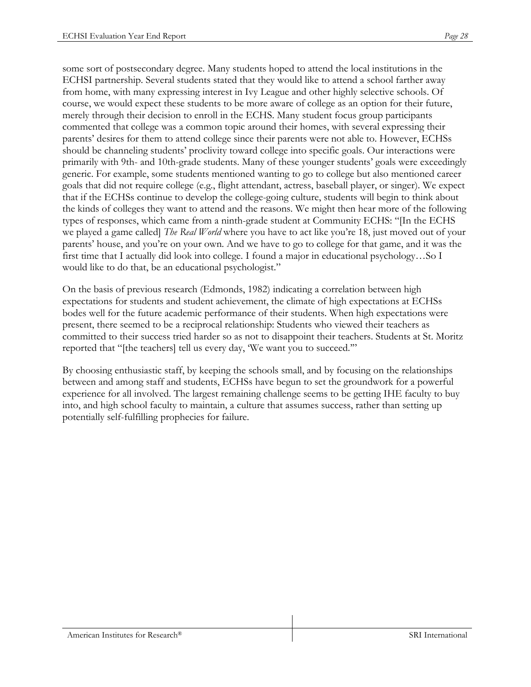some sort of postsecondary degree. Many students hoped to attend the local institutions in the ECHSI partnership. Several students stated that they would like to attend a school farther away from home, with many expressing interest in Ivy League and other highly selective schools. Of course, we would expect these students to be more aware of college as an option for their future, merely through their decision to enroll in the ECHS. Many student focus group participants commented that college was a common topic around their homes, with several expressing their parents' desires for them to attend college since their parents were not able to. However, ECHSs should be channeling students' proclivity toward college into specific goals. Our interactions were primarily with 9th- and 10th-grade students. Many of these younger students' goals were exceedingly generic. For example, some students mentioned wanting to go to college but also mentioned career goals that did not require college (e.g., flight attendant, actress, baseball player, or singer). We expect that if the ECHSs continue to develop the college-going culture, students will begin to think about the kinds of colleges they want to attend and the reasons. We might then hear more of the following types of responses, which came from a ninth-grade student at Community ECHS: "[In the ECHS we played a game called] *The Real World* where you have to act like you're 18, just moved out of your parents' house, and you're on your own. And we have to go to college for that game, and it was the first time that I actually did look into college. I found a major in educational psychology…So I would like to do that, be an educational psychologist."

On the basis of previous research (Edmonds, 1982) indicating a correlation between high expectations for students and student achievement, the climate of high expectations at ECHSs bodes well for the future academic performance of their students. When high expectations were present, there seemed to be a reciprocal relationship: Students who viewed their teachers as committed to their success tried harder so as not to disappoint their teachers. Students at St. Moritz reported that "[the teachers] tell us every day, 'We want you to succeed.'"

By choosing enthusiastic staff, by keeping the schools small, and by focusing on the relationships between and among staff and students, ECHSs have begun to set the groundwork for a powerful experience for all involved. The largest remaining challenge seems to be getting IHE faculty to buy into, and high school faculty to maintain, a culture that assumes success, rather than setting up potentially self-fulfilling prophecies for failure.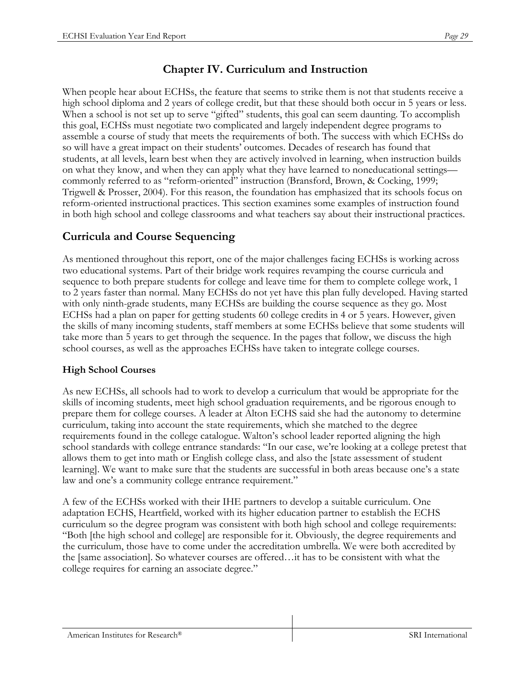# **Chapter IV. Curriculum and Instruction**

When people hear about ECHSs, the feature that seems to strike them is not that students receive a high school diploma and 2 years of college credit, but that these should both occur in 5 years or less. When a school is not set up to serve "gifted" students, this goal can seem daunting. To accomplish this goal, ECHSs must negotiate two complicated and largely independent degree programs to assemble a course of study that meets the requirements of both. The success with which ECHSs do so will have a great impact on their students' outcomes. Decades of research has found that students, at all levels, learn best when they are actively involved in learning, when instruction builds on what they know, and when they can apply what they have learned to noneducational settings commonly referred to as "reform-oriented" instruction (Bransford, Brown, & Cocking, 1999; Trigwell & Prosser, 2004). For this reason, the foundation has emphasized that its schools focus on reform-oriented instructional practices. This section examines some examples of instruction found in both high school and college classrooms and what teachers say about their instructional practices.

# **Curricula and Course Sequencing**

As mentioned throughout this report, one of the major challenges facing ECHSs is working across two educational systems. Part of their bridge work requires revamping the course curricula and sequence to both prepare students for college and leave time for them to complete college work, 1 to 2 years faster than normal. Many ECHSs do not yet have this plan fully developed. Having started with only ninth-grade students, many ECHSs are building the course sequence as they go. Most ECHSs had a plan on paper for getting students 60 college credits in 4 or 5 years. However, given the skills of many incoming students, staff members at some ECHSs believe that some students will take more than 5 years to get through the sequence. In the pages that follow, we discuss the high school courses, as well as the approaches ECHSs have taken to integrate college courses.

## **High School Courses**

As new ECHSs, all schools had to work to develop a curriculum that would be appropriate for the skills of incoming students, meet high school graduation requirements, and be rigorous enough to prepare them for college courses. A leader at Alton ECHS said she had the autonomy to determine curriculum, taking into account the state requirements, which she matched to the degree requirements found in the college catalogue. Walton's school leader reported aligning the high school standards with college entrance standards: "In our case, we're looking at a college pretest that allows them to get into math or English college class, and also the [state assessment of student learning]. We want to make sure that the students are successful in both areas because one's a state law and one's a community college entrance requirement."

A few of the ECHSs worked with their IHE partners to develop a suitable curriculum. One adaptation ECHS, Heartfield, worked with its higher education partner to establish the ECHS curriculum so the degree program was consistent with both high school and college requirements: "Both [the high school and college] are responsible for it. Obviously, the degree requirements and the curriculum, those have to come under the accreditation umbrella. We were both accredited by the [same association]. So whatever courses are offered…it has to be consistent with what the college requires for earning an associate degree."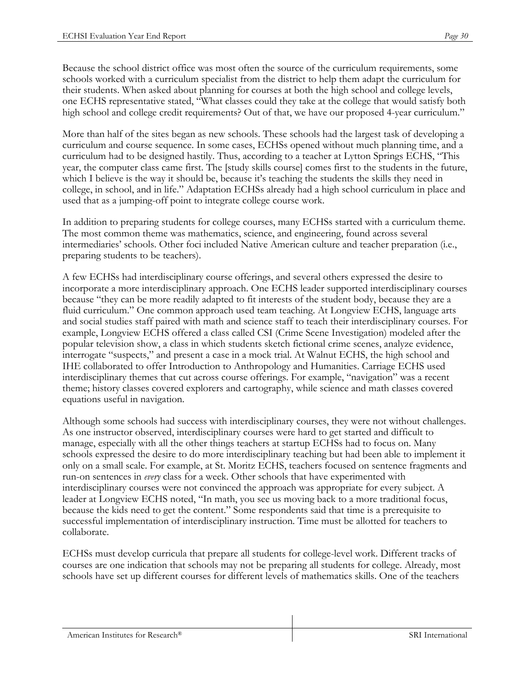Because the school district office was most often the source of the curriculum requirements, some schools worked with a curriculum specialist from the district to help them adapt the curriculum for their students. When asked about planning for courses at both the high school and college levels, one ECHS representative stated, "What classes could they take at the college that would satisfy both high school and college credit requirements? Out of that, we have our proposed 4-year curriculum."

More than half of the sites began as new schools. These schools had the largest task of developing a curriculum and course sequence. In some cases, ECHSs opened without much planning time, and a curriculum had to be designed hastily. Thus, according to a teacher at Lytton Springs ECHS, "This year, the computer class came first. The [study skills course] comes first to the students in the future, which I believe is the way it should be, because it's teaching the students the skills they need in college, in school, and in life." Adaptation ECHSs already had a high school curriculum in place and used that as a jumping-off point to integrate college course work.

In addition to preparing students for college courses, many ECHSs started with a curriculum theme. The most common theme was mathematics, science, and engineering, found across several intermediaries' schools. Other foci included Native American culture and teacher preparation (i.e., preparing students to be teachers).

A few ECHSs had interdisciplinary course offerings, and several others expressed the desire to incorporate a more interdisciplinary approach. One ECHS leader supported interdisciplinary courses because "they can be more readily adapted to fit interests of the student body, because they are a fluid curriculum." One common approach used team teaching. At Longview ECHS, language arts and social studies staff paired with math and science staff to teach their interdisciplinary courses. For example, Longview ECHS offered a class called CSI (Crime Scene Investigation) modeled after the popular television show, a class in which students sketch fictional crime scenes, analyze evidence, interrogate "suspects," and present a case in a mock trial. At Walnut ECHS, the high school and IHE collaborated to offer Introduction to Anthropology and Humanities. Carriage ECHS used interdisciplinary themes that cut across course offerings. For example, "navigation" was a recent theme; history classes covered explorers and cartography, while science and math classes covered equations useful in navigation.

Although some schools had success with interdisciplinary courses, they were not without challenges. As one instructor observed, interdisciplinary courses were hard to get started and difficult to manage, especially with all the other things teachers at startup ECHSs had to focus on. Many schools expressed the desire to do more interdisciplinary teaching but had been able to implement it only on a small scale. For example, at St. Moritz ECHS, teachers focused on sentence fragments and run-on sentences in *every* class for a week. Other schools that have experimented with interdisciplinary courses were not convinced the approach was appropriate for every subject. A leader at Longview ECHS noted, "In math, you see us moving back to a more traditional focus, because the kids need to get the content." Some respondents said that time is a prerequisite to successful implementation of interdisciplinary instruction. Time must be allotted for teachers to collaborate.

ECHSs must develop curricula that prepare all students for college-level work. Different tracks of courses are one indication that schools may not be preparing all students for college. Already, most schools have set up different courses for different levels of mathematics skills. One of the teachers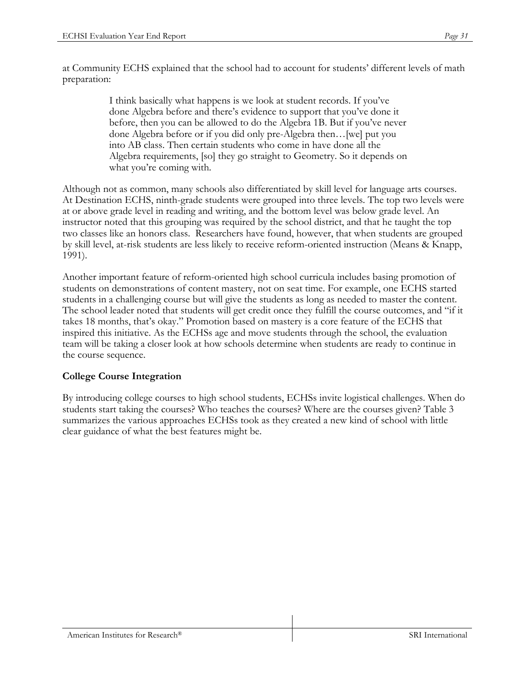at Community ECHS explained that the school had to account for students' different levels of math preparation:

> I think basically what happens is we look at student records. If you've done Algebra before and there's evidence to support that you've done it before, then you can be allowed to do the Algebra 1B. But if you've never done Algebra before or if you did only pre-Algebra then…[we] put you into AB class. Then certain students who come in have done all the Algebra requirements, [so] they go straight to Geometry. So it depends on what you're coming with.

Although not as common, many schools also differentiated by skill level for language arts courses. At Destination ECHS, ninth-grade students were grouped into three levels. The top two levels were at or above grade level in reading and writing, and the bottom level was below grade level. An instructor noted that this grouping was required by the school district, and that he taught the top two classes like an honors class. Researchers have found, however, that when students are grouped by skill level, at-risk students are less likely to receive reform-oriented instruction (Means & Knapp, 1991).

Another important feature of reform-oriented high school curricula includes basing promotion of students on demonstrations of content mastery, not on seat time. For example, one ECHS started students in a challenging course but will give the students as long as needed to master the content. The school leader noted that students will get credit once they fulfill the course outcomes, and "if it takes 18 months, that's okay." Promotion based on mastery is a core feature of the ECHS that inspired this initiative. As the ECHSs age and move students through the school, the evaluation team will be taking a closer look at how schools determine when students are ready to continue in the course sequence.

#### **College Course Integration**

By introducing college courses to high school students, ECHSs invite logistical challenges. When do students start taking the courses? Who teaches the courses? Where are the courses given? Table 3 summarizes the various approaches ECHSs took as they created a new kind of school with little clear guidance of what the best features might be.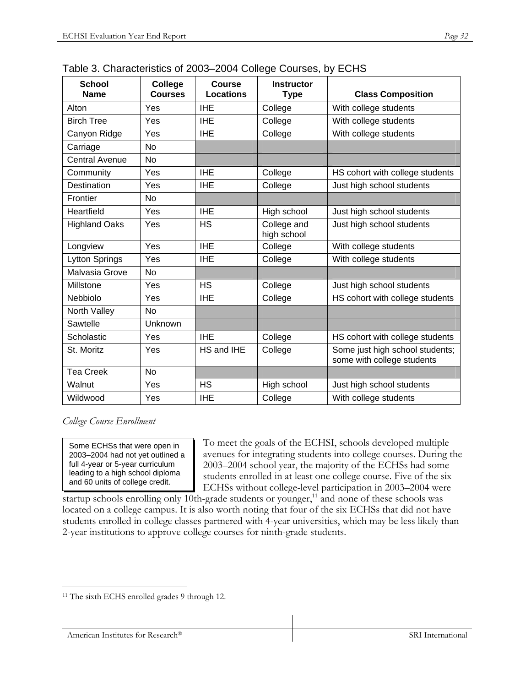| <b>School</b><br><b>Name</b> | College<br><b>Courses</b> | <b>Course</b><br><b>Locations</b> | <b>Instructor</b><br><b>Type</b> | <b>Class Composition</b>                                      |  |  |
|------------------------------|---------------------------|-----------------------------------|----------------------------------|---------------------------------------------------------------|--|--|
| Alton                        | Yes                       | <b>IHE</b>                        | College                          | With college students                                         |  |  |
| <b>Birch Tree</b>            | Yes                       | <b>IHE</b>                        | College                          | With college students                                         |  |  |
| Canyon Ridge                 | Yes                       | <b>IHE</b>                        | College                          | With college students                                         |  |  |
| Carriage                     | <b>No</b>                 |                                   |                                  |                                                               |  |  |
| <b>Central Avenue</b>        | No                        |                                   |                                  |                                                               |  |  |
| Community                    | Yes                       | <b>IHE</b>                        | College                          | HS cohort with college students                               |  |  |
| Destination                  | Yes                       | <b>IHE</b>                        | College                          | Just high school students                                     |  |  |
| Frontier                     | No                        |                                   |                                  |                                                               |  |  |
| Heartfield                   | Yes                       | <b>IHE</b>                        | High school                      | Just high school students                                     |  |  |
| <b>Highland Oaks</b>         | Yes                       | <b>HS</b>                         | College and<br>high school       | Just high school students                                     |  |  |
| Longview                     | Yes                       | <b>IHE</b>                        | College                          | With college students                                         |  |  |
| <b>Lytton Springs</b>        | Yes                       | <b>IHE</b>                        | College                          | With college students                                         |  |  |
| Malvasia Grove               | No                        |                                   |                                  |                                                               |  |  |
| Millstone                    | Yes                       | <b>HS</b>                         | College                          | Just high school students                                     |  |  |
| Nebbiolo                     | Yes                       | <b>IHE</b>                        | College                          | HS cohort with college students                               |  |  |
| North Valley                 | N <sub>o</sub>            |                                   |                                  |                                                               |  |  |
| Sawtelle                     | Unknown                   |                                   |                                  |                                                               |  |  |
| Scholastic                   | Yes                       | <b>IHE</b><br>College             |                                  | HS cohort with college students                               |  |  |
| St. Moritz                   | Yes                       | HS and IHE                        | College                          | Some just high school students;<br>some with college students |  |  |
| <b>Tea Creek</b>             | No                        |                                   |                                  |                                                               |  |  |
| Walnut                       | Yes                       | <b>HS</b>                         | High school                      | Just high school students                                     |  |  |
| Wildwood                     | Yes                       | <b>IHE</b>                        | College                          | With college students                                         |  |  |

Table 3. Characteristics of 2003–2004 College Courses, by ECHS

*College Course Enrollment* 

Some ECHSs that were open in 2003–2004 had not yet outlined a full 4-year or 5-year curriculum leading to a high school diploma and 60 units of college credit.

To meet the goals of the ECHSI, schools developed multiple avenues for integrating students into college courses. During the 2003–2004 school year, the majority of the ECHSs had some students enrolled in at least one college course. Five of the six ECHSs without college-level participation in 2003–2004 were

startup schools enrolling only  $10$ th-grade students or younger,<sup>11</sup> and none of these schools was located on a college campus. It is also worth noting that four of the six ECHSs that did not have students enrolled in college classes partnered with 4-year universities, which may be less likely than 2-year institutions to approve college courses for ninth-grade students.

 $\overline{a}$ <sup>11</sup> The sixth ECHS enrolled grades 9 through 12.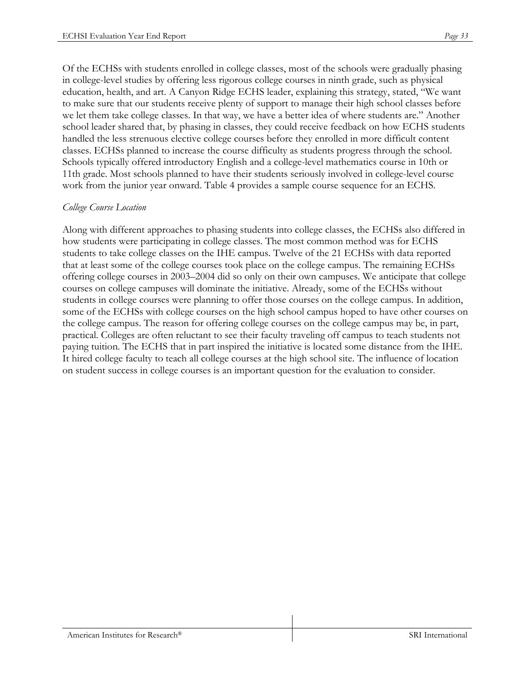Of the ECHSs with students enrolled in college classes, most of the schools were gradually phasing in college-level studies by offering less rigorous college courses in ninth grade, such as physical education, health, and art. A Canyon Ridge ECHS leader, explaining this strategy, stated, "We want to make sure that our students receive plenty of support to manage their high school classes before we let them take college classes. In that way, we have a better idea of where students are." Another school leader shared that, by phasing in classes, they could receive feedback on how ECHS students handled the less strenuous elective college courses before they enrolled in more difficult content classes. ECHSs planned to increase the course difficulty as students progress through the school. Schools typically offered introductory English and a college-level mathematics course in 10th or 11th grade. Most schools planned to have their students seriously involved in college-level course work from the junior year onward. Table 4 provides a sample course sequence for an ECHS.

#### *College Course Location*

Along with different approaches to phasing students into college classes, the ECHSs also differed in how students were participating in college classes. The most common method was for ECHS students to take college classes on the IHE campus. Twelve of the 21 ECHSs with data reported that at least some of the college courses took place on the college campus. The remaining ECHSs offering college courses in 2003–2004 did so only on their own campuses. We anticipate that college courses on college campuses will dominate the initiative. Already, some of the ECHSs without students in college courses were planning to offer those courses on the college campus. In addition, some of the ECHSs with college courses on the high school campus hoped to have other courses on the college campus. The reason for offering college courses on the college campus may be, in part, practical. Colleges are often reluctant to see their faculty traveling off campus to teach students not paying tuition. The ECHS that in part inspired the initiative is located some distance from the IHE. It hired college faculty to teach all college courses at the high school site. The influence of location on student success in college courses is an important question for the evaluation to consider.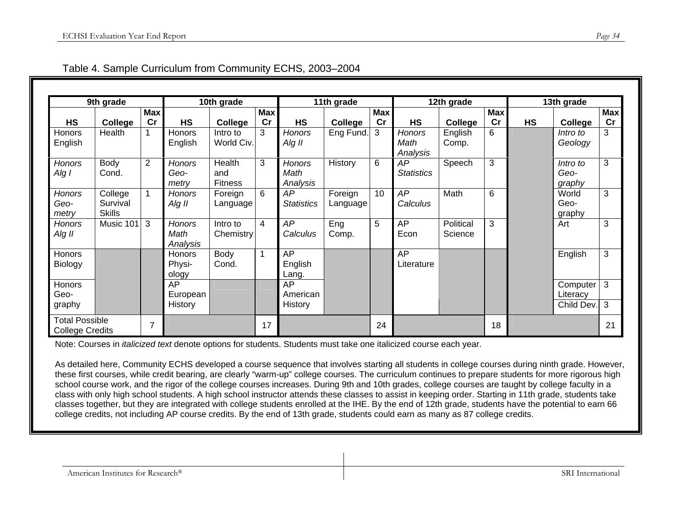| 9th grade                                       |                                      | 10th grade       |                                   | 11th grade                      |                  | 12th grade                        |                     |                  | 13th grade                        |                      |                  |           |                            |                  |
|-------------------------------------------------|--------------------------------------|------------------|-----------------------------------|---------------------------------|------------------|-----------------------------------|---------------------|------------------|-----------------------------------|----------------------|------------------|-----------|----------------------------|------------------|
| <b>HS</b>                                       | College                              | <b>Max</b><br>cr | <b>HS</b>                         | College                         | <b>Max</b><br>cr | <b>HS</b>                         | College             | <b>Max</b><br>cr | <b>HS</b>                         | College              | <b>Max</b><br>cr | <b>HS</b> | College                    | <b>Max</b><br>cr |
| Honors<br>English                               | Health                               |                  | Honors<br>English                 | Intro to<br>World Civ.          | 3                | Honors<br>Alg II                  | Eng Fund.           | 3                | <b>Honors</b><br>Math<br>Analysis | English<br>Comp.     | 6                |           | Intro to<br>Geology        | 3                |
| <b>Honors</b><br>Alg I                          | Body<br>Cond.                        | $\overline{2}$   | <b>Honors</b><br>Geo-<br>metry    | Health<br>and<br><b>Fitness</b> | 3                | <b>Honors</b><br>Math<br>Analysis | History             | 6                | AP<br><b>Statistics</b>           | Speech               | 3                |           | Intro to<br>Geo-<br>graphy | 3                |
| <b>Honors</b><br>Geo-<br>metry                  | College<br>Survival<br><b>Skills</b> |                  | <b>Honors</b><br>Alg II           | Foreign<br>Language             | 6                | AP<br><b>Statistics</b>           | Foreign<br>Language | 10               | AP<br>Calculus                    | Math                 | 6                |           | World<br>Geo-<br>graphy    | 3                |
| <b>Honors</b><br>Alg II                         | Music 101                            | 3                | <b>Honors</b><br>Math<br>Analysis | Intro to<br>Chemistry           | 4                | AP<br>Calculus                    | Eng<br>Comp.        | 5                | AP<br>Econ                        | Political<br>Science | 3                |           | Art                        | 3                |
| Honors<br>Biology                               |                                      |                  | Honors<br>Physi-<br>ology         | Body<br>Cond.                   | $\overline{1}$   | AP<br>English<br>Lang.            |                     |                  | AP<br>Literature                  |                      |                  |           | English                    | 3                |
| Honors<br>Geo-                                  |                                      |                  | <b>AP</b><br>European             |                                 |                  | AP<br>American                    |                     |                  |                                   |                      |                  |           | Computer<br>Literacy       | 3                |
| graphy                                          |                                      |                  | <b>History</b>                    |                                 |                  | History                           |                     |                  |                                   |                      |                  |           | Child Dev.                 | 3                |
| <b>Total Possible</b><br><b>College Credits</b> |                                      | $\overline{7}$   |                                   |                                 | 17               |                                   |                     | 24               |                                   |                      | 18               |           |                            | 21               |

| Table 4. Sample Curriculum from Community ECHS, 2003-2004 |  |  |  |
|-----------------------------------------------------------|--|--|--|
|-----------------------------------------------------------|--|--|--|

Note: Courses in *italicized text* denote options for students. Students must take one italicized course each year.

As detailed here, Community ECHS developed a course sequence that involves starting all students in college courses during ninth grade. However, these first courses, while credit bearing, are clearly "warm-up" college courses. The curriculum continues to prepare students for more rigorous high school course work, and the rigor of the college courses increases. During 9th and 10th grades, college courses are taught by college faculty in a class with only high school students. A high school instructor attends these classes to assist in keeping order. Starting in 11th grade, students take classes together, but they are integrated with college students enrolled at the IHE. By the end of 12th grade, students have the potential to earn 66 college credits, not including AP course credits. By the end of 13th grade, students could earn as many as 87 college credits.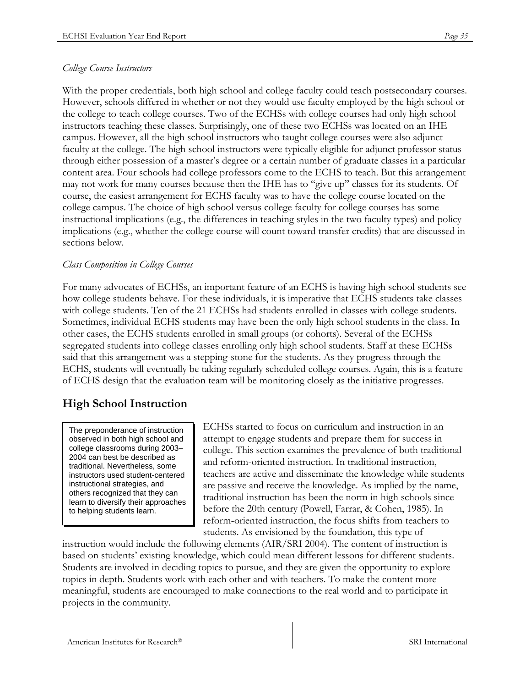#### *College Course Instructors*

With the proper credentials, both high school and college faculty could teach postsecondary courses. However, schools differed in whether or not they would use faculty employed by the high school or the college to teach college courses. Two of the ECHSs with college courses had only high school instructors teaching these classes. Surprisingly, one of these two ECHSs was located on an IHE campus. However, all the high school instructors who taught college courses were also adjunct faculty at the college. The high school instructors were typically eligible for adjunct professor status through either possession of a master's degree or a certain number of graduate classes in a particular content area. Four schools had college professors come to the ECHS to teach. But this arrangement may not work for many courses because then the IHE has to "give up" classes for its students. Of course, the easiest arrangement for ECHS faculty was to have the college course located on the college campus. The choice of high school versus college faculty for college courses has some instructional implications (e.g., the differences in teaching styles in the two faculty types) and policy implications (e.g., whether the college course will count toward transfer credits) that are discussed in sections below.

#### *Class Composition in College Courses*

For many advocates of ECHSs, an important feature of an ECHS is having high school students see how college students behave. For these individuals, it is imperative that ECHS students take classes with college students. Ten of the 21 ECHSs had students enrolled in classes with college students. Sometimes, individual ECHS students may have been the only high school students in the class. In other cases, the ECHS students enrolled in small groups (or cohorts). Several of the ECHSs segregated students into college classes enrolling only high school students. Staff at these ECHSs said that this arrangement was a stepping-stone for the students. As they progress through the ECHS, students will eventually be taking regularly scheduled college courses. Again, this is a feature of ECHS design that the evaluation team will be monitoring closely as the initiative progresses.

# **High School Instruction**

The preponderance of instruction observed in both high school and college classrooms during 2003– 2004 can best be described as traditional. Nevertheless, some instructors used student-centered instructional strategies, and others recognized that they can learn to diversify their approaches to helping students learn.

ECHSs started to focus on curriculum and instruction in an attempt to engage students and prepare them for success in college. This section examines the prevalence of both traditional and reform-oriented instruction. In traditional instruction, teachers are active and disseminate the knowledge while students are passive and receive the knowledge. As implied by the name, traditional instruction has been the norm in high schools since before the 20th century (Powell, Farrar, & Cohen, 1985). In reform-oriented instruction, the focus shifts from teachers to students. As envisioned by the foundation, this type of

instruction would include the following elements (AIR/SRI 2004). The content of instruction is based on students' existing knowledge, which could mean different lessons for different students. Students are involved in deciding topics to pursue, and they are given the opportunity to explore topics in depth. Students work with each other and with teachers. To make the content more meaningful, students are encouraged to make connections to the real world and to participate in projects in the community.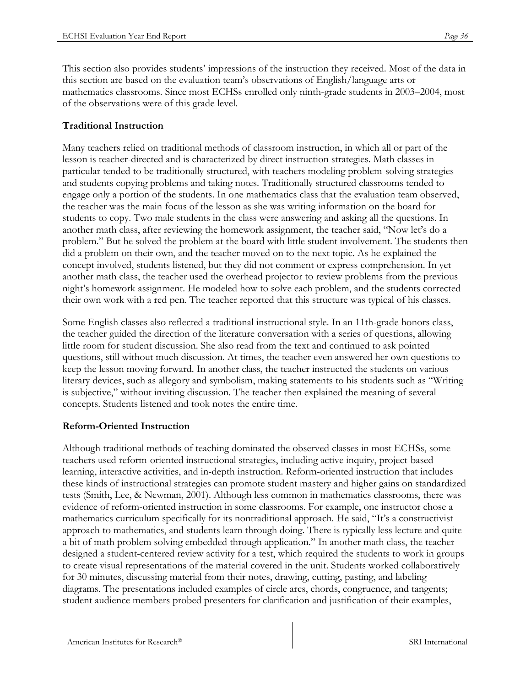This section also provides students' impressions of the instruction they received. Most of the data in this section are based on the evaluation team's observations of English/language arts or mathematics classrooms. Since most ECHSs enrolled only ninth-grade students in 2003–2004, most of the observations were of this grade level.

#### **Traditional Instruction**

Many teachers relied on traditional methods of classroom instruction, in which all or part of the lesson is teacher-directed and is characterized by direct instruction strategies. Math classes in particular tended to be traditionally structured, with teachers modeling problem-solving strategies and students copying problems and taking notes. Traditionally structured classrooms tended to engage only a portion of the students. In one mathematics class that the evaluation team observed, the teacher was the main focus of the lesson as she was writing information on the board for students to copy. Two male students in the class were answering and asking all the questions. In another math class, after reviewing the homework assignment, the teacher said, "Now let's do a problem." But he solved the problem at the board with little student involvement. The students then did a problem on their own, and the teacher moved on to the next topic. As he explained the concept involved, students listened, but they did not comment or express comprehension. In yet another math class, the teacher used the overhead projector to review problems from the previous night's homework assignment. He modeled how to solve each problem, and the students corrected their own work with a red pen. The teacher reported that this structure was typical of his classes.

Some English classes also reflected a traditional instructional style. In an 11th-grade honors class, the teacher guided the direction of the literature conversation with a series of questions, allowing little room for student discussion. She also read from the text and continued to ask pointed questions, still without much discussion. At times, the teacher even answered her own questions to keep the lesson moving forward. In another class, the teacher instructed the students on various literary devices, such as allegory and symbolism, making statements to his students such as "Writing is subjective," without inviting discussion. The teacher then explained the meaning of several concepts. Students listened and took notes the entire time.

#### **Reform-Oriented Instruction**

Although traditional methods of teaching dominated the observed classes in most ECHSs, some teachers used reform-oriented instructional strategies, including active inquiry, project-based learning, interactive activities, and in-depth instruction. Reform-oriented instruction that includes these kinds of instructional strategies can promote student mastery and higher gains on standardized tests (Smith, Lee, & Newman, 2001). Although less common in mathematics classrooms, there was evidence of reform-oriented instruction in some classrooms. For example, one instructor chose a mathematics curriculum specifically for its nontraditional approach. He said, "It's a constructivist approach to mathematics, and students learn through doing. There is typically less lecture and quite a bit of math problem solving embedded through application." In another math class, the teacher designed a student-centered review activity for a test, which required the students to work in groups to create visual representations of the material covered in the unit. Students worked collaboratively for 30 minutes, discussing material from their notes, drawing, cutting, pasting, and labeling diagrams. The presentations included examples of circle arcs, chords, congruence, and tangents; student audience members probed presenters for clarification and justification of their examples,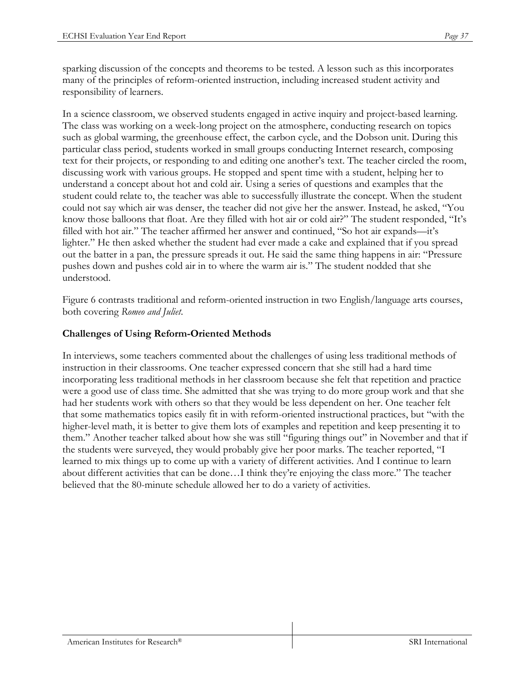sparking discussion of the concepts and theorems to be tested. A lesson such as this incorporates many of the principles of reform-oriented instruction, including increased student activity and responsibility of learners.

In a science classroom, we observed students engaged in active inquiry and project-based learning. The class was working on a week-long project on the atmosphere, conducting research on topics such as global warming, the greenhouse effect, the carbon cycle, and the Dobson unit. During this particular class period, students worked in small groups conducting Internet research, composing text for their projects, or responding to and editing one another's text. The teacher circled the room, discussing work with various groups. He stopped and spent time with a student, helping her to understand a concept about hot and cold air. Using a series of questions and examples that the student could relate to, the teacher was able to successfully illustrate the concept. When the student could not say which air was denser, the teacher did not give her the answer. Instead, he asked, "You know those balloons that float. Are they filled with hot air or cold air?" The student responded, "It's filled with hot air." The teacher affirmed her answer and continued, "So hot air expands—it's lighter." He then asked whether the student had ever made a cake and explained that if you spread out the batter in a pan, the pressure spreads it out. He said the same thing happens in air: "Pressure pushes down and pushes cold air in to where the warm air is." The student nodded that she understood.

Figure 6 contrasts traditional and reform-oriented instruction in two English/language arts courses, both covering *Romeo and Juliet*.

### **Challenges of Using Reform-Oriented Methods**

In interviews, some teachers commented about the challenges of using less traditional methods of instruction in their classrooms. One teacher expressed concern that she still had a hard time incorporating less traditional methods in her classroom because she felt that repetition and practice were a good use of class time. She admitted that she was trying to do more group work and that she had her students work with others so that they would be less dependent on her. One teacher felt that some mathematics topics easily fit in with reform-oriented instructional practices, but "with the higher-level math, it is better to give them lots of examples and repetition and keep presenting it to them." Another teacher talked about how she was still "figuring things out" in November and that if the students were surveyed, they would probably give her poor marks. The teacher reported, "I learned to mix things up to come up with a variety of different activities. And I continue to learn about different activities that can be done…I think they're enjoying the class more." The teacher believed that the 80-minute schedule allowed her to do a variety of activities.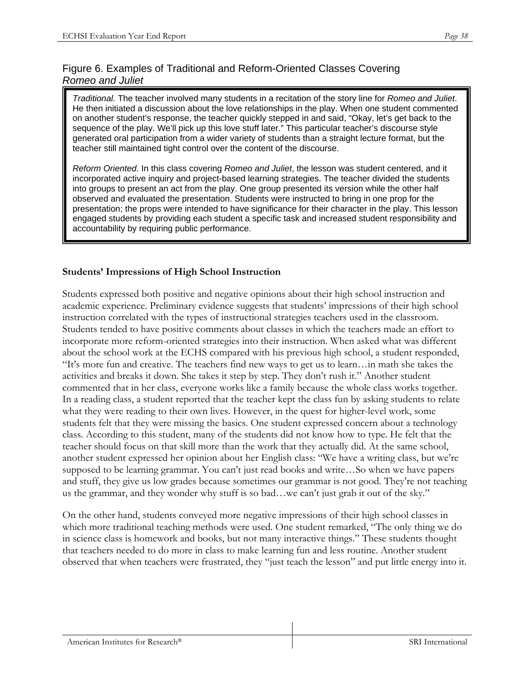# Figure 6. Examples of Traditional and Reform-Oriented Classes Covering *Romeo and Juliet*

*Traditional.* The teacher involved many students in a recitation of the story line for *Romeo and Juliet*. He then initiated a discussion about the love relationships in the play. When one student commented on another student's response, the teacher quickly stepped in and said, "Okay, let's get back to the sequence of the play. We'll pick up this love stuff later." This particular teacher's discourse style generated oral participation from a wider variety of students than a straight lecture format, but the teacher still maintained tight control over the content of the discourse.

*Reform Oriented.* In this class covering *Romeo and Juliet*, the lesson was student centered, and it incorporated active inquiry and project-based learning strategies. The teacher divided the students into groups to present an act from the play. One group presented its version while the other half observed and evaluated the presentation. Students were instructed to bring in one prop for the presentation; the props were intended to have significance for their character in the play. This lesson engaged students by providing each student a specific task and increased student responsibility and accountability by requiring public performance.

# **Students' Impressions of High School Instruction**

Students expressed both positive and negative opinions about their high school instruction and academic experience. Preliminary evidence suggests that students' impressions of their high school instruction correlated with the types of instructional strategies teachers used in the classroom. Students tended to have positive comments about classes in which the teachers made an effort to incorporate more reform-oriented strategies into their instruction. When asked what was different about the school work at the ECHS compared with his previous high school, a student responded, "It's more fun and creative. The teachers find new ways to get us to learn…in math she takes the activities and breaks it down. She takes it step by step. They don't rush it." Another student commented that in her class, everyone works like a family because the whole class works together. In a reading class, a student reported that the teacher kept the class fun by asking students to relate what they were reading to their own lives. However, in the quest for higher-level work, some students felt that they were missing the basics. One student expressed concern about a technology class. According to this student, many of the students did not know how to type. He felt that the teacher should focus on that skill more than the work that they actually did. At the same school, another student expressed her opinion about her English class: "We have a writing class, but we're supposed to be learning grammar. You can't just read books and write…So when we have papers and stuff, they give us low grades because sometimes our grammar is not good. They're not teaching us the grammar, and they wonder why stuff is so bad…we can't just grab it out of the sky."

On the other hand, students conveyed more negative impressions of their high school classes in which more traditional teaching methods were used. One student remarked, "The only thing we do in science class is homework and books, but not many interactive things." These students thought that teachers needed to do more in class to make learning fun and less routine. Another student observed that when teachers were frustrated, they "just teach the lesson" and put little energy into it.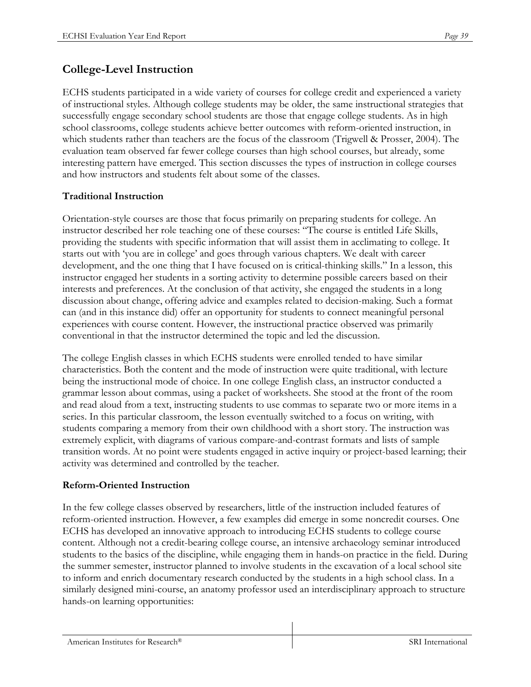# **College-Level Instruction**

ECHS students participated in a wide variety of courses for college credit and experienced a variety of instructional styles. Although college students may be older, the same instructional strategies that successfully engage secondary school students are those that engage college students. As in high school classrooms, college students achieve better outcomes with reform-oriented instruction, in which students rather than teachers are the focus of the classroom (Trigwell & Prosser, 2004). The evaluation team observed far fewer college courses than high school courses, but already, some interesting pattern have emerged. This section discusses the types of instruction in college courses and how instructors and students felt about some of the classes.

## **Traditional Instruction**

Orientation-style courses are those that focus primarily on preparing students for college. An instructor described her role teaching one of these courses: "The course is entitled Life Skills, providing the students with specific information that will assist them in acclimating to college. It starts out with 'you are in college' and goes through various chapters. We dealt with career development, and the one thing that I have focused on is critical-thinking skills." In a lesson, this instructor engaged her students in a sorting activity to determine possible careers based on their interests and preferences. At the conclusion of that activity, she engaged the students in a long discussion about change, offering advice and examples related to decision-making. Such a format can (and in this instance did) offer an opportunity for students to connect meaningful personal experiences with course content. However, the instructional practice observed was primarily conventional in that the instructor determined the topic and led the discussion.

The college English classes in which ECHS students were enrolled tended to have similar characteristics. Both the content and the mode of instruction were quite traditional, with lecture being the instructional mode of choice. In one college English class, an instructor conducted a grammar lesson about commas, using a packet of worksheets. She stood at the front of the room and read aloud from a text, instructing students to use commas to separate two or more items in a series. In this particular classroom, the lesson eventually switched to a focus on writing, with students comparing a memory from their own childhood with a short story. The instruction was extremely explicit, with diagrams of various compare-and-contrast formats and lists of sample transition words. At no point were students engaged in active inquiry or project-based learning; their activity was determined and controlled by the teacher.

#### **Reform-Oriented Instruction**

In the few college classes observed by researchers, little of the instruction included features of reform-oriented instruction. However, a few examples did emerge in some noncredit courses. One ECHS has developed an innovative approach to introducing ECHS students to college course content. Although not a credit-bearing college course, an intensive archaeology seminar introduced students to the basics of the discipline, while engaging them in hands-on practice in the field. During the summer semester, instructor planned to involve students in the excavation of a local school site to inform and enrich documentary research conducted by the students in a high school class. In a similarly designed mini-course, an anatomy professor used an interdisciplinary approach to structure hands-on learning opportunities: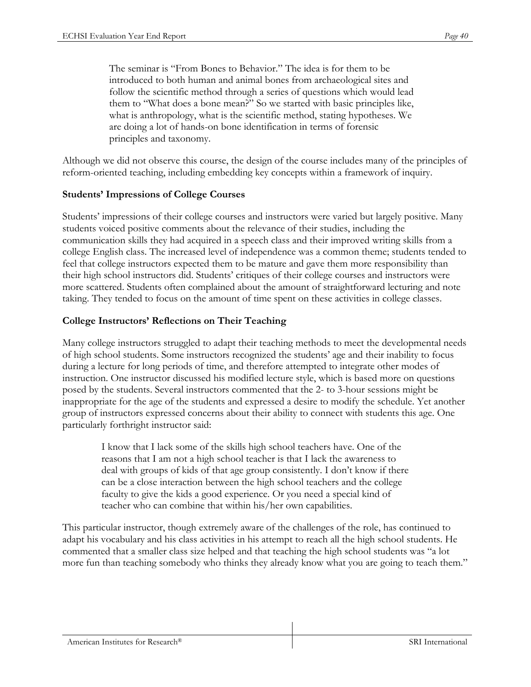The seminar is "From Bones to Behavior." The idea is for them to be introduced to both human and animal bones from archaeological sites and follow the scientific method through a series of questions which would lead them to "What does a bone mean?" So we started with basic principles like, what is anthropology, what is the scientific method, stating hypotheses. We are doing a lot of hands-on bone identification in terms of forensic principles and taxonomy.

Although we did not observe this course, the design of the course includes many of the principles of reform-oriented teaching, including embedding key concepts within a framework of inquiry.

#### **Students' Impressions of College Courses**

Students' impressions of their college courses and instructors were varied but largely positive. Many students voiced positive comments about the relevance of their studies, including the communication skills they had acquired in a speech class and their improved writing skills from a college English class. The increased level of independence was a common theme; students tended to feel that college instructors expected them to be mature and gave them more responsibility than their high school instructors did. Students' critiques of their college courses and instructors were more scattered. Students often complained about the amount of straightforward lecturing and note taking. They tended to focus on the amount of time spent on these activities in college classes.

#### **College Instructors' Reflections on Their Teaching**

Many college instructors struggled to adapt their teaching methods to meet the developmental needs of high school students. Some instructors recognized the students' age and their inability to focus during a lecture for long periods of time, and therefore attempted to integrate other modes of instruction. One instructor discussed his modified lecture style, which is based more on questions posed by the students. Several instructors commented that the 2- to 3-hour sessions might be inappropriate for the age of the students and expressed a desire to modify the schedule. Yet another group of instructors expressed concerns about their ability to connect with students this age. One particularly forthright instructor said:

I know that I lack some of the skills high school teachers have. One of the reasons that I am not a high school teacher is that I lack the awareness to deal with groups of kids of that age group consistently. I don't know if there can be a close interaction between the high school teachers and the college faculty to give the kids a good experience. Or you need a special kind of teacher who can combine that within his/her own capabilities.

This particular instructor, though extremely aware of the challenges of the role, has continued to adapt his vocabulary and his class activities in his attempt to reach all the high school students. He commented that a smaller class size helped and that teaching the high school students was "a lot more fun than teaching somebody who thinks they already know what you are going to teach them."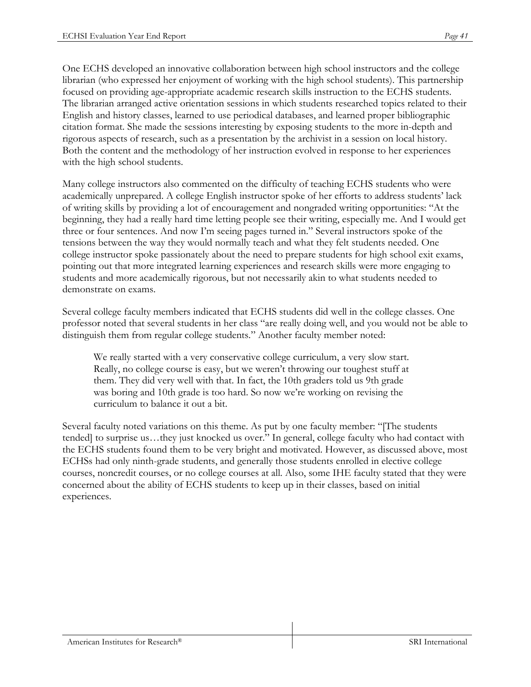One ECHS developed an innovative collaboration between high school instructors and the college librarian (who expressed her enjoyment of working with the high school students). This partnership focused on providing age-appropriate academic research skills instruction to the ECHS students. The librarian arranged active orientation sessions in which students researched topics related to their English and history classes, learned to use periodical databases, and learned proper bibliographic citation format. She made the sessions interesting by exposing students to the more in-depth and rigorous aspects of research, such as a presentation by the archivist in a session on local history. Both the content and the methodology of her instruction evolved in response to her experiences with the high school students.

Many college instructors also commented on the difficulty of teaching ECHS students who were academically unprepared. A college English instructor spoke of her efforts to address students' lack of writing skills by providing a lot of encouragement and nongraded writing opportunities: "At the beginning, they had a really hard time letting people see their writing, especially me. And I would get three or four sentences. And now I'm seeing pages turned in." Several instructors spoke of the tensions between the way they would normally teach and what they felt students needed. One college instructor spoke passionately about the need to prepare students for high school exit exams, pointing out that more integrated learning experiences and research skills were more engaging to students and more academically rigorous, but not necessarily akin to what students needed to demonstrate on exams.

Several college faculty members indicated that ECHS students did well in the college classes. One professor noted that several students in her class "are really doing well, and you would not be able to distinguish them from regular college students." Another faculty member noted:

We really started with a very conservative college curriculum, a very slow start. Really, no college course is easy, but we weren't throwing our toughest stuff at them. They did very well with that. In fact, the 10th graders told us 9th grade was boring and 10th grade is too hard. So now we're working on revising the curriculum to balance it out a bit.

Several faculty noted variations on this theme. As put by one faculty member: "[The students tended] to surprise us…they just knocked us over." In general, college faculty who had contact with the ECHS students found them to be very bright and motivated. However, as discussed above, most ECHSs had only ninth-grade students, and generally those students enrolled in elective college courses, noncredit courses, or no college courses at all. Also, some IHE faculty stated that they were concerned about the ability of ECHS students to keep up in their classes, based on initial experiences.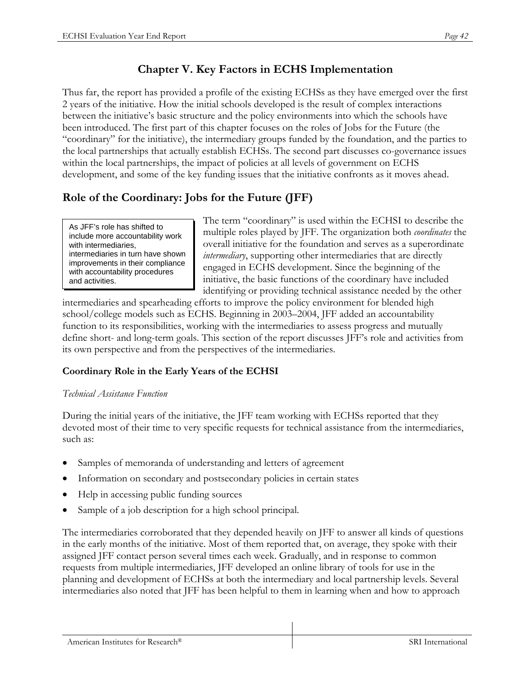# **Chapter V. Key Factors in ECHS Implementation**

Thus far, the report has provided a profile of the existing ECHSs as they have emerged over the first 2 years of the initiative. How the initial schools developed is the result of complex interactions between the initiative's basic structure and the policy environments into which the schools have been introduced. The first part of this chapter focuses on the roles of Jobs for the Future (the "coordinary" for the initiative), the intermediary groups funded by the foundation, and the parties to the local partnerships that actually establish ECHSs. The second part discusses co-governance issues within the local partnerships, the impact of policies at all levels of government on ECHS development, and some of the key funding issues that the initiative confronts as it moves ahead.

# **Role of the Coordinary: Jobs for the Future (JFF)**

As JFF's role has shifted to include more accountability work with intermediaries, intermediaries in turn have shown improvements in their compliance with accountability procedures and activities.

The term "coordinary" is used within the ECHSI to describe the multiple roles played by JFF. The organization both *coordinates* the overall initiative for the foundation and serves as a superordinate *intermediary*, supporting other intermediaries that are directly engaged in ECHS development. Since the beginning of the initiative, the basic functions of the coordinary have included identifying or providing technical assistance needed by the other

intermediaries and spearheading efforts to improve the policy environment for blended high school/college models such as ECHS. Beginning in 2003–2004, JFF added an accountability function to its responsibilities, working with the intermediaries to assess progress and mutually define short- and long-term goals. This section of the report discusses JFF's role and activities from its own perspective and from the perspectives of the intermediaries.

# **Coordinary Role in the Early Years of the ECHSI**

#### *Technical Assistance Function*

During the initial years of the initiative, the JFF team working with ECHSs reported that they devoted most of their time to very specific requests for technical assistance from the intermediaries, such as:

- Samples of memoranda of understanding and letters of agreement
- Information on secondary and postsecondary policies in certain states
- Help in accessing public funding sources
- Sample of a job description for a high school principal.

The intermediaries corroborated that they depended heavily on JFF to answer all kinds of questions in the early months of the initiative. Most of them reported that, on average, they spoke with their assigned JFF contact person several times each week. Gradually, and in response to common requests from multiple intermediaries, JFF developed an online library of tools for use in the planning and development of ECHSs at both the intermediary and local partnership levels. Several intermediaries also noted that JFF has been helpful to them in learning when and how to approach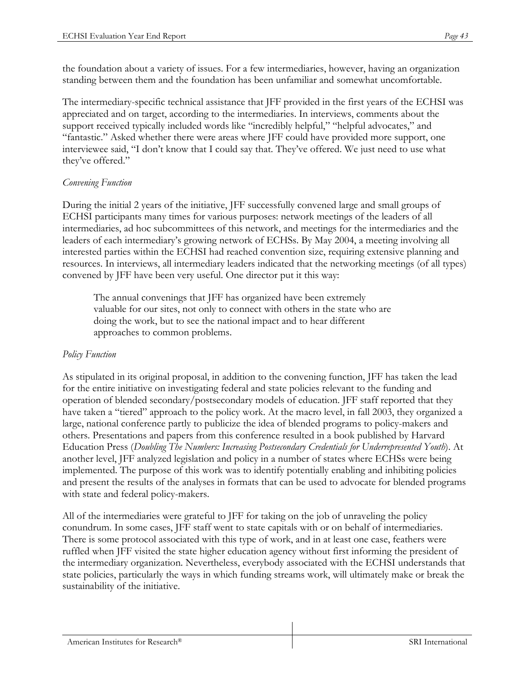the foundation about a variety of issues. For a few intermediaries, however, having an organization standing between them and the foundation has been unfamiliar and somewhat uncomfortable.

The intermediary-specific technical assistance that JFF provided in the first years of the ECHSI was appreciated and on target, according to the intermediaries. In interviews, comments about the support received typically included words like "incredibly helpful," "helpful advocates," and "fantastic." Asked whether there were areas where JFF could have provided more support, one interviewee said, "I don't know that I could say that. They've offered. We just need to use what they've offered."

#### *Convening Function*

During the initial 2 years of the initiative, JFF successfully convened large and small groups of ECHSI participants many times for various purposes: network meetings of the leaders of all intermediaries, ad hoc subcommittees of this network, and meetings for the intermediaries and the leaders of each intermediary's growing network of ECHSs. By May 2004, a meeting involving all interested parties within the ECHSI had reached convention size, requiring extensive planning and resources. In interviews, all intermediary leaders indicated that the networking meetings (of all types) convened by JFF have been very useful. One director put it this way:

The annual convenings that JFF has organized have been extremely valuable for our sites, not only to connect with others in the state who are doing the work, but to see the national impact and to hear different approaches to common problems.

#### *Policy Function*

As stipulated in its original proposal, in addition to the convening function, JFF has taken the lead for the entire initiative on investigating federal and state policies relevant to the funding and operation of blended secondary/postsecondary models of education. JFF staff reported that they have taken a "tiered" approach to the policy work. At the macro level, in fall 2003, they organized a large, national conference partly to publicize the idea of blended programs to policy-makers and others. Presentations and papers from this conference resulted in a book published by Harvard Education Press (*Doubling The Numbers: Increasing Postsecondary Credentials for Underrepresented Youth*). At another level, JFF analyzed legislation and policy in a number of states where ECHSs were being implemented. The purpose of this work was to identify potentially enabling and inhibiting policies and present the results of the analyses in formats that can be used to advocate for blended programs with state and federal policy-makers.

All of the intermediaries were grateful to JFF for taking on the job of unraveling the policy conundrum. In some cases, JFF staff went to state capitals with or on behalf of intermediaries. There is some protocol associated with this type of work, and in at least one case, feathers were ruffled when JFF visited the state higher education agency without first informing the president of the intermediary organization. Nevertheless, everybody associated with the ECHSI understands that state policies, particularly the ways in which funding streams work, will ultimately make or break the sustainability of the initiative.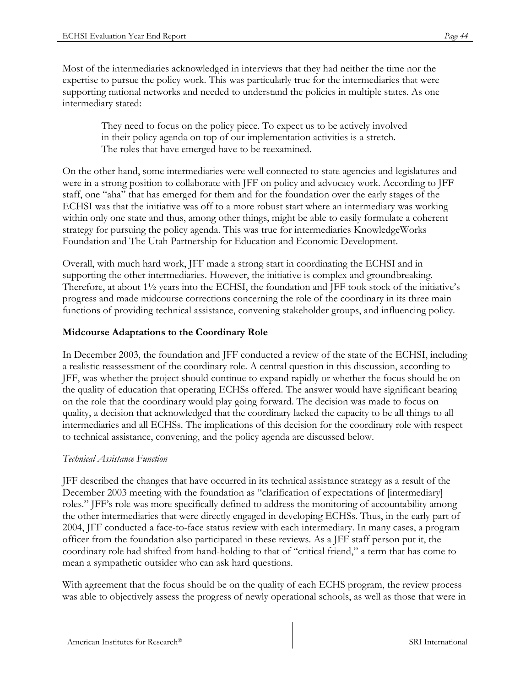Most of the intermediaries acknowledged in interviews that they had neither the time nor the expertise to pursue the policy work. This was particularly true for the intermediaries that were supporting national networks and needed to understand the policies in multiple states. As one intermediary stated:

> They need to focus on the policy piece. To expect us to be actively involved in their policy agenda on top of our implementation activities is a stretch. The roles that have emerged have to be reexamined.

On the other hand, some intermediaries were well connected to state agencies and legislatures and were in a strong position to collaborate with JFF on policy and advocacy work. According to JFF staff, one "aha" that has emerged for them and for the foundation over the early stages of the ECHSI was that the initiative was off to a more robust start where an intermediary was working within only one state and thus, among other things, might be able to easily formulate a coherent strategy for pursuing the policy agenda. This was true for intermediaries KnowledgeWorks Foundation and The Utah Partnership for Education and Economic Development.

Overall, with much hard work, JFF made a strong start in coordinating the ECHSI and in supporting the other intermediaries. However, the initiative is complex and groundbreaking. Therefore, at about 1½ years into the ECHSI, the foundation and JFF took stock of the initiative's progress and made midcourse corrections concerning the role of the coordinary in its three main functions of providing technical assistance, convening stakeholder groups, and influencing policy.

#### **Midcourse Adaptations to the Coordinary Role**

In December 2003, the foundation and JFF conducted a review of the state of the ECHSI, including a realistic reassessment of the coordinary role. A central question in this discussion, according to JFF, was whether the project should continue to expand rapidly or whether the focus should be on the quality of education that operating ECHSs offered. The answer would have significant bearing on the role that the coordinary would play going forward. The decision was made to focus on quality, a decision that acknowledged that the coordinary lacked the capacity to be all things to all intermediaries and all ECHSs. The implications of this decision for the coordinary role with respect to technical assistance, convening, and the policy agenda are discussed below.

#### *Technical Assistance Function*

JFF described the changes that have occurred in its technical assistance strategy as a result of the December 2003 meeting with the foundation as "clarification of expectations of [intermediary] roles." JFF's role was more specifically defined to address the monitoring of accountability among the other intermediaries that were directly engaged in developing ECHSs. Thus, in the early part of 2004, JFF conducted a face-to-face status review with each intermediary. In many cases, a program officer from the foundation also participated in these reviews. As a JFF staff person put it, the coordinary role had shifted from hand-holding to that of "critical friend," a term that has come to mean a sympathetic outsider who can ask hard questions.

With agreement that the focus should be on the quality of each ECHS program, the review process was able to objectively assess the progress of newly operational schools, as well as those that were in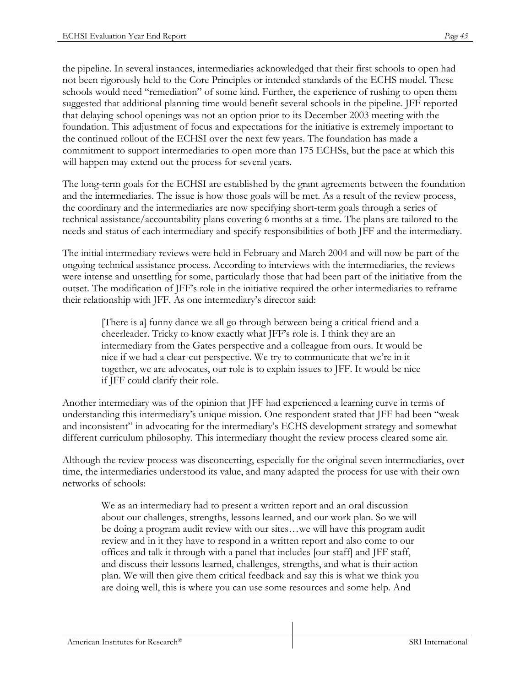the pipeline. In several instances, intermediaries acknowledged that their first schools to open had not been rigorously held to the Core Principles or intended standards of the ECHS model. These schools would need "remediation" of some kind. Further, the experience of rushing to open them suggested that additional planning time would benefit several schools in the pipeline. JFF reported that delaying school openings was not an option prior to its December 2003 meeting with the foundation. This adjustment of focus and expectations for the initiative is extremely important to the continued rollout of the ECHSI over the next few years. The foundation has made a commitment to support intermediaries to open more than 175 ECHSs, but the pace at which this will happen may extend out the process for several years.

The long-term goals for the ECHSI are established by the grant agreements between the foundation and the intermediaries. The issue is how those goals will be met. As a result of the review process, the coordinary and the intermediaries are now specifying short-term goals through a series of technical assistance/accountability plans covering 6 months at a time. The plans are tailored to the needs and status of each intermediary and specify responsibilities of both JFF and the intermediary.

The initial intermediary reviews were held in February and March 2004 and will now be part of the ongoing technical assistance process. According to interviews with the intermediaries, the reviews were intense and unsettling for some, particularly those that had been part of the initiative from the outset. The modification of JFF's role in the initiative required the other intermediaries to reframe their relationship with JFF. As one intermediary's director said:

[There is a] funny dance we all go through between being a critical friend and a cheerleader. Tricky to know exactly what JFF's role is. I think they are an intermediary from the Gates perspective and a colleague from ours. It would be nice if we had a clear-cut perspective. We try to communicate that we're in it together, we are advocates, our role is to explain issues to JFF. It would be nice if JFF could clarify their role.

Another intermediary was of the opinion that JFF had experienced a learning curve in terms of understanding this intermediary's unique mission. One respondent stated that JFF had been "weak and inconsistent" in advocating for the intermediary's ECHS development strategy and somewhat different curriculum philosophy*.* This intermediary thought the review process cleared some air.

Although the review process was disconcerting, especially for the original seven intermediaries, over time, the intermediaries understood its value, and many adapted the process for use with their own networks of schools:

We as an intermediary had to present a written report and an oral discussion about our challenges, strengths, lessons learned, and our work plan. So we will be doing a program audit review with our sites…we will have this program audit review and in it they have to respond in a written report and also come to our offices and talk it through with a panel that includes [our staff] and JFF staff, and discuss their lessons learned, challenges, strengths, and what is their action plan. We will then give them critical feedback and say this is what we think you are doing well, this is where you can use some resources and some help. And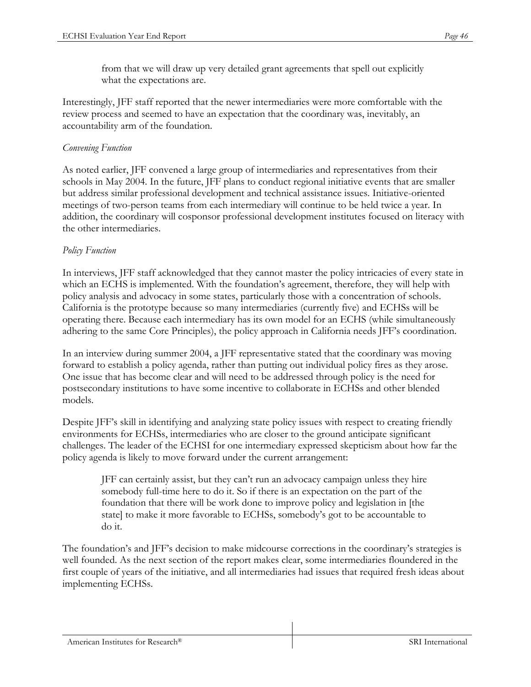from that we will draw up very detailed grant agreements that spell out explicitly what the expectations are.

Interestingly, JFF staff reported that the newer intermediaries were more comfortable with the review process and seemed to have an expectation that the coordinary was, inevitably, an accountability arm of the foundation.

### *Convening Function*

As noted earlier, JFF convened a large group of intermediaries and representatives from their schools in May 2004. In the future, JFF plans to conduct regional initiative events that are smaller but address similar professional development and technical assistance issues. Initiative-oriented meetings of two-person teams from each intermediary will continue to be held twice a year. In addition, the coordinary will cosponsor professional development institutes focused on literacy with the other intermediaries.

### *Policy Function*

In interviews, JFF staff acknowledged that they cannot master the policy intricacies of every state in which an ECHS is implemented. With the foundation's agreement, therefore, they will help with policy analysis and advocacy in some states, particularly those with a concentration of schools. California is the prototype because so many intermediaries (currently five) and ECHSs will be operating there. Because each intermediary has its own model for an ECHS (while simultaneously adhering to the same Core Principles), the policy approach in California needs JFF's coordination.

In an interview during summer 2004, a JFF representative stated that the coordinary was moving forward to establish a policy agenda, rather than putting out individual policy fires as they arose. One issue that has become clear and will need to be addressed through policy is the need for postsecondary institutions to have some incentive to collaborate in ECHSs and other blended models.

Despite JFF's skill in identifying and analyzing state policy issues with respect to creating friendly environments for ECHSs, intermediaries who are closer to the ground anticipate significant challenges. The leader of the ECHSI for one intermediary expressed skepticism about how far the policy agenda is likely to move forward under the current arrangement:

JFF can certainly assist, but they can't run an advocacy campaign unless they hire somebody full-time here to do it. So if there is an expectation on the part of the foundation that there will be work done to improve policy and legislation in [the state] to make it more favorable to ECHSs, somebody's got to be accountable to do it.

The foundation's and JFF's decision to make midcourse corrections in the coordinary's strategies is well founded. As the next section of the report makes clear, some intermediaries floundered in the first couple of years of the initiative, and all intermediaries had issues that required fresh ideas about implementing ECHSs.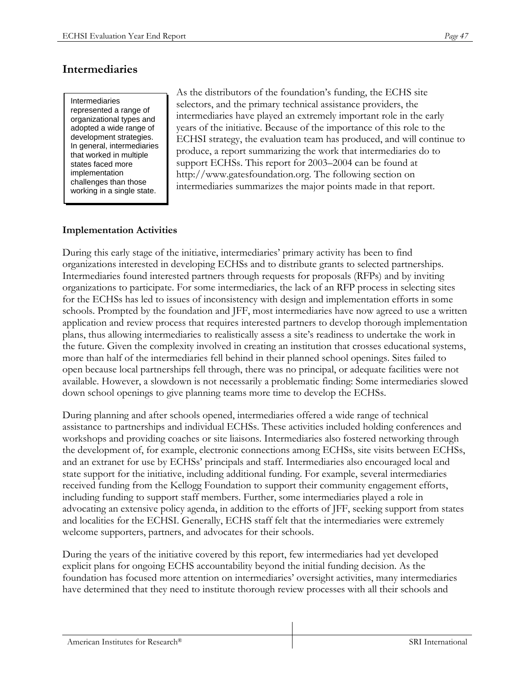# **Intermediaries**

Intermediaries represented a range of organizational types and adopted a wide range of development strategies. In general, intermediaries that worked in multiple states faced more implementation challenges than those working in a single state.

As the distributors of the foundation's funding, the ECHS site selectors, and the primary technical assistance providers, the intermediaries have played an extremely important role in the early years of the initiative. Because of the importance of this role to the ECHSI strategy, the evaluation team has produced, and will continue to produce, a report summarizing the work that intermediaries do to support ECHSs. This report for 2003–2004 can be found at http://www.gatesfoundation.org. The following section on intermediaries summarizes the major points made in that report.

#### **Implementation Activities**

During this early stage of the initiative, intermediaries' primary activity has been to find organizations interested in developing ECHSs and to distribute grants to selected partnerships. Intermediaries found interested partners through requests for proposals (RFPs) and by inviting organizations to participate. For some intermediaries, the lack of an RFP process in selecting sites for the ECHSs has led to issues of inconsistency with design and implementation efforts in some schools. Prompted by the foundation and JFF, most intermediaries have now agreed to use a written application and review process that requires interested partners to develop thorough implementation plans, thus allowing intermediaries to realistically assess a site's readiness to undertake the work in the future. Given the complexity involved in creating an institution that crosses educational systems, more than half of the intermediaries fell behind in their planned school openings. Sites failed to open because local partnerships fell through, there was no principal, or adequate facilities were not available. However, a slowdown is not necessarily a problematic finding: Some intermediaries slowed down school openings to give planning teams more time to develop the ECHSs.

During planning and after schools opened, intermediaries offered a wide range of technical assistance to partnerships and individual ECHSs. These activities included holding conferences and workshops and providing coaches or site liaisons. Intermediaries also fostered networking through the development of, for example, electronic connections among ECHSs, site visits between ECHSs, and an extranet for use by ECHSs' principals and staff. Intermediaries also encouraged local and state support for the initiative, including additional funding. For example, several intermediaries received funding from the Kellogg Foundation to support their community engagement efforts, including funding to support staff members. Further, some intermediaries played a role in advocating an extensive policy agenda, in addition to the efforts of JFF, seeking support from states and localities for the ECHSI. Generally, ECHS staff felt that the intermediaries were extremely welcome supporters, partners, and advocates for their schools.

During the years of the initiative covered by this report, few intermediaries had yet developed explicit plans for ongoing ECHS accountability beyond the initial funding decision. As the foundation has focused more attention on intermediaries' oversight activities, many intermediaries have determined that they need to institute thorough review processes with all their schools and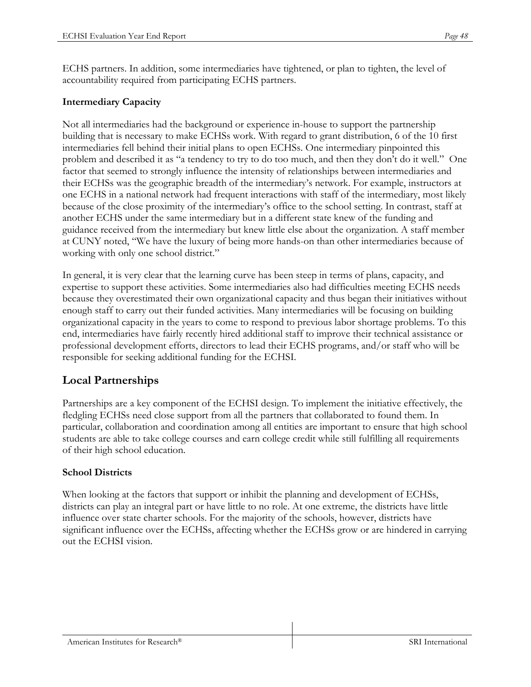ECHS partners. In addition, some intermediaries have tightened, or plan to tighten, the level of accountability required from participating ECHS partners.

#### **Intermediary Capacity**

Not all intermediaries had the background or experience in-house to support the partnership building that is necessary to make ECHSs work. With regard to grant distribution, 6 of the 10 first intermediaries fell behind their initial plans to open ECHSs. One intermediary pinpointed this problem and described it as "a tendency to try to do too much, and then they don't do it well." One factor that seemed to strongly influence the intensity of relationships between intermediaries and their ECHSs was the geographic breadth of the intermediary's network. For example, instructors at one ECHS in a national network had frequent interactions with staff of the intermediary, most likely because of the close proximity of the intermediary's office to the school setting. In contrast, staff at another ECHS under the same intermediary but in a different state knew of the funding and guidance received from the intermediary but knew little else about the organization. A staff member at CUNY noted, "We have the luxury of being more hands-on than other intermediaries because of working with only one school district."

In general, it is very clear that the learning curve has been steep in terms of plans, capacity, and expertise to support these activities. Some intermediaries also had difficulties meeting ECHS needs because they overestimated their own organizational capacity and thus began their initiatives without enough staff to carry out their funded activities. Many intermediaries will be focusing on building organizational capacity in the years to come to respond to previous labor shortage problems. To this end, intermediaries have fairly recently hired additional staff to improve their technical assistance or professional development efforts, directors to lead their ECHS programs, and/or staff who will be responsible for seeking additional funding for the ECHSI.

## **Local Partnerships**

Partnerships are a key component of the ECHSI design. To implement the initiative effectively, the fledgling ECHSs need close support from all the partners that collaborated to found them. In particular, collaboration and coordination among all entities are important to ensure that high school students are able to take college courses and earn college credit while still fulfilling all requirements of their high school education.

#### **School Districts**

When looking at the factors that support or inhibit the planning and development of ECHSs, districts can play an integral part or have little to no role. At one extreme, the districts have little influence over state charter schools. For the majority of the schools, however, districts have significant influence over the ECHSs, affecting whether the ECHSs grow or are hindered in carrying out the ECHSI vision.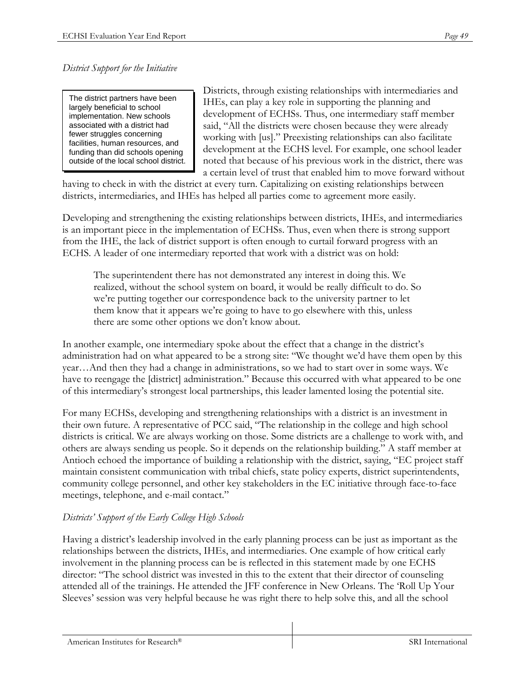*District Support for the Initiative* 

The district partners have been largely beneficial to school implementation. New schools associated with a district had fewer struggles concerning facilities, human resources, and funding than did schools opening outside of the local school district. Districts, through existing relationships with intermediaries and IHEs, can play a key role in supporting the planning and development of ECHSs. Thus, one intermediary staff member said, "All the districts were chosen because they were already working with [us]." Preexisting relationships can also facilitate development at the ECHS level. For example, one school leader noted that because of his previous work in the district, there was a certain level of trust that enabled him to move forward without

having to check in with the district at every turn. Capitalizing on existing relationships between districts, intermediaries, and IHEs has helped all parties come to agreement more easily.

Developing and strengthening the existing relationships between districts, IHEs, and intermediaries is an important piece in the implementation of ECHSs. Thus, even when there is strong support from the IHE, the lack of district support is often enough to curtail forward progress with an ECHS. A leader of one intermediary reported that work with a district was on hold:

The superintendent there has not demonstrated any interest in doing this. We realized, without the school system on board, it would be really difficult to do. So we're putting together our correspondence back to the university partner to let them know that it appears we're going to have to go elsewhere with this, unless there are some other options we don't know about.

In another example, one intermediary spoke about the effect that a change in the district's administration had on what appeared to be a strong site: "We thought we'd have them open by this year…And then they had a change in administrations, so we had to start over in some ways. We have to reengage the [district] administration." Because this occurred with what appeared to be one of this intermediary's strongest local partnerships, this leader lamented losing the potential site.

For many ECHSs, developing and strengthening relationships with a district is an investment in their own future. A representative of PCC said, "The relationship in the college and high school districts is critical. We are always working on those. Some districts are a challenge to work with, and others are always sending us people. So it depends on the relationship building." A staff member at Antioch echoed the importance of building a relationship with the district, saying, "EC project staff maintain consistent communication with tribal chiefs, state policy experts, district superintendents, community college personnel, and other key stakeholders in the EC initiative through face-to-face meetings, telephone, and e-mail contact."

#### *Districts' Support of the Early College High Schools*

Having a district's leadership involved in the early planning process can be just as important as the relationships between the districts, IHEs, and intermediaries. One example of how critical early involvement in the planning process can be is reflected in this statement made by one ECHS director: "The school district was invested in this to the extent that their director of counseling attended all of the trainings. He attended the JFF conference in New Orleans. The 'Roll Up Your Sleeves' session was very helpful because he was right there to help solve this, and all the school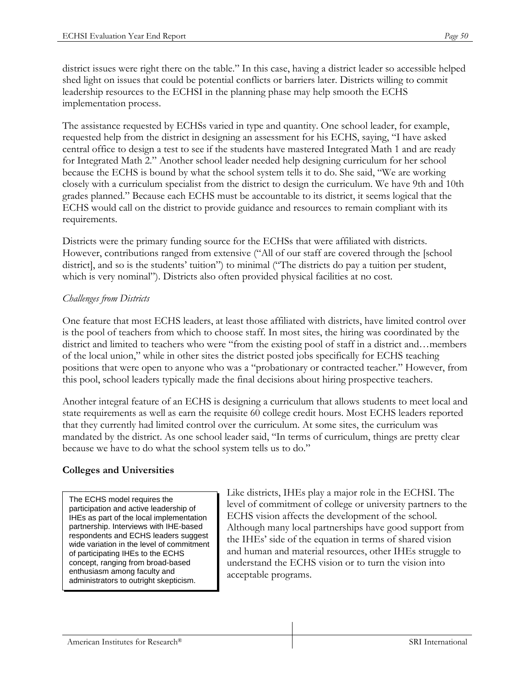district issues were right there on the table." In this case, having a district leader so accessible helped shed light on issues that could be potential conflicts or barriers later. Districts willing to commit leadership resources to the ECHSI in the planning phase may help smooth the ECHS implementation process.

The assistance requested by ECHSs varied in type and quantity. One school leader, for example, requested help from the district in designing an assessment for his ECHS, saying, "I have asked central office to design a test to see if the students have mastered Integrated Math 1 and are ready for Integrated Math 2." Another school leader needed help designing curriculum for her school because the ECHS is bound by what the school system tells it to do. She said, "We are working closely with a curriculum specialist from the district to design the curriculum. We have 9th and 10th grades planned." Because each ECHS must be accountable to its district, it seems logical that the ECHS would call on the district to provide guidance and resources to remain compliant with its requirements.

Districts were the primary funding source for the ECHSs that were affiliated with districts. However, contributions ranged from extensive ("All of our staff are covered through the [school district], and so is the students' tuition") to minimal ("The districts do pay a tuition per student, which is very nominal"). Districts also often provided physical facilities at no cost.

### *Challenges from Districts*

One feature that most ECHS leaders, at least those affiliated with districts, have limited control over is the pool of teachers from which to choose staff. In most sites, the hiring was coordinated by the district and limited to teachers who were "from the existing pool of staff in a district and…members of the local union," while in other sites the district posted jobs specifically for ECHS teaching positions that were open to anyone who was a "probationary or contracted teacher." However, from this pool, school leaders typically made the final decisions about hiring prospective teachers.

Another integral feature of an ECHS is designing a curriculum that allows students to meet local and state requirements as well as earn the requisite 60 college credit hours. Most ECHS leaders reported that they currently had limited control over the curriculum. At some sites, the curriculum was mandated by the district. As one school leader said, "In terms of curriculum, things are pretty clear because we have to do what the school system tells us to do."

## **Colleges and Universities**

The ECHS model requires the participation and active leadership of IHEs as part of the local implementation partnership. Interviews with IHE-based respondents and ECHS leaders suggest wide variation in the level of commitment of participating IHEs to the ECHS concept, ranging from broad-based enthusiasm among faculty and administrators to outright skepticism.

Like districts, IHEs play a major role in the ECHSI. The level of commitment of college or university partners to the ECHS vision affects the development of the school. Although many local partnerships have good support from the IHEs' side of the equation in terms of shared vision and human and material resources, other IHEs struggle to understand the ECHS vision or to turn the vision into acceptable programs.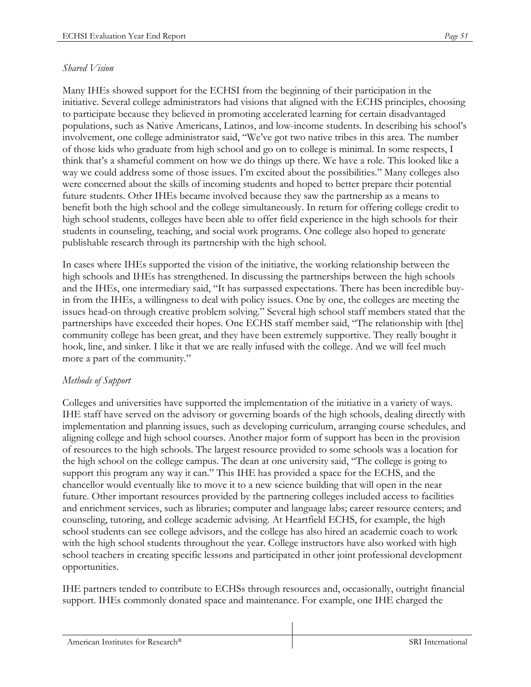#### *Shared Vision*

Many IHEs showed support for the ECHSI from the beginning of their participation in the initiative. Several college administrators had visions that aligned with the ECHS principles, choosing to participate because they believed in promoting accelerated learning for certain disadvantaged populations, such as Native Americans, Latinos, and low-income students. In describing his school's involvement, one college administrator said, "We've got two native tribes in this area. The number of those kids who graduate from high school and go on to college is minimal. In some respects, I think that's a shameful comment on how we do things up there. We have a role. This looked like a way we could address some of those issues. I'm excited about the possibilities." Many colleges also were concerned about the skills of incoming students and hoped to better prepare their potential future students. Other IHEs became involved because they saw the partnership as a means to benefit both the high school and the college simultaneously. In return for offering college credit to high school students, colleges have been able to offer field experience in the high schools for their students in counseling, teaching, and social work programs. One college also hoped to generate publishable research through its partnership with the high school.

In cases where IHEs supported the vision of the initiative, the working relationship between the high schools and IHEs has strengthened. In discussing the partnerships between the high schools and the IHEs, one intermediary said, "It has surpassed expectations. There has been incredible buyin from the IHEs, a willingness to deal with policy issues. One by one, the colleges are meeting the issues head-on through creative problem solving." Several high school staff members stated that the partnerships have exceeded their hopes. One ECHS staff member said, "The relationship with [the] community college has been great, and they have been extremely supportive. They really bought it hook, line, and sinker. I like it that we are really infused with the college. And we will feel much more a part of the community."

#### *Methods of Support*

Colleges and universities have supported the implementation of the initiative in a variety of ways. IHE staff have served on the advisory or governing boards of the high schools, dealing directly with implementation and planning issues, such as developing curriculum, arranging course schedules, and aligning college and high school courses. Another major form of support has been in the provision of resources to the high schools. The largest resource provided to some schools was a location for the high school on the college campus. The dean at one university said, "The college is going to support this program any way it can." This IHE has provided a space for the ECHS, and the chancellor would eventually like to move it to a new science building that will open in the near future. Other important resources provided by the partnering colleges included access to facilities and enrichment services, such as libraries; computer and language labs; career resource centers; and counseling, tutoring, and college academic advising. At Heartfield ECHS, for example, the high school students can see college advisors, and the college has also hired an academic coach to work with the high school students throughout the year. College instructors have also worked with high school teachers in creating specific lessons and participated in other joint professional development opportunities.

IHE partners tended to contribute to ECHSs through resources and, occasionally, outright financial support. IHEs commonly donated space and maintenance. For example, one IHE charged the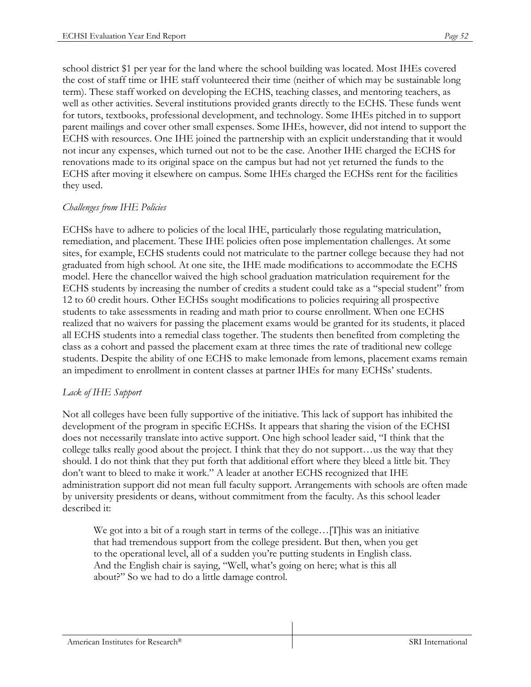school district \$1 per year for the land where the school building was located. Most IHEs covered the cost of staff time or IHE staff volunteered their time (neither of which may be sustainable long term). These staff worked on developing the ECHS, teaching classes, and mentoring teachers, as well as other activities. Several institutions provided grants directly to the ECHS. These funds went for tutors, textbooks, professional development, and technology. Some IHEs pitched in to support parent mailings and cover other small expenses. Some IHEs, however, did not intend to support the ECHS with resources. One IHE joined the partnership with an explicit understanding that it would not incur any expenses, which turned out not to be the case. Another IHE charged the ECHS for renovations made to its original space on the campus but had not yet returned the funds to the ECHS after moving it elsewhere on campus. Some IHEs charged the ECHSs rent for the facilities they used.

#### *Challenges from IHE Policies*

ECHSs have to adhere to policies of the local IHE, particularly those regulating matriculation, remediation, and placement. These IHE policies often pose implementation challenges. At some sites, for example, ECHS students could not matriculate to the partner college because they had not graduated from high school. At one site, the IHE made modifications to accommodate the ECHS model. Here the chancellor waived the high school graduation matriculation requirement for the ECHS students by increasing the number of credits a student could take as a "special student" from 12 to 60 credit hours. Other ECHSs sought modifications to policies requiring all prospective students to take assessments in reading and math prior to course enrollment. When one ECHS realized that no waivers for passing the placement exams would be granted for its students, it placed all ECHS students into a remedial class together. The students then benefited from completing the class as a cohort and passed the placement exam at three times the rate of traditional new college students. Despite the ability of one ECHS to make lemonade from lemons, placement exams remain an impediment to enrollment in content classes at partner IHEs for many ECHSs' students.

#### *Lack of IHE Support*

Not all colleges have been fully supportive of the initiative. This lack of support has inhibited the development of the program in specific ECHSs. It appears that sharing the vision of the ECHSI does not necessarily translate into active support. One high school leader said, "I think that the college talks really good about the project. I think that they do not support…us the way that they should. I do not think that they put forth that additional effort where they bleed a little bit. They don't want to bleed to make it work." A leader at another ECHS recognized that IHE administration support did not mean full faculty support. Arrangements with schools are often made by university presidents or deans, without commitment from the faculty. As this school leader described it:

We got into a bit of a rough start in terms of the college…[T]his was an initiative that had tremendous support from the college president. But then, when you get to the operational level, all of a sudden you're putting students in English class. And the English chair is saying, "Well, what's going on here; what is this all about?" So we had to do a little damage control.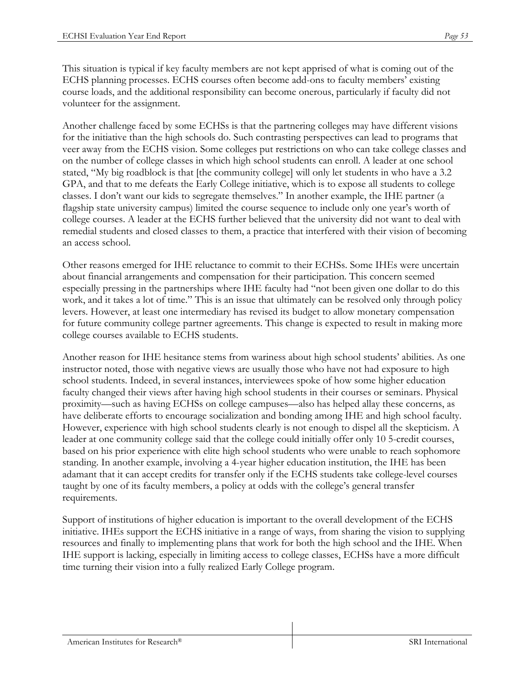This situation is typical if key faculty members are not kept apprised of what is coming out of the ECHS planning processes. ECHS courses often become add-ons to faculty members' existing course loads, and the additional responsibility can become onerous, particularly if faculty did not volunteer for the assignment.

Another challenge faced by some ECHSs is that the partnering colleges may have different visions for the initiative than the high schools do. Such contrasting perspectives can lead to programs that veer away from the ECHS vision. Some colleges put restrictions on who can take college classes and on the number of college classes in which high school students can enroll. A leader at one school stated, "My big roadblock is that [the community college] will only let students in who have a 3.2 GPA, and that to me defeats the Early College initiative, which is to expose all students to college classes. I don't want our kids to segregate themselves." In another example, the IHE partner (a flagship state university campus) limited the course sequence to include only one year's worth of college courses. A leader at the ECHS further believed that the university did not want to deal with remedial students and closed classes to them, a practice that interfered with their vision of becoming an access school.

Other reasons emerged for IHE reluctance to commit to their ECHSs. Some IHEs were uncertain about financial arrangements and compensation for their participation. This concern seemed especially pressing in the partnerships where IHE faculty had "not been given one dollar to do this work, and it takes a lot of time." This is an issue that ultimately can be resolved only through policy levers. However, at least one intermediary has revised its budget to allow monetary compensation for future community college partner agreements. This change is expected to result in making more college courses available to ECHS students.

Another reason for IHE hesitance stems from wariness about high school students' abilities. As one instructor noted, those with negative views are usually those who have not had exposure to high school students. Indeed, in several instances, interviewees spoke of how some higher education faculty changed their views after having high school students in their courses or seminars. Physical proximity—such as having ECHSs on college campuses—also has helped allay these concerns, as have deliberate efforts to encourage socialization and bonding among IHE and high school faculty. However, experience with high school students clearly is not enough to dispel all the skepticism. A leader at one community college said that the college could initially offer only 10 5-credit courses, based on his prior experience with elite high school students who were unable to reach sophomore standing. In another example, involving a 4-year higher education institution, the IHE has been adamant that it can accept credits for transfer only if the ECHS students take college-level courses taught by one of its faculty members, a policy at odds with the college's general transfer requirements.

Support of institutions of higher education is important to the overall development of the ECHS initiative. IHEs support the ECHS initiative in a range of ways, from sharing the vision to supplying resources and finally to implementing plans that work for both the high school and the IHE. When IHE support is lacking, especially in limiting access to college classes, ECHSs have a more difficult time turning their vision into a fully realized Early College program.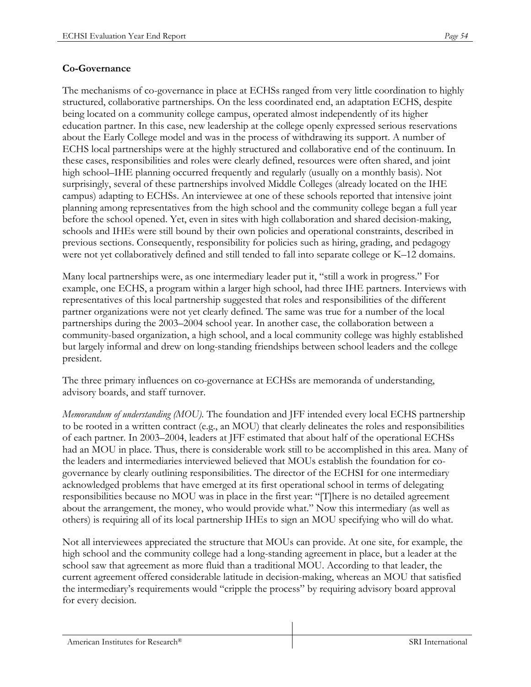#### **Co-Governance**

The mechanisms of co-governance in place at ECHSs ranged from very little coordination to highly structured, collaborative partnerships. On the less coordinated end, an adaptation ECHS, despite being located on a community college campus, operated almost independently of its higher education partner. In this case, new leadership at the college openly expressed serious reservations about the Early College model and was in the process of withdrawing its support. A number of ECHS local partnerships were at the highly structured and collaborative end of the continuum. In these cases, responsibilities and roles were clearly defined, resources were often shared, and joint high school–IHE planning occurred frequently and regularly (usually on a monthly basis). Not surprisingly, several of these partnerships involved Middle Colleges (already located on the IHE campus) adapting to ECHSs. An interviewee at one of these schools reported that intensive joint planning among representatives from the high school and the community college began a full year before the school opened. Yet, even in sites with high collaboration and shared decision-making, schools and IHEs were still bound by their own policies and operational constraints, described in previous sections. Consequently, responsibility for policies such as hiring, grading, and pedagogy were not yet collaboratively defined and still tended to fall into separate college or K–12 domains.

Many local partnerships were, as one intermediary leader put it, "still a work in progress." For example, one ECHS, a program within a larger high school, had three IHE partners. Interviews with representatives of this local partnership suggested that roles and responsibilities of the different partner organizations were not yet clearly defined. The same was true for a number of the local partnerships during the 2003–2004 school year. In another case, the collaboration between a community-based organization, a high school, and a local community college was highly established but largely informal and drew on long-standing friendships between school leaders and the college president.

The three primary influences on co-governance at ECHSs are memoranda of understanding, advisory boards, and staff turnover.

*Memorandum of understanding (MOU).* The foundation and JFF intended every local ECHS partnership to be rooted in a written contract (e.g., an MOU) that clearly delineates the roles and responsibilities of each partner. In 2003–2004, leaders at JFF estimated that about half of the operational ECHSs had an MOU in place. Thus, there is considerable work still to be accomplished in this area. Many of the leaders and intermediaries interviewed believed that MOUs establish the foundation for cogovernance by clearly outlining responsibilities. The director of the ECHSI for one intermediary acknowledged problems that have emerged at its first operational school in terms of delegating responsibilities because no MOU was in place in the first year: "[T]here is no detailed agreement about the arrangement, the money, who would provide what." Now this intermediary (as well as others) is requiring all of its local partnership IHEs to sign an MOU specifying who will do what.

Not all interviewees appreciated the structure that MOUs can provide. At one site, for example, the high school and the community college had a long-standing agreement in place, but a leader at the school saw that agreement as more fluid than a traditional MOU. According to that leader, the current agreement offered considerable latitude in decision-making, whereas an MOU that satisfied the intermediary's requirements would "cripple the process" by requiring advisory board approval for every decision.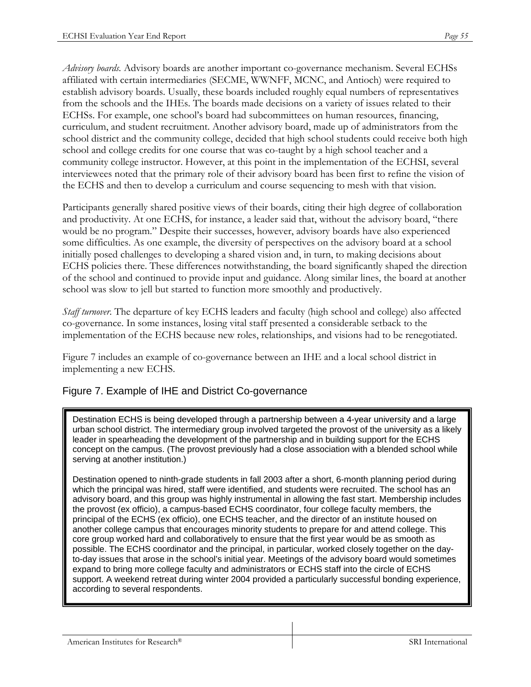*Advisory boards.* Advisory boards are another important co-governance mechanism. Several ECHSs affiliated with certain intermediaries (SECME, WWNFF, MCNC, and Antioch) were required to establish advisory boards. Usually, these boards included roughly equal numbers of representatives from the schools and the IHEs. The boards made decisions on a variety of issues related to their ECHSs. For example, one school's board had subcommittees on human resources, financing, curriculum, and student recruitment. Another advisory board, made up of administrators from the school district and the community college, decided that high school students could receive both high school and college credits for one course that was co-taught by a high school teacher and a community college instructor. However, at this point in the implementation of the ECHSI, several interviewees noted that the primary role of their advisory board has been first to refine the vision of the ECHS and then to develop a curriculum and course sequencing to mesh with that vision.

Participants generally shared positive views of their boards, citing their high degree of collaboration and productivity. At one ECHS, for instance, a leader said that, without the advisory board, "there would be no program." Despite their successes, however, advisory boards have also experienced some difficulties. As one example, the diversity of perspectives on the advisory board at a school initially posed challenges to developing a shared vision and, in turn, to making decisions about ECHS policies there. These differences notwithstanding, the board significantly shaped the direction of the school and continued to provide input and guidance. Along similar lines, the board at another school was slow to jell but started to function more smoothly and productively.

*Staff turnover*. The departure of key ECHS leaders and faculty (high school and college) also affected co-governance. In some instances, losing vital staff presented a considerable setback to the implementation of the ECHS because new roles, relationships, and visions had to be renegotiated.

Figure 7 includes an example of co-governance between an IHE and a local school district in implementing a new ECHS.

## Figure 7. Example of IHE and District Co-governance

Destination ECHS is being developed through a partnership between a 4-year university and a large urban school district. The intermediary group involved targeted the provost of the university as a likely leader in spearheading the development of the partnership and in building support for the ECHS concept on the campus. (The provost previously had a close association with a blended school while serving at another institution.)

Destination opened to ninth-grade students in fall 2003 after a short, 6-month planning period during which the principal was hired, staff were identified, and students were recruited. The school has an advisory board, and this group was highly instrumental in allowing the fast start. Membership includes the provost (ex officio), a campus-based ECHS coordinator, four college faculty members, the principal of the ECHS (ex officio), one ECHS teacher, and the director of an institute housed on another college campus that encourages minority students to prepare for and attend college. This core group worked hard and collaboratively to ensure that the first year would be as smooth as possible. The ECHS coordinator and the principal, in particular, worked closely together on the dayto-day issues that arose in the school's initial year. Meetings of the advisory board would sometimes expand to bring more college faculty and administrators or ECHS staff into the circle of ECHS support. A weekend retreat during winter 2004 provided a particularly successful bonding experience, according to several respondents.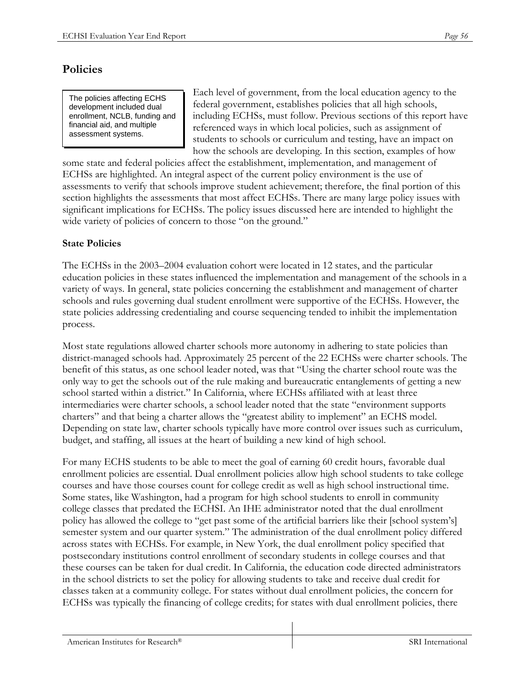# **Policies**

The policies affecting ECHS development included dual enrollment, NCLB, funding and financial aid, and multiple assessment systems.

Each level of government, from the local education agency to the federal government, establishes policies that all high schools, including ECHSs, must follow. Previous sections of this report have referenced ways in which local policies, such as assignment of students to schools or curriculum and testing, have an impact on how the schools are developing. In this section, examples of how

some state and federal policies affect the establishment, implementation, and management of ECHSs are highlighted. An integral aspect of the current policy environment is the use of assessments to verify that schools improve student achievement; therefore, the final portion of this section highlights the assessments that most affect ECHSs. There are many large policy issues with significant implications for ECHSs. The policy issues discussed here are intended to highlight the wide variety of policies of concern to those "on the ground."

## **State Policies**

The ECHSs in the 2003–2004 evaluation cohort were located in 12 states, and the particular education policies in these states influenced the implementation and management of the schools in a variety of ways. In general, state policies concerning the establishment and management of charter schools and rules governing dual student enrollment were supportive of the ECHSs. However, the state policies addressing credentialing and course sequencing tended to inhibit the implementation process.

Most state regulations allowed charter schools more autonomy in adhering to state policies than district-managed schools had. Approximately 25 percent of the 22 ECHSs were charter schools. The benefit of this status, as one school leader noted, was that "Using the charter school route was the only way to get the schools out of the rule making and bureaucratic entanglements of getting a new school started within a district." In California, where ECHSs affiliated with at least three intermediaries were charter schools, a school leader noted that the state "environment supports charters" and that being a charter allows the "greatest ability to implement" an ECHS model. Depending on state law, charter schools typically have more control over issues such as curriculum, budget, and staffing, all issues at the heart of building a new kind of high school.

For many ECHS students to be able to meet the goal of earning 60 credit hours, favorable dual enrollment policies are essential. Dual enrollment policies allow high school students to take college courses and have those courses count for college credit as well as high school instructional time. Some states, like Washington, had a program for high school students to enroll in community college classes that predated the ECHSI. An IHE administrator noted that the dual enrollment policy has allowed the college to "get past some of the artificial barriers like their [school system's] semester system and our quarter system." The administration of the dual enrollment policy differed across states with ECHSs. For example, in New York, the dual enrollment policy specified that postsecondary institutions control enrollment of secondary students in college courses and that these courses can be taken for dual credit. In California, the education code directed administrators in the school districts to set the policy for allowing students to take and receive dual credit for classes taken at a community college. For states without dual enrollment policies, the concern for ECHSs was typically the financing of college credits; for states with dual enrollment policies, there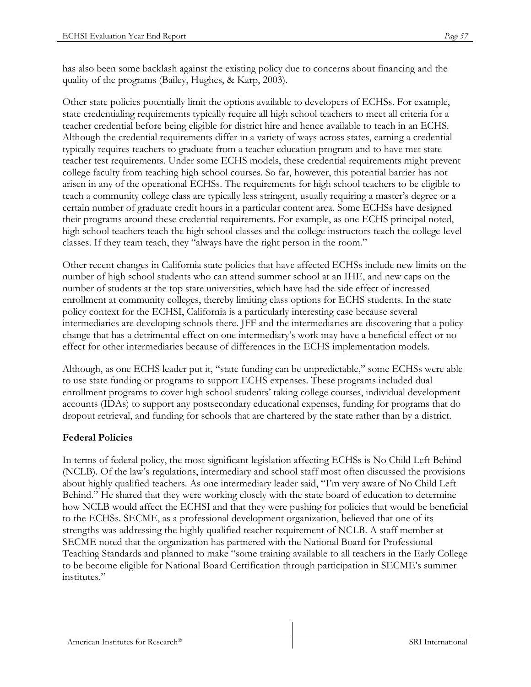has also been some backlash against the existing policy due to concerns about financing and the quality of the programs (Bailey, Hughes, & Karp, 2003).

Other state policies potentially limit the options available to developers of ECHSs. For example, state credentialing requirements typically require all high school teachers to meet all criteria for a teacher credential before being eligible for district hire and hence available to teach in an ECHS. Although the credential requirements differ in a variety of ways across states, earning a credential typically requires teachers to graduate from a teacher education program and to have met state teacher test requirements. Under some ECHS models, these credential requirements might prevent college faculty from teaching high school courses. So far, however, this potential barrier has not arisen in any of the operational ECHSs. The requirements for high school teachers to be eligible to teach a community college class are typically less stringent, usually requiring a master's degree or a certain number of graduate credit hours in a particular content area. Some ECHSs have designed their programs around these credential requirements. For example, as one ECHS principal noted, high school teachers teach the high school classes and the college instructors teach the college-level classes. If they team teach, they "always have the right person in the room."

Other recent changes in California state policies that have affected ECHSs include new limits on the number of high school students who can attend summer school at an IHE, and new caps on the number of students at the top state universities, which have had the side effect of increased enrollment at community colleges, thereby limiting class options for ECHS students. In the state policy context for the ECHSI, California is a particularly interesting case because several intermediaries are developing schools there. JFF and the intermediaries are discovering that a policy change that has a detrimental effect on one intermediary's work may have a beneficial effect or no effect for other intermediaries because of differences in the ECHS implementation models.

Although, as one ECHS leader put it, "state funding can be unpredictable," some ECHSs were able to use state funding or programs to support ECHS expenses. These programs included dual enrollment programs to cover high school students' taking college courses, individual development accounts (IDAs) to support any postsecondary educational expenses, funding for programs that do dropout retrieval, and funding for schools that are chartered by the state rather than by a district.

#### **Federal Policies**

In terms of federal policy, the most significant legislation affecting ECHSs is No Child Left Behind (NCLB). Of the law's regulations, intermediary and school staff most often discussed the provisions about highly qualified teachers. As one intermediary leader said, "I'm very aware of No Child Left Behind." He shared that they were working closely with the state board of education to determine how NCLB would affect the ECHSI and that they were pushing for policies that would be beneficial to the ECHSs. SECME, as a professional development organization, believed that one of its strengths was addressing the highly qualified teacher requirement of NCLB. A staff member at SECME noted that the organization has partnered with the National Board for Professional Teaching Standards and planned to make "some training available to all teachers in the Early College to be become eligible for National Board Certification through participation in SECME's summer institutes."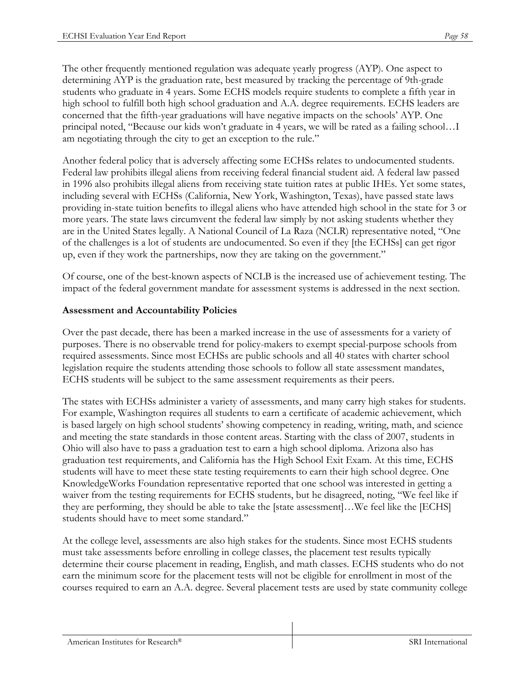The other frequently mentioned regulation was adequate yearly progress (AYP). One aspect to determining AYP is the graduation rate, best measured by tracking the percentage of 9th-grade students who graduate in 4 years. Some ECHS models require students to complete a fifth year in high school to fulfill both high school graduation and A.A. degree requirements. ECHS leaders are concerned that the fifth-year graduations will have negative impacts on the schools' AYP. One principal noted, "Because our kids won't graduate in 4 years, we will be rated as a failing school…I am negotiating through the city to get an exception to the rule."

Another federal policy that is adversely affecting some ECHSs relates to undocumented students. Federal law prohibits illegal aliens from receiving federal financial student aid. A federal law passed in 1996 also prohibits illegal aliens from receiving state tuition rates at public IHEs. Yet some states, including several with ECHSs (California, New York, Washington, Texas), have passed state laws providing in-state tuition benefits to illegal aliens who have attended high school in the state for 3 or more years. The state laws circumvent the federal law simply by not asking students whether they are in the United States legally. A National Council of La Raza (NCLR) representative noted, "One of the challenges is a lot of students are undocumented. So even if they [the ECHSs] can get rigor up, even if they work the partnerships, now they are taking on the government."

Of course, one of the best-known aspects of NCLB is the increased use of achievement testing. The impact of the federal government mandate for assessment systems is addressed in the next section.

#### **Assessment and Accountability Policies**

Over the past decade, there has been a marked increase in the use of assessments for a variety of purposes. There is no observable trend for policy-makers to exempt special-purpose schools from required assessments. Since most ECHSs are public schools and all 40 states with charter school legislation require the students attending those schools to follow all state assessment mandates, ECHS students will be subject to the same assessment requirements as their peers.

The states with ECHSs administer a variety of assessments, and many carry high stakes for students. For example, Washington requires all students to earn a certificate of academic achievement, which is based largely on high school students' showing competency in reading, writing, math, and science and meeting the state standards in those content areas. Starting with the class of 2007, students in Ohio will also have to pass a graduation test to earn a high school diploma. Arizona also has graduation test requirements, and California has the High School Exit Exam. At this time, ECHS students will have to meet these state testing requirements to earn their high school degree. One KnowledgeWorks Foundation representative reported that one school was interested in getting a waiver from the testing requirements for ECHS students, but he disagreed, noting, "We feel like if they are performing, they should be able to take the [state assessment]…We feel like the [ECHS] students should have to meet some standard."

At the college level, assessments are also high stakes for the students. Since most ECHS students must take assessments before enrolling in college classes, the placement test results typically determine their course placement in reading, English, and math classes. ECHS students who do not earn the minimum score for the placement tests will not be eligible for enrollment in most of the courses required to earn an A.A. degree. Several placement tests are used by state community college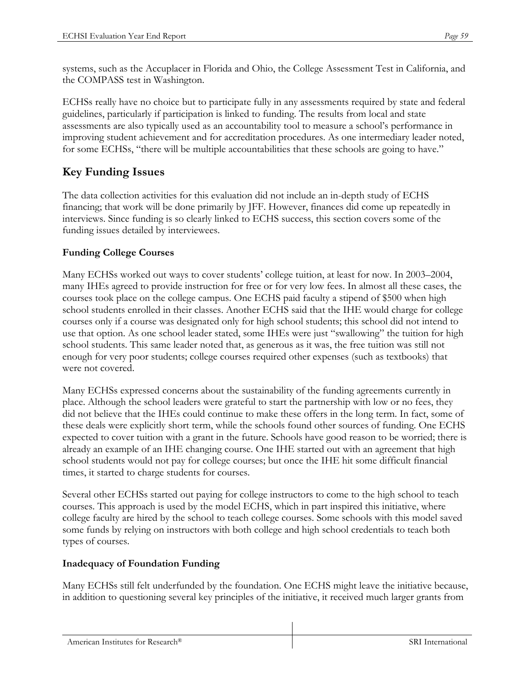systems, such as the Accuplacer in Florida and Ohio, the College Assessment Test in California, and the COMPASS test in Washington.

ECHSs really have no choice but to participate fully in any assessments required by state and federal guidelines, particularly if participation is linked to funding. The results from local and state assessments are also typically used as an accountability tool to measure a school's performance in improving student achievement and for accreditation procedures. As one intermediary leader noted, for some ECHSs, "there will be multiple accountabilities that these schools are going to have."

# **Key Funding Issues**

The data collection activities for this evaluation did not include an in-depth study of ECHS financing; that work will be done primarily by JFF. However, finances did come up repeatedly in interviews. Since funding is so clearly linked to ECHS success, this section covers some of the funding issues detailed by interviewees.

## **Funding College Courses**

Many ECHSs worked out ways to cover students' college tuition, at least for now. In 2003–2004, many IHEs agreed to provide instruction for free or for very low fees. In almost all these cases, the courses took place on the college campus. One ECHS paid faculty a stipend of \$500 when high school students enrolled in their classes. Another ECHS said that the IHE would charge for college courses only if a course was designated only for high school students; this school did not intend to use that option. As one school leader stated, some IHEs were just "swallowing" the tuition for high school students. This same leader noted that, as generous as it was, the free tuition was still not enough for very poor students; college courses required other expenses (such as textbooks) that were not covered.

Many ECHSs expressed concerns about the sustainability of the funding agreements currently in place. Although the school leaders were grateful to start the partnership with low or no fees, they did not believe that the IHEs could continue to make these offers in the long term. In fact, some of these deals were explicitly short term, while the schools found other sources of funding. One ECHS expected to cover tuition with a grant in the future. Schools have good reason to be worried; there is already an example of an IHE changing course. One IHE started out with an agreement that high school students would not pay for college courses; but once the IHE hit some difficult financial times, it started to charge students for courses.

Several other ECHSs started out paying for college instructors to come to the high school to teach courses. This approach is used by the model ECHS, which in part inspired this initiative, where college faculty are hired by the school to teach college courses. Some schools with this model saved some funds by relying on instructors with both college and high school credentials to teach both types of courses.

#### **Inadequacy of Foundation Funding**

Many ECHSs still felt underfunded by the foundation. One ECHS might leave the initiative because, in addition to questioning several key principles of the initiative, it received much larger grants from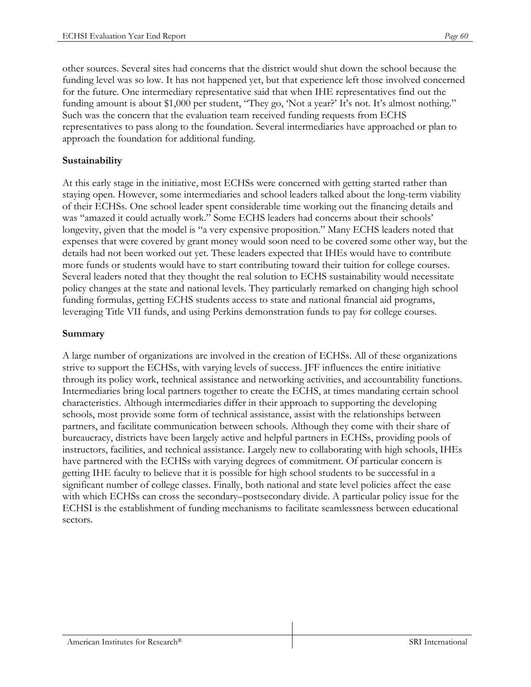other sources. Several sites had concerns that the district would shut down the school because the funding level was so low. It has not happened yet, but that experience left those involved concerned for the future. One intermediary representative said that when IHE representatives find out the funding amount is about \$1,000 per student, "They go, 'Not a year?' It's not. It's almost nothing." Such was the concern that the evaluation team received funding requests from ECHS representatives to pass along to the foundation. Several intermediaries have approached or plan to approach the foundation for additional funding.

#### **Sustainability**

At this early stage in the initiative, most ECHSs were concerned with getting started rather than staying open. However, some intermediaries and school leaders talked about the long-term viability of their ECHSs. One school leader spent considerable time working out the financing details and was "amazed it could actually work." Some ECHS leaders had concerns about their schools' longevity, given that the model is "a very expensive proposition." Many ECHS leaders noted that expenses that were covered by grant money would soon need to be covered some other way, but the details had not been worked out yet. These leaders expected that IHEs would have to contribute more funds or students would have to start contributing toward their tuition for college courses. Several leaders noted that they thought the real solution to ECHS sustainability would necessitate policy changes at the state and national levels. They particularly remarked on changing high school funding formulas, getting ECHS students access to state and national financial aid programs, leveraging Title VII funds, and using Perkins demonstration funds to pay for college courses.

#### **Summary**

A large number of organizations are involved in the creation of ECHSs. All of these organizations strive to support the ECHSs, with varying levels of success. JFF influences the entire initiative through its policy work, technical assistance and networking activities, and accountability functions. Intermediaries bring local partners together to create the ECHS, at times mandating certain school characteristics. Although intermediaries differ in their approach to supporting the developing schools, most provide some form of technical assistance, assist with the relationships between partners, and facilitate communication between schools. Although they come with their share of bureaucracy, districts have been largely active and helpful partners in ECHSs, providing pools of instructors, facilities, and technical assistance. Largely new to collaborating with high schools, IHEs have partnered with the ECHSs with varying degrees of commitment. Of particular concern is getting IHE faculty to believe that it is possible for high school students to be successful in a significant number of college classes. Finally, both national and state level policies affect the ease with which ECHSs can cross the secondary–postsecondary divide. A particular policy issue for the ECHSI is the establishment of funding mechanisms to facilitate seamlessness between educational sectors.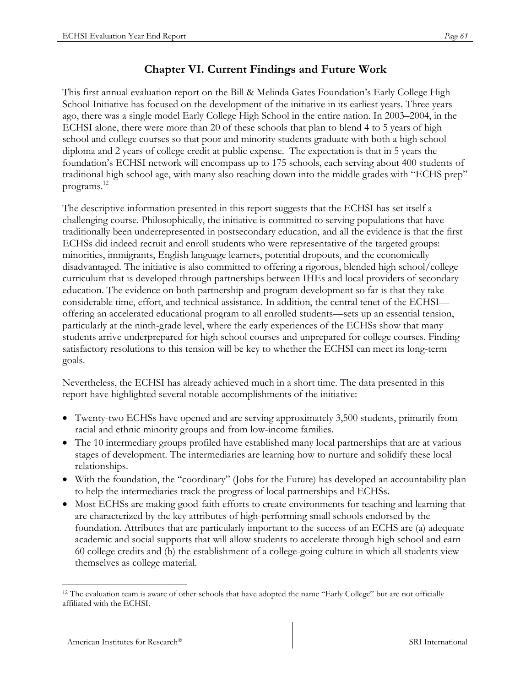# **Chapter VI. Current Findings and Future Work**

This first annual evaluation report on the Bill & Melinda Gates Foundation's Early College High School Initiative has focused on the development of the initiative in its earliest years. Three years ago, there was a single model Early College High School in the entire nation. In 2003–2004, in the ECHSI alone, there were more than 20 of these schools that plan to blend 4 to 5 years of high school and college courses so that poor and minority students graduate with both a high school diploma and 2 years of college credit at public expense. The expectation is that in 5 years the foundation's ECHSI network will encompass up to 175 schools, each serving about 400 students of traditional high school age, with many also reaching down into the middle grades with "ECHS prep" programs.12

The descriptive information presented in this report suggests that the ECHSI has set itself a challenging course. Philosophically, the initiative is committed to serving populations that have traditionally been underrepresented in postsecondary education, and all the evidence is that the first ECHSs did indeed recruit and enroll students who were representative of the targeted groups: minorities, immigrants, English language learners, potential dropouts, and the economically disadvantaged. The initiative is also committed to offering a rigorous, blended high school/college curriculum that is developed through partnerships between IHEs and local providers of secondary education. The evidence on both partnership and program development so far is that they take considerable time, effort, and technical assistance. In addition, the central tenet of the ECHSI offering an accelerated educational program to all enrolled students––sets up an essential tension, particularly at the ninth-grade level, where the early experiences of the ECHSs show that many students arrive underprepared for high school courses and unprepared for college courses. Finding satisfactory resolutions to this tension will be key to whether the ECHSI can meet its long-term goals.

Nevertheless, the ECHSI has already achieved much in a short time. The data presented in this report have highlighted several notable accomplishments of the initiative:

- Twenty-two ECHSs have opened and are serving approximately 3,500 students, primarily from racial and ethnic minority groups and from low-income families.
- The 10 intermediary groups profiled have established many local partnerships that are at various stages of development. The intermediaries are learning how to nurture and solidify these local relationships.
- With the foundation, the "coordinary" (Jobs for the Future) has developed an accountability plan to help the intermediaries track the progress of local partnerships and ECHSs.
- Most ECHSs are making good-faith efforts to create environments for teaching and learning that are characterized by the key attributes of high-performing small schools endorsed by the foundation. Attributes that are particularly important to the success of an ECHS are (a) adequate academic and social supports that will allow students to accelerate through high school and earn 60 college credits and (b) the establishment of a college-going culture in which all students view themselves as college material.

<sup>1</sup> <sup>12</sup> The evaluation team is aware of other schools that have adopted the name "Early College" but are not officially affiliated with the ECHSI.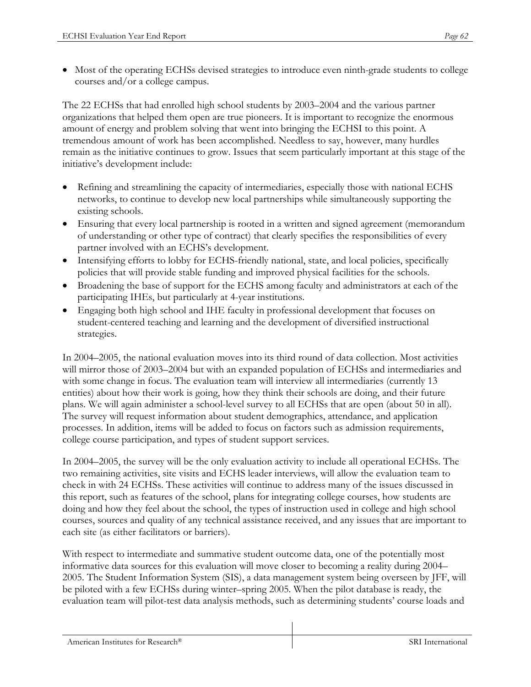• Most of the operating ECHSs devised strategies to introduce even ninth-grade students to college courses and/or a college campus.

The 22 ECHSs that had enrolled high school students by 2003–2004 and the various partner organizations that helped them open are true pioneers. It is important to recognize the enormous amount of energy and problem solving that went into bringing the ECHSI to this point. A tremendous amount of work has been accomplished. Needless to say, however, many hurdles remain as the initiative continues to grow. Issues that seem particularly important at this stage of the initiative's development include:

- Refining and streamlining the capacity of intermediaries, especially those with national ECHS networks, to continue to develop new local partnerships while simultaneously supporting the existing schools.
- Ensuring that every local partnership is rooted in a written and signed agreement (memorandum of understanding or other type of contract) that clearly specifies the responsibilities of every partner involved with an ECHS's development.
- Intensifying efforts to lobby for ECHS-friendly national, state, and local policies, specifically policies that will provide stable funding and improved physical facilities for the schools.
- Broadening the base of support for the ECHS among faculty and administrators at each of the participating IHEs, but particularly at 4-year institutions.
- Engaging both high school and IHE faculty in professional development that focuses on student-centered teaching and learning and the development of diversified instructional strategies.

In 2004–2005, the national evaluation moves into its third round of data collection. Most activities will mirror those of 2003–2004 but with an expanded population of ECHSs and intermediaries and with some change in focus. The evaluation team will interview all intermediaries (currently 13 entities) about how their work is going, how they think their schools are doing, and their future plans. We will again administer a school-level survey to all ECHSs that are open (about 50 in all). The survey will request information about student demographics, attendance, and application processes. In addition, items will be added to focus on factors such as admission requirements, college course participation, and types of student support services.

In 2004–2005, the survey will be the only evaluation activity to include all operational ECHSs. The two remaining activities, site visits and ECHS leader interviews, will allow the evaluation team to check in with 24 ECHSs. These activities will continue to address many of the issues discussed in this report, such as features of the school, plans for integrating college courses, how students are doing and how they feel about the school, the types of instruction used in college and high school courses, sources and quality of any technical assistance received, and any issues that are important to each site (as either facilitators or barriers).

With respect to intermediate and summative student outcome data, one of the potentially most informative data sources for this evaluation will move closer to becoming a reality during 2004– 2005. The Student Information System (SIS), a data management system being overseen by JFF, will be piloted with a few ECHSs during winter–spring 2005. When the pilot database is ready, the evaluation team will pilot-test data analysis methods, such as determining students' course loads and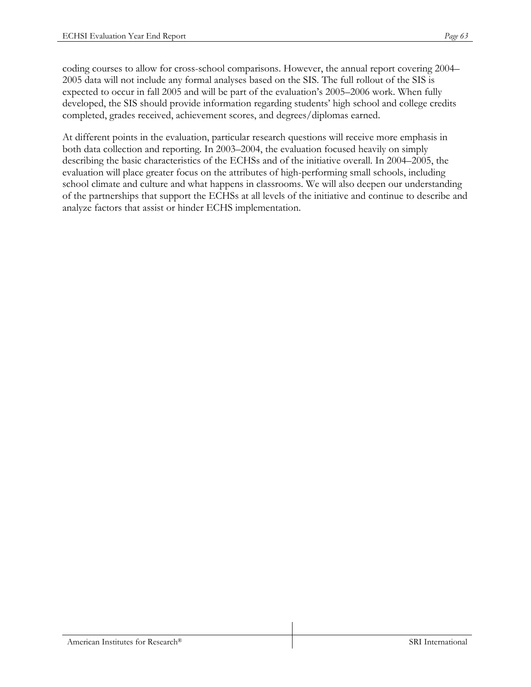coding courses to allow for cross-school comparisons. However, the annual report covering 2004– 2005 data will not include any formal analyses based on the SIS. The full rollout of the SIS is expected to occur in fall 2005 and will be part of the evaluation's 2005–2006 work. When fully developed, the SIS should provide information regarding students' high school and college credits completed, grades received, achievement scores, and degrees/diplomas earned.

At different points in the evaluation, particular research questions will receive more emphasis in both data collection and reporting. In 2003–2004, the evaluation focused heavily on simply describing the basic characteristics of the ECHSs and of the initiative overall. In 2004–2005, the evaluation will place greater focus on the attributes of high-performing small schools, including school climate and culture and what happens in classrooms. We will also deepen our understanding of the partnerships that support the ECHSs at all levels of the initiative and continue to describe and analyze factors that assist or hinder ECHS implementation.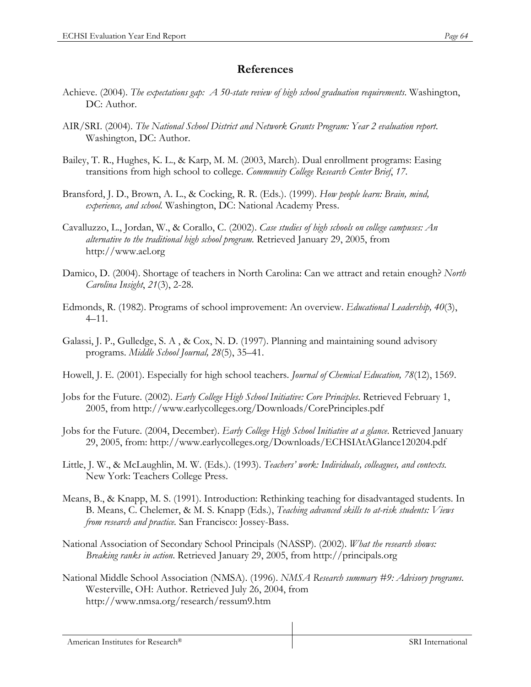## **References**

- Achieve. (2004). *The expectations gap: A 50-state review of high school graduation requirements*. Washington, DC: Author.
- AIR/SRI. (2004). *The National School District and Network Grants Program: Year 2 evaluation report*. Washington, DC: Author.
- Bailey, T. R., Hughes, K. L., & Karp, M. M. (2003, March). Dual enrollment programs: Easing transitions from high school to college. *Community College Research Center Brief*, *17*.
- Bransford, J. D., Brown, A. L., & Cocking, R. R. (Eds.). (1999). *How people learn: Brain, mind, experience, and school.* Washington, DC: National Academy Press.
- Cavalluzzo, L., Jordan, W., & Corallo, C. (2002). *Case studies of high schools on college campuses: An alternative to the traditional high school program.* Retrieved January 29, 2005, from http://www.ael.org
- Damico, D. (2004). Shortage of teachers in North Carolina: Can we attract and retain enough? *North Carolina Insight*, *21*(3), 2-28.
- Edmonds, R. (1982). Programs of school improvement: An overview. *Educational Leadership, 40*(3), 4–11.
- Galassi, J. P., Gulledge, S. A , & Cox, N. D. (1997). Planning and maintaining sound advisory programs. *Middle School Journal, 28*(5), 35–41.
- Howell, J. E. (2001). Especially for high school teachers. *Journal of Chemical Education, 78*(12), 1569.
- Jobs for the Future. (2002). *Early College High School Initiative: Core Principles*. Retrieved February 1, 2005, from http://www.earlycolleges.org/Downloads/CorePrinciples.pdf
- Jobs for the Future. (2004, December). *Early College High School Initiative at a glance*. Retrieved January 29, 2005, from: http://www.earlycolleges.org/Downloads/ECHSIAtAGlance120204.pdf
- Little, J. W., & McLaughlin, M. W. (Eds.). (1993). *Teachers' work: Individuals, colleagues, and contexts.* New York: Teachers College Press.
- Means, B., & Knapp, M. S. (1991). Introduction: Rethinking teaching for disadvantaged students. In B. Means, C. Chelemer, & M. S. Knapp (Eds.), *Teaching advanced skills to at-risk students: Views from research and practice.* San Francisco: Jossey-Bass.
- National Association of Secondary School Principals (NASSP). (2002). *What the research shows: Breaking ranks in action*. Retrieved January 29, 2005, from http://principals.org
- National Middle School Association (NMSA). (1996). *NMSA Research summary #9: Advisory programs*. Westerville, OH: Author. Retrieved July 26, 2004, from http://www.nmsa.org/research/ressum9.htm